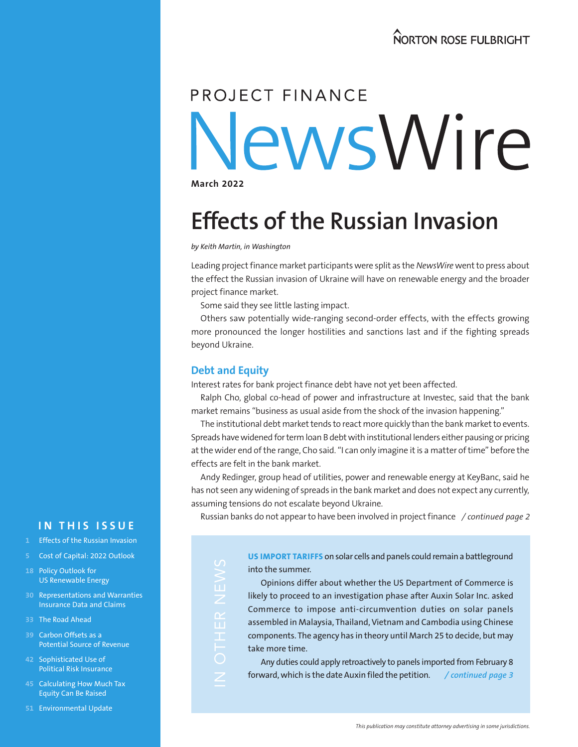# PROJECT FINANCE NewsWire

**March 2022**

# **Effects of the Russian Invasion**

*by Keith Martin, in Washington*

Leading project finance market participants were split as the *NewsWire* went to press about the effect the Russian invasion of Ukraine will have on renewable energy and the broader project finance market.

Some said they see little lasting impact.

Others saw potentially wide-ranging second-order effects, with the effects growing more pronounced the longer hostilities and sanctions last and if the fighting spreads beyond Ukraine.

### **Debt and Equity**

ш

工

Z

Interest rates for bank project finance debt have not yet been affected.

Ralph Cho, global co-head of power and infrastructure at Investec, said that the bank market remains "business as usual aside from the shock of the invasion happening."

The institutional debt market tends to react more quickly than the bank market to events. Spreads have widened for term loan B debt with institutional lenders either pausing or pricing at the wider end of the range, Cho said. "I can only imagine it is a matter of time" before the effects are felt in the bank market.

Andy Redinger, group head of utilities, power and renewable energy at KeyBanc, said he has not seen any widening of spreads in the bank market and does not expect any currently, assuming tensions do not escalate beyond Ukraine.

Russian banks do not appear to have been involved in project finance */ continued page 2*

**US IMPORT TARIFFS** on solar cells and panels could remain a battleground into the summer.

Opinions differ about whether the US Department of Commerce is likely to proceed to an investigation phase after Auxin Solar Inc. asked Commerce to impose anti-circumvention duties on solar panels assembled in Malaysia, Thailand, Vietnam and Cambodia using Chinese components. The agency has in theory until March 25 to decide, but may take more time.

Any duties could apply retroactively to panels imported from February 8 forward, which is the date Auxin filed the petition. */ continued page 3*

# **IN THIS ISSUE**

- **1** Effects of the Russian Invasion
- **5** Cost of Capital: 2022 Outlook
- **18** Policy Outlook for US Renewable Energy
- **30** Representations and Warranties Insurance Data and Claims
- **33** The Road Ahead
- **39** Carbon Offsets as a Potential Source of Revenue
- **42** Sophisticated Use of Political Risk Insurance
- **45** Calculating How Much Tax Equity Can Be Raised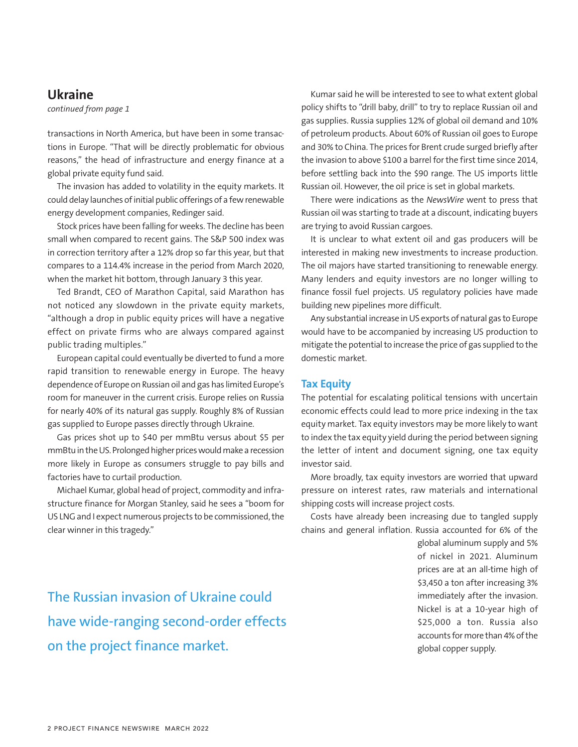### **Ukraine**

*continued from page 1*

transactions in North America, but have been in some transactions in Europe. "That will be directly problematic for obvious reasons," the head of infrastructure and energy finance at a global private equity fund said.

The invasion has added to volatility in the equity markets. It could delay launches of initial public offerings of a few renewable energy development companies, Redinger said.

Stock prices have been falling for weeks. The decline has been small when compared to recent gains. The S&P 500 index was in correction territory after a 12% drop so far this year, but that compares to a 114.4% increase in the period from March 2020, when the market hit bottom, through January 3 this year.

Ted Brandt, CEO of Marathon Capital, said Marathon has not noticed any slowdown in the private equity markets, "although a drop in public equity prices will have a negative effect on private firms who are always compared against public trading multiples."

European capital could eventually be diverted to fund a more rapid transition to renewable energy in Europe. The heavy dependence of Europe on Russian oil and gas has limited Europe's room for maneuver in the current crisis. Europe relies on Russia for nearly 40% of its natural gas supply. Roughly 8% of Russian gas supplied to Europe passes directly through Ukraine.

Gas prices shot up to \$40 per mmBtu versus about \$5 per mmBtu in the US. Prolonged higher prices would make a recession more likely in Europe as consumers struggle to pay bills and factories have to curtail production.

Michael Kumar, global head of project, commodity and infrastructure finance for Morgan Stanley, said he sees a "boom for US LNG and I expect numerous projects to be commissioned, the clear winner in this tragedy."

Kumar said he will be interested to see to what extent global policy shifts to "drill baby, drill" to try to replace Russian oil and gas supplies. Russia supplies 12% of global oil demand and 10% of petroleum products. About 60% of Russian oil goes to Europe and 30% to China. The prices for Brent crude surged briefly after the invasion to above \$100 a barrel for the first time since 2014, before settling back into the \$90 range. The US imports little Russian oil. However, the oil price is set in global markets.

There were indications as the *NewsWire* went to press that Russian oil was starting to trade at a discount, indicating buyers are trying to avoid Russian cargoes.

It is unclear to what extent oil and gas producers will be interested in making new investments to increase production. The oil majors have started transitioning to renewable energy. Many lenders and equity investors are no longer willing to finance fossil fuel projects. US regulatory policies have made building new pipelines more difficult.

Any substantial increase in US exports of natural gas to Europe would have to be accompanied by increasing US production to mitigate the potential to increase the price of gas supplied to the domestic market.

#### **Tax Equity**

The potential for escalating political tensions with uncertain economic effects could lead to more price indexing in the tax equity market. Tax equity investors may be more likely to want to index the tax equity yield during the period between signing the letter of intent and document signing, one tax equity investor said.

More broadly, tax equity investors are worried that upward pressure on interest rates, raw materials and international shipping costs will increase project costs.

Costs have already been increasing due to tangled supply chains and general inflation. Russia accounted for 6% of the

> global aluminum supply and 5% of nickel in 2021. Aluminum prices are at an all-time high of \$3,450 a ton after increasing 3% immediately after the invasion. Nickel is at a 10-year high of \$25,000 a ton. Russia also accounts for more than 4% of the global copper supply.

The Russian invasion of Ukraine could have wide-ranging second-order effects on the project finance market.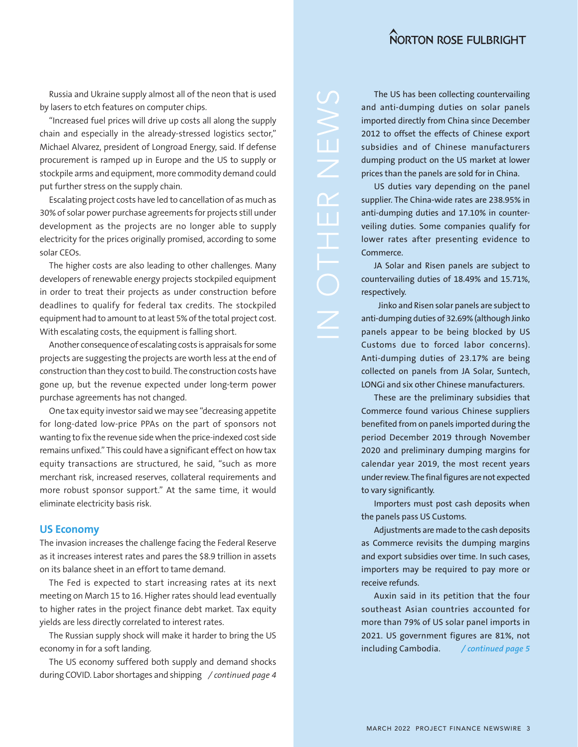Russia and Ukraine supply almost all of the neon that is used by lasers to etch features on computer chips.

"Increased fuel prices will drive up costs all along the supply chain and especially in the already-stressed logistics sector," Michael Alvarez, president of Longroad Energy, said. If defense procurement is ramped up in Europe and the US to supply or stockpile arms and equipment, more commodity demand could put further stress on the supply chain.

Escalating project costs have led to cancellation of as much as 30% of solar power purchase agreements for projects still under development as the projects are no longer able to supply electricity for the prices originally promised, according to some solar CEOs.

The higher costs are also leading to other challenges. Many developers of renewable energy projects stockpiled equipment in order to treat their projects as under construction before deadlines to qualify for federal tax credits. The stockpiled equipment had to amount to at least 5% of the total project cost. With escalating costs, the equipment is falling short.

Another consequence of escalating costs is appraisals for some projects are suggesting the projects are worth less at the end of construction than they cost to build. The construction costs have gone up, but the revenue expected under long-term power purchase agreements has not changed.

One tax equity investor said we may see "decreasing appetite for long-dated low-price PPAs on the part of sponsors not wanting to fix the revenue side when the price-indexed cost side remains unfixed." This could have a significant effect on how tax equity transactions are structured, he said, "such as more merchant risk, increased reserves, collateral requirements and more robust sponsor support." At the same time, it would eliminate electricity basis risk.

#### **US Economy**

The invasion increases the challenge facing the Federal Reserve as it increases interest rates and pares the \$8.9 trillion in assets on its balance sheet in an effort to tame demand.

The Fed is expected to start increasing rates at its next meeting on March 15 to 16. Higher rates should lead eventually to higher rates in the project finance debt market. Tax equity yields are less directly correlated to interest rates.

The Russian supply shock will make it harder to bring the US economy in for a soft landing.

The US economy suffered both supply and demand shocks during COVID. Labor shortages and shipping */ continued page 4*

The US has been collecting countervailing and anti-dumping duties on solar panels imported directly from China since December 2012 to offset the effects of Chinese export subsidies and of Chinese manufacturers dumping product on the US market at lower prices than the panels are sold for in China.

US duties vary depending on the panel supplier. The China-wide rates are 238.95% in anti-dumping duties and 17.10% in counterveiling duties. Some companies qualify for lower rates after presenting evidence to Commerce.

JA Solar and Risen panels are subject to countervailing duties of 18.49% and 15.71%, respectively.

Jinko and Risen solar panels are subject to anti-dumping duties of 32.69% (although Jinko panels appear to be being blocked by US Customs due to forced labor concerns). Anti-dumping duties of 23.17% are being collected on panels from JA Solar, Suntech, LONGi and six other Chinese manufacturers.

These are the preliminary subsidies that Commerce found various Chinese suppliers benefited from on panels imported during the period December 2019 through November 2020 and preliminary dumping margins for calendar year 2019, the most recent years under review. The final figures are not expected to vary significantly.

Importers must post cash deposits when the panels pass US Customs.

Adjustments are made to the cash deposits as Commerce revisits the dumping margins and export subsidies over time. In such cases, importers may be required to pay more or receive refunds.

Auxin said in its petition that the four southeast Asian countries accounted for more than 79% of US solar panel imports in 2021. US government figures are 81%, not including Cambodia. */ continued page 5*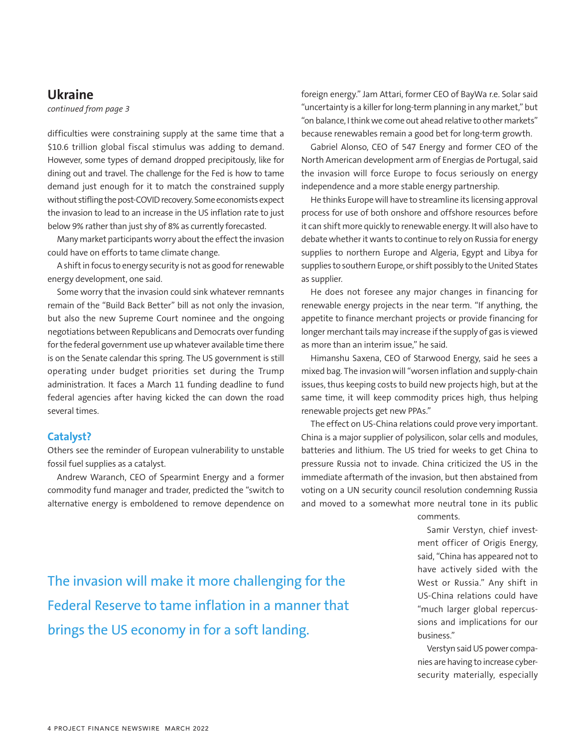### **Ukraine**

*continued from page 3*

difficulties were constraining supply at the same time that a \$10.6 trillion global fiscal stimulus was adding to demand. However, some types of demand dropped precipitously, like for dining out and travel. The challenge for the Fed is how to tame demand just enough for it to match the constrained supply without stifling the post-COVID recovery. Some economists expect the invasion to lead to an increase in the US inflation rate to just below 9% rather than just shy of 8% as currently forecasted.

Many market participants worry about the effect the invasion could have on efforts to tame climate change.

A shift in focus to energy security is not as good for renewable energy development, one said.

Some worry that the invasion could sink whatever remnants remain of the "Build Back Better" bill as not only the invasion, but also the new Supreme Court nominee and the ongoing negotiations between Republicans and Democrats over funding for the federal government use up whatever available time there is on the Senate calendar this spring. The US government is still operating under budget priorities set during the Trump administration. It faces a March 11 funding deadline to fund federal agencies after having kicked the can down the road several times.

#### **Catalyst?**

Others see the reminder of European vulnerability to unstable fossil fuel supplies as a catalyst.

Andrew Waranch, CEO of Spearmint Energy and a former commodity fund manager and trader, predicted the "switch to alternative energy is emboldened to remove dependence on foreign energy." Jam Attari, former CEO of BayWa r.e. Solar said "uncertainty is a killer for long-term planning in any market," but "on balance, I think we come out ahead relative to other markets" because renewables remain a good bet for long-term growth.

Gabriel Alonso, CEO of 547 Energy and former CEO of the North American development arm of Energias de Portugal, said the invasion will force Europe to focus seriously on energy independence and a more stable energy partnership.

He thinks Europe will have to streamline its licensing approval process for use of both onshore and offshore resources before it can shift more quickly to renewable energy. It will also have to debate whether it wants to continue to rely on Russia for energy supplies to northern Europe and Algeria, Egypt and Libya for supplies to southern Europe, or shift possibly to the United States as supplier.

He does not foresee any major changes in financing for renewable energy projects in the near term. "If anything, the appetite to finance merchant projects or provide financing for longer merchant tails may increase if the supply of gas is viewed as more than an interim issue," he said.

Himanshu Saxena, CEO of Starwood Energy, said he sees a mixed bag. The invasion will "worsen inflation and supply-chain issues, thus keeping costs to build new projects high, but at the same time, it will keep commodity prices high, thus helping renewable projects get new PPAs."

The effect on US-China relations could prove very important. China is a major supplier of polysilicon, solar cells and modules, batteries and lithium. The US tried for weeks to get China to pressure Russia not to invade. China criticized the US in the immediate aftermath of the invasion, but then abstained from voting on a UN security council resolution condemning Russia and moved to a somewhat more neutral tone in its public

comments.

Samir Verstyn, chief investment officer of Origis Energy, said, "China has appeared not to have actively sided with the West or Russia." Any shift in US-China relations could have "much larger global repercussions and implications for our business."

Verstyn said US power companies are having to increase cybersecurity materially, especially

The invasion will make it more challenging for the Federal Reserve to tame inflation in a manner that brings the US economy in for a soft landing.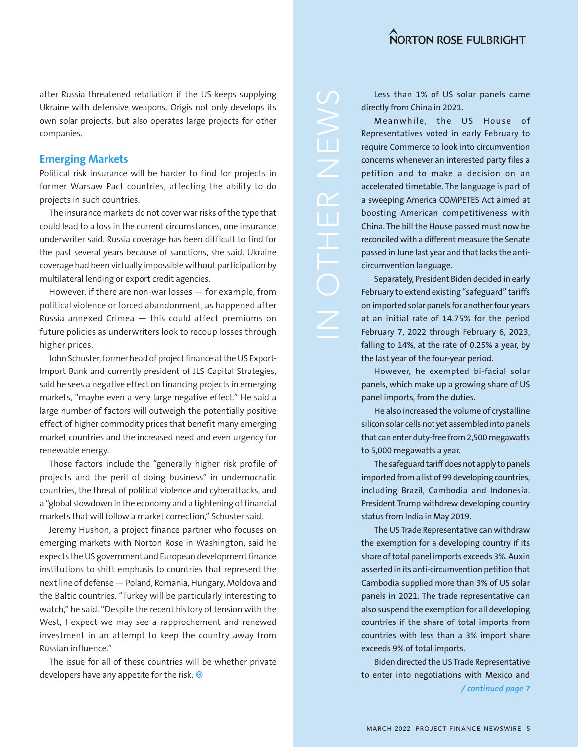after Russia threatened retaliation if the US keeps supplying Ukraine with defensive weapons. Origis not only develops its own solar projects, but also operates large projects for other companies.

#### **Emerging Markets**

Political risk insurance will be harder to find for projects in former Warsaw Pact countries, affecting the ability to do projects in such countries.

The insurance markets do not cover war risks of the type that could lead to a loss in the current circumstances, one insurance underwriter said. Russia coverage has been difficult to find for the past several years because of sanctions, she said. Ukraine coverage had been virtually impossible without participation by multilateral lending or export credit agencies.

However, if there are non-war losses — for example, from political violence or forced abandonment, as happened after Russia annexed Crimea — this could affect premiums on future policies as underwriters look to recoup losses through higher prices.

John Schuster, former head of project finance at the US Export-Import Bank and currently president of JLS Capital Strategies, said he sees a negative effect on financing projects in emerging markets, "maybe even a very large negative effect." He said a large number of factors will outweigh the potentially positive effect of higher commodity prices that benefit many emerging market countries and the increased need and even urgency for renewable energy.

Those factors include the "generally higher risk profile of projects and the peril of doing business" in undemocratic countries, the threat of political violence and cyberattacks, and a "global slowdown in the economy and a tightening of financial markets that will follow a market correction," Schuster said.

Jeremy Hushon, a project finance partner who focuses on emerging markets with Norton Rose in Washington, said he expects the US government and European development finance institutions to shift emphasis to countries that represent the next line of defense — Poland, Romania, Hungary, Moldova and the Baltic countries. "Turkey will be particularly interesting to watch," he said. "Despite the recent history of tension with the West, I expect we may see a rapprochement and renewed investment in an attempt to keep the country away from Russian influence."

The issue for all of these countries will be whether private developers have any appetite for the risk.

Less than 1% of US solar panels came directly from China in 2021.

Meanwhile, the US House of Representatives voted in early February to require Commerce to look into circumvention concerns whenever an interested party files a petition and to make a decision on an accelerated timetable. The language is part of a sweeping America COMPETES Act aimed at boosting American competitiveness with China. The bill the House passed must now be reconciled with a different measure the Senate passed in June last year and that lacks the anticircumvention language.

Separately, President Biden decided in early February to extend existing "safeguard" tariffs on imported solar panels for another four years at an initial rate of 14.75% for the period February 7, 2022 through February 6, 2023, falling to 14%, at the rate of 0.25% a year, by the last year of the four-year period.

However, he exempted bi-facial solar panels, which make up a growing share of US panel imports, from the duties.

He also increased the volume of crystalline silicon solar cells not yet assembled into panels that can enter duty-free from 2,500 megawatts to 5,000 megawatts a year.

The safeguard tariff does not apply to panels imported from a list of 99 developing countries, including Brazil, Cambodia and Indonesia. President Trump withdrew developing country status from India in May 2019.

The US Trade Representative can withdraw the exemption for a developing country if its share of total panel imports exceeds 3%. Auxin asserted in its anti-circumvention petition that Cambodia supplied more than 3% of US solar panels in 2021. The trade representative can also suspend the exemption for all developing countries if the share of total imports from countries with less than a 3% import share exceeds 9% of total imports.

Biden directed the US Trade Representative to enter into negotiations with Mexico and */ continued page 7*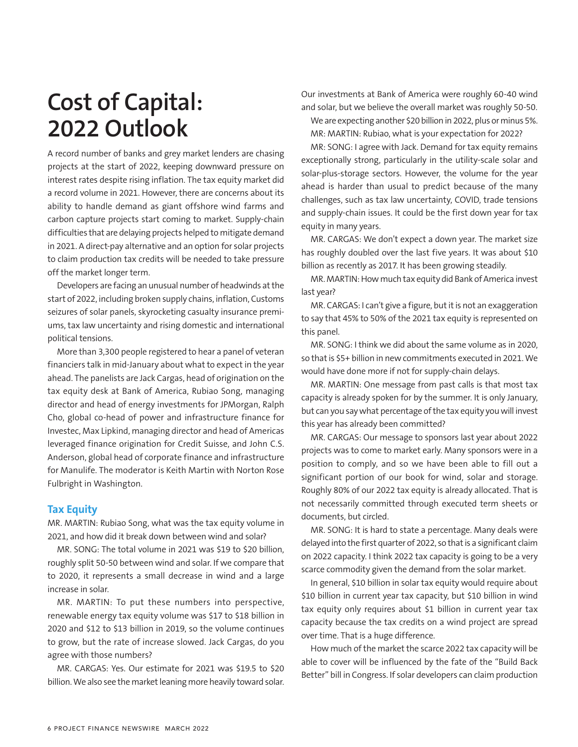# **Cost of Capital: 2022 Outlook**

A record number of banks and grey market lenders are chasing projects at the start of 2022, keeping downward pressure on interest rates despite rising inflation. The tax equity market did a record volume in 2021. However, there are concerns about its ability to handle demand as giant offshore wind farms and carbon capture projects start coming to market. Supply-chain difficulties that are delaying projects helped to mitigate demand in 2021. A direct-pay alternative and an option for solar projects to claim production tax credits will be needed to take pressure off the market longer term.

Developers are facing an unusual number of headwinds at the start of 2022, including broken supply chains, inflation, Customs seizures of solar panels, skyrocketing casualty insurance premiums, tax law uncertainty and rising domestic and international political tensions.

More than 3,300 people registered to hear a panel of veteran financiers talk in mid-January about what to expect in the year ahead. The panelists are Jack Cargas, head of origination on the tax equity desk at Bank of America, Rubiao Song, managing director and head of energy investments for JPMorgan, Ralph Cho, global co-head of power and infrastructure finance for Investec, Max Lipkind, managing director and head of Americas leveraged finance origination for Credit Suisse, and John C.S. Anderson, global head of corporate finance and infrastructure for Manulife. The moderator is Keith Martin with Norton Rose Fulbright in Washington.

#### **Tax Equity**

MR. MARTIN: Rubiao Song, what was the tax equity volume in 2021, and how did it break down between wind and solar?

MR. SONG: The total volume in 2021 was \$19 to \$20 billion, roughly split 50-50 between wind and solar. If we compare that to 2020, it represents a small decrease in wind and a large increase in solar.

MR. MARTIN: To put these numbers into perspective, renewable energy tax equity volume was \$17 to \$18 billion in 2020 and \$12 to \$13 billion in 2019, so the volume continues to grow, but the rate of increase slowed. Jack Cargas, do you agree with those numbers?

MR. CARGAS: Yes. Our estimate for 2021 was \$19.5 to \$20 billion. We also see the market leaning more heavily toward solar. Our investments at Bank of America were roughly 60-40 wind and solar, but we believe the overall market was roughly 50-50.

We are expecting another \$20 billion in 2022, plus or minus 5%. MR: MARTIN: Rubiao, what is your expectation for 2022?

MR: SONG: I agree with Jack. Demand for tax equity remains exceptionally strong, particularly in the utility-scale solar and solar-plus-storage sectors. However, the volume for the year ahead is harder than usual to predict because of the many challenges, such as tax law uncertainty, COVID, trade tensions and supply-chain issues. It could be the first down year for tax equity in many years.

MR. CARGAS: We don't expect a down year. The market size has roughly doubled over the last five years. It was about \$10 billion as recently as 2017. It has been growing steadily.

MR. MARTIN: How much tax equity did Bank of America invest last year?

MR. CARGAS: I can't give a figure, but it is not an exaggeration to say that 45% to 50% of the 2021 tax equity is represented on this panel.

MR. SONG: I think we did about the same volume as in 2020, so that is \$5+ billion in new commitments executed in 2021. We would have done more if not for supply-chain delays.

MR. MARTIN: One message from past calls is that most tax capacity is already spoken for by the summer. It is only January, but can you say what percentage of the tax equity you will invest this year has already been committed?

MR. CARGAS: Our message to sponsors last year about 2022 projects was to come to market early. Many sponsors were in a position to comply, and so we have been able to fill out a significant portion of our book for wind, solar and storage. Roughly 80% of our 2022 tax equity is already allocated. That is not necessarily committed through executed term sheets or documents, but circled.

MR. SONG: It is hard to state a percentage. Many deals were delayed into the first quarter of 2022, so that is a significant claim on 2022 capacity. I think 2022 tax capacity is going to be a very scarce commodity given the demand from the solar market.

In general, \$10 billion in solar tax equity would require about \$10 billion in current year tax capacity, but \$10 billion in wind tax equity only requires about \$1 billion in current year tax capacity because the tax credits on a wind project are spread over time. That is a huge difference.

How much of the market the scarce 2022 tax capacity will be able to cover will be influenced by the fate of the "Build Back Better" bill in Congress. If solar developers can claim production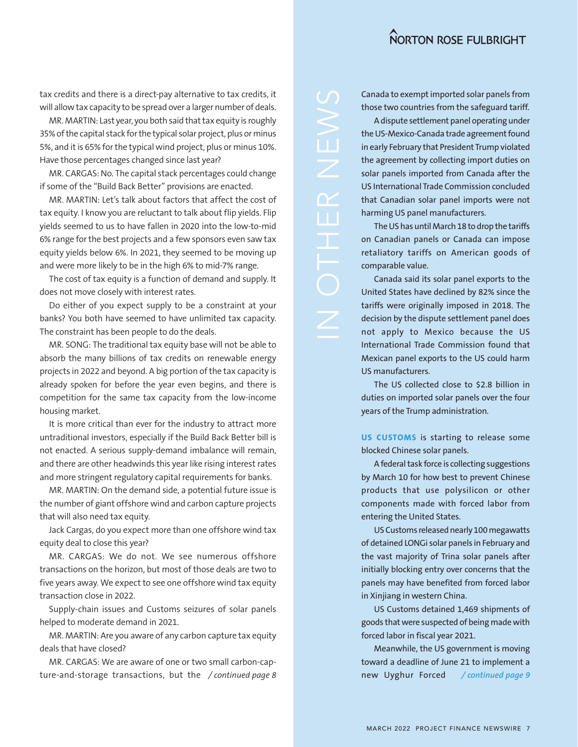tax credits and there is a direct-pay alternative to tax credits, it will allow tax capacity to be spread over a larger number of deals.

MR. MARTIN: Last year, you both said that tax equity is roughly 35% of the capital stack for the typical solar project, plus or minus 5%, and it is 65% for the typical wind project, plus or minus 10%. Have those percentages changed since last year?

MR. CARGAS: No. The capital stack percentages could change if some of the "Build Back Better" provisions are enacted.

MR. MARTIN: Let's talk about factors that affect the cost of tax equity. I know you are reluctant to talk about flip yields. Flip yields seemed to us to have fallen in 2020 into the low-to-mid 6% range for the best projects and a few sponsors even saw tax equity yields below 6%. In 2021, they seemed to be moving up and were more likely to be in the high 6% to mid-7% range.

The cost of tax equity is a function of demand and supply. It does not move closely with interest rates.

Do either of you expect supply to be a constraint at your banks? You both have seemed to have unlimited tax capacity. The constraint has been people to do the deals.

MR. SONG: The traditional tax equity base will not be able to absorb the many billions of tax credits on renewable energy projects in 2022 and beyond. A big portion of the tax capacity is already spoken for before the year even begins, and there is competition for the same tax capacity from the low-income housing market.

It is more critical than ever for the industry to attract more untraditional investors, especially if the Build Back Better bill is not enacted. A serious supply-demand imbalance will remain, and there are other headwinds this year like rising interest rates and more stringent regulatory capital requirements for banks.

MR. MARTIN: On the demand side, a potential future issue is the number of giant offshore wind and carbon capture projects that will also need tax equity.

Jack Cargas, do you expect more than one offshore wind tax equity deal to close this year?

MR. CARGAS: We do not. We see numerous offshore transactions on the horizon, but most of those deals are two to five years away. We expect to see one offshore wind tax equity transaction close in 2022.

Supply-chain issues and Customs seizures of solar panels helped to moderate demand in 2021.

MR. MARTIN: Are you aware of any carbon capture tax equity deals that have closed?

MR. CARGAS: We are aware of one or two small carbon-capture-and-storage transactions, but the */ continued page 8*

Canada to exempt imported solar panels from those two countries from the safeguard tariff.

A dispute settlement panel operating under the US-Mexico-Canada trade agreement found in early February that President Trump violated the agreement by collecting import duties on solar panels imported from Canada after the US International Trade Commission concluded that Canadian solar panel imports were not harming US panel manufacturers.

The US has until March 18 to drop the tariffs on Canadian panels or Canada can impose retaliatory tariffs on American goods of comparable value.

Canada said its solar panel exports to the United States have declined by 82% since the tariffs were originally imposed in 2018. The decision by the dispute settlement panel does not apply to Mexico because the US International Trade Commission found that Mexican panel exports to the US could harm US manufacturers.

The US collected close to \$2.8 billion in duties on imported solar panels over the four years of the Trump administration.

**US CUSTOMS** is starting to release some blocked Chinese solar panels.

A federal task force is collecting suggestions by March 10 for how best to prevent Chinese products that use polysilicon or other components made with forced labor from entering the United States.

US Customs released nearly 100 megawatts of detained LONGi solar panels in February and the vast majority of Trina solar panels after initially blocking entry over concerns that the panels may have benefited from forced labor in Xinjiang in western China.

US Customs detained 1,469 shipments of goods that were suspected of being made with forced labor in fiscal year 2021.

Meanwhile, the US government is moving toward a deadline of June 21 to implement a new Uyghur Forced */ continued page 9*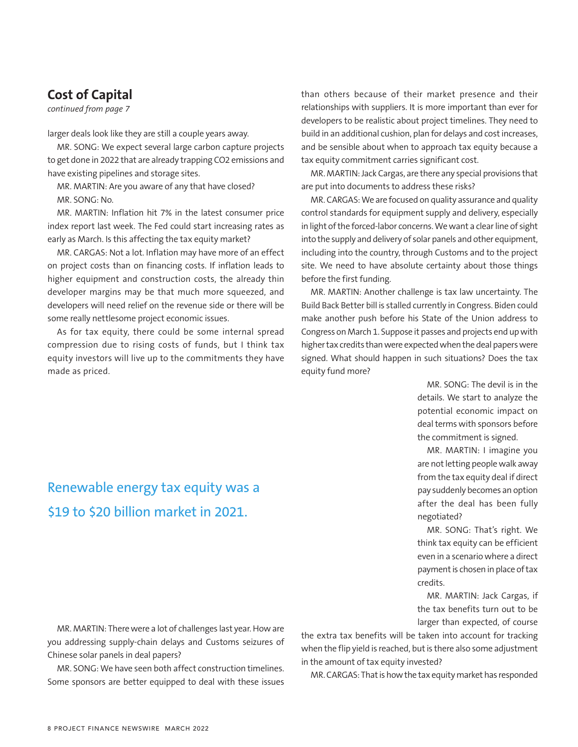# **Cost of Capital**

*continued from page 7*

larger deals look like they are still a couple years away.

MR. SONG: We expect several large carbon capture projects to get done in 2022 that are already trapping CO2 emissions and have existing pipelines and storage sites.

MR. MARTIN: Are you aware of any that have closed? MR. SONG: No.

MR. MARTIN: Inflation hit 7% in the latest consumer price index report last week. The Fed could start increasing rates as early as March. Is this affecting the tax equity market?

MR. CARGAS: Not a lot. Inflation may have more of an effect on project costs than on financing costs. If inflation leads to higher equipment and construction costs, the already thin developer margins may be that much more squeezed, and developers will need relief on the revenue side or there will be some really nettlesome project economic issues.

As for tax equity, there could be some internal spread compression due to rising costs of funds, but I think tax equity investors will live up to the commitments they have made as priced.

than others because of their market presence and their relationships with suppliers. It is more important than ever for developers to be realistic about project timelines. They need to build in an additional cushion, plan for delays and cost increases, and be sensible about when to approach tax equity because a tax equity commitment carries significant cost.

MR. MARTIN: Jack Cargas, are there any special provisions that are put into documents to address these risks?

MR. CARGAS: We are focused on quality assurance and quality control standards for equipment supply and delivery, especially in light of the forced-labor concerns. We want a clear line of sight into the supply and delivery of solar panels and other equipment, including into the country, through Customs and to the project site. We need to have absolute certainty about those things before the first funding.

MR. MARTIN: Another challenge is tax law uncertainty. The Build Back Better bill is stalled currently in Congress. Biden could make another push before his State of the Union address to Congress on March 1. Suppose it passes and projects end up with higher tax credits than were expected when the deal papers were signed. What should happen in such situations? Does the tax equity fund more?

> MR. SONG: The devil is in the details. We start to analyze the potential economic impact on deal terms with sponsors before the commitment is signed.

> MR. MARTIN: I imagine you are not letting people walk away from the tax equity deal if direct pay suddenly becomes an option after the deal has been fully negotiated?

> MR. SONG: That's right. We think tax equity can be efficient even in a scenario where a direct payment is chosen in place of tax credits.

> MR. MARTIN: Jack Cargas, if the tax benefits turn out to be larger than expected, of course

MR. MARTIN: There were a lot of challenges last year. How are you addressing supply-chain delays and Customs seizures of Chinese solar panels in deal papers?

MR. SONG: We have seen both affect construction timelines. Some sponsors are better equipped to deal with these issues the extra tax benefits will be taken into account for tracking when the flip yield is reached, but is there also some adjustment in the amount of tax equity invested?

MR. CARGAS: That is how the tax equity market has responded

# Renewable energy tax equity was a \$19 to \$20 billion market in 2021.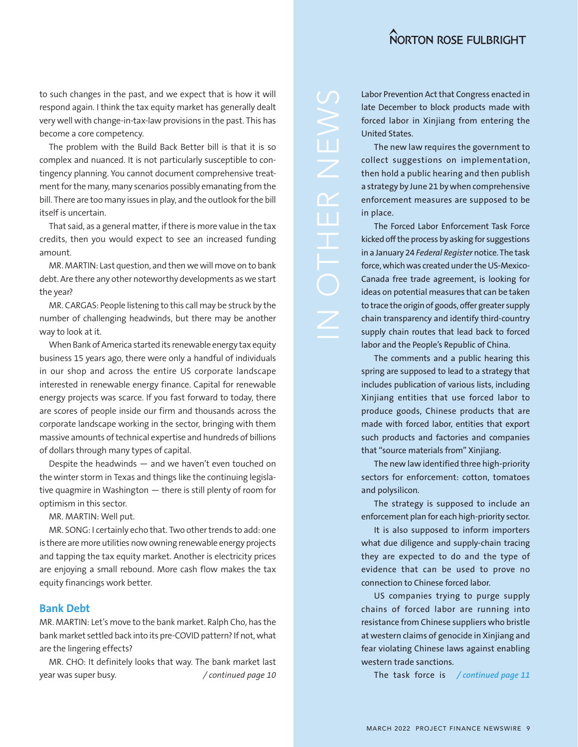to such changes in the past, and we expect that is how it will respond again. I think the tax equity market has generally dealt very well with change-in-tax-law provisions in the past. This has become a core competency.

The problem with the Build Back Better bill is that it is so complex and nuanced. It is not particularly susceptible to contingency planning. You cannot document comprehensive treatment for the many, many scenarios possibly emanating from the bill. There are too many issues in play, and the outlook for the bill itself is uncertain.

That said, as a general matter, if there is more value in the tax credits, then you would expect to see an increased funding amount.

MR. MARTIN: Last question, and then we will move on to bank debt. Are there any other noteworthy developments as we start the year?

MR. CARGAS: People listening to this call may be struck by the number of challenging headwinds, but there may be another way to look at it.

When Bank of America started its renewable energy tax equity business 15 years ago, there were only a handful of individuals in our shop and across the entire US corporate landscape interested in renewable energy finance. Capital for renewable energy projects was scarce. If you fast forward to today, there are scores of people inside our firm and thousands across the corporate landscape working in the sector, bringing with them massive amounts of technical expertise and hundreds of billions of dollars through many types of capital.

Despite the headwinds — and we haven't even touched on the winter storm in Texas and things like the continuing legislative quagmire in Washington — there is still plenty of room for optimism in this sector.

MR. MARTIN: Well put.

MR. SONG: I certainly echo that. Two other trends to add: one is there are more utilities now owning renewable energy projects and tapping the tax equity market. Another is electricity prices are enjoying a small rebound. More cash flow makes the tax equity financings work better.

#### **Bank Debt**

MR. MARTIN: Let's move to the bank market. Ralph Cho, has the bank market settled back into its pre-COVID pattern? If not, what are the lingering effects?

MR. CHO: It definitely looks that way. The bank market last year was super busy.

Labor Prevention Act that Congress enacted in late December to block products made with forced labor in Xinjiang from entering the United States.

The new law requires the government to collect suggestions on implementation, then hold a public hearing and then publish a strategy by June 21 by when comprehensive enforcement measures are supposed to be in place.

The Forced Labor Enforcement Task Force kicked off the process by asking for suggestions in a January 24 *Federal Register* notice. The task force, which was created under the US-Mexico-Canada free trade agreement, is looking for ideas on potential measures that can be taken to trace the origin of goods, offer greater supply chain transparency and identify third-country supply chain routes that lead back to forced labor and the People's Republic of China.

The comments and a public hearing this spring are supposed to lead to a strategy that includes publication of various lists, including Xinjiang entities that use forced labor to produce goods, Chinese products that are made with forced labor, entities that export such products and factories and companies that "source materials from" Xinjiang.

The new law identified three high-priority sectors for enforcement: cotton, tomatoes and polysilicon.

The strategy is supposed to include an enforcement plan for each high-priority sector.

It is also supposed to inform importers what due diligence and supply-chain tracing they are expected to do and the type of evidence that can be used to prove no connection to Chinese forced labor.

US companies trying to purge supply chains of forced labor are running into resistance from Chinese suppliers who bristle at western claims of genocide in Xinjiang and fear violating Chinese laws against enabling western trade sanctions.

*/ continued page 10* The task force is */ continued page 11*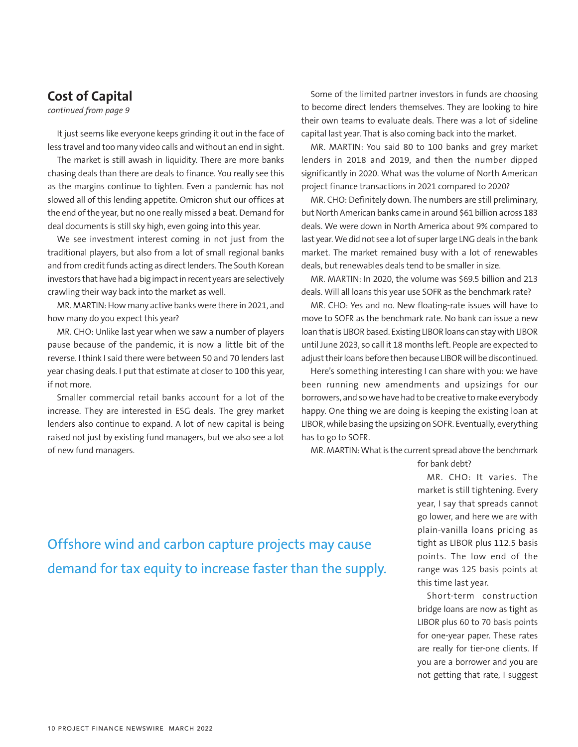# **Cost of Capital**

*continued from page 9*

It just seems like everyone keeps grinding it out in the face of less travel and too many video calls and without an end in sight.

The market is still awash in liquidity. There are more banks chasing deals than there are deals to finance. You really see this as the margins continue to tighten. Even a pandemic has not slowed all of this lending appetite. Omicron shut our offices at the end of the year, but no one really missed a beat. Demand for deal documents is still sky high, even going into this year.

We see investment interest coming in not just from the traditional players, but also from a lot of small regional banks and from credit funds acting as direct lenders. The South Korean investors that have had a big impact in recent years are selectively crawling their way back into the market as well.

MR. MARTIN: How many active banks were there in 2021, and how many do you expect this year?

MR. CHO: Unlike last year when we saw a number of players pause because of the pandemic, it is now a little bit of the reverse. I think I said there were between 50 and 70 lenders last year chasing deals. I put that estimate at closer to 100 this year, if not more.

Smaller commercial retail banks account for a lot of the increase. They are interested in ESG deals. The grey market lenders also continue to expand. A lot of new capital is being raised not just by existing fund managers, but we also see a lot of new fund managers.

Some of the limited partner investors in funds are choosing to become direct lenders themselves. They are looking to hire their own teams to evaluate deals. There was a lot of sideline capital last year. That is also coming back into the market.

MR. MARTIN: You said 80 to 100 banks and grey market lenders in 2018 and 2019, and then the number dipped significantly in 2020. What was the volume of North American project finance transactions in 2021 compared to 2020?

MR. CHO: Definitely down. The numbers are still preliminary, but North American banks came in around \$61 billion across 183 deals. We were down in North America about 9% compared to last year. We did not see a lot of super large LNG deals in the bank market. The market remained busy with a lot of renewables deals, but renewables deals tend to be smaller in size.

MR. MARTIN: In 2020, the volume was \$69.5 billion and 213 deals. Will all loans this year use SOFR as the benchmark rate?

MR. CHO: Yes and no. New floating-rate issues will have to move to SOFR as the benchmark rate. No bank can issue a new loan that is LIBOR based. Existing LIBOR loans can stay with LIBOR until June 2023, so call it 18 months left. People are expected to adjust their loans before then because LIBOR will be discontinued.

Here's something interesting I can share with you: we have been running new amendments and upsizings for our borrowers, and so we have had to be creative to make everybody happy. One thing we are doing is keeping the existing loan at LIBOR, while basing the upsizing on SOFR. Eventually, everything has to go to SOFR.

MR. MARTIN: What is the current spread above the benchmark

for bank debt?

MR. CHO: It varies. The market is still tightening. Every year, I say that spreads cannot go lower, and here we are with plain-vanilla loans pricing as tight as LIBOR plus 112.5 basis points. The low end of the range was 125 basis points at this time last year.

Short-term construction bridge loans are now as tight as LIBOR plus 60 to 70 basis points for one-year paper. These rates are really for tier-one clients. If you are a borrower and you are not getting that rate, I suggest

Offshore wind and carbon capture projects may cause demand for tax equity to increase faster than the supply.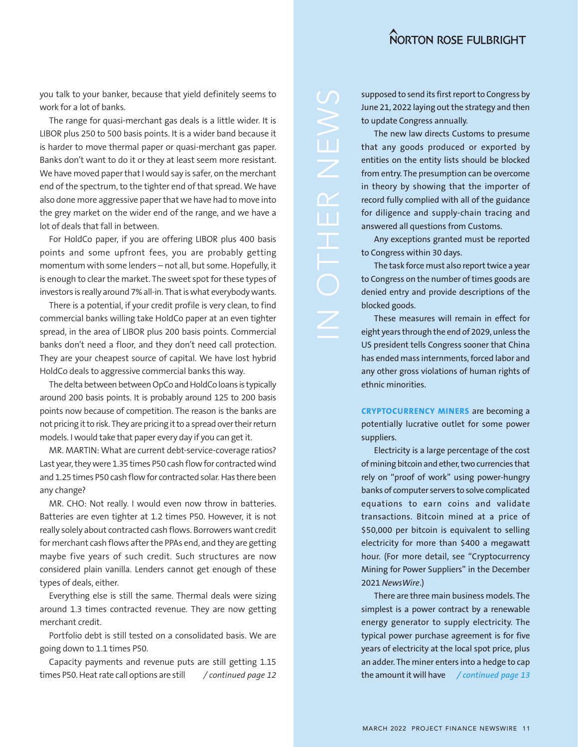you talk to your banker, because that yield definitely seems to work for a lot of banks.

The range for quasi-merchant gas deals is a little wider. It is LIBOR plus 250 to 500 basis points. It is a wider band because it is harder to move thermal paper or quasi-merchant gas paper. Banks don't want to do it or they at least seem more resistant. We have moved paper that I would say is safer, on the merchant end of the spectrum, to the tighter end of that spread. We have also done more aggressive paper that we have had to move into the grey market on the wider end of the range, and we have a lot of deals that fall in between.

For HoldCo paper, if you are offering LIBOR plus 400 basis points and some upfront fees, you are probably getting momentum with some lenders – not all, but some. Hopefully, it is enough to clear the market. The sweet spot for these types of investors is really around 7% all-in. That is what everybody wants.

There is a potential, if your credit profile is very clean, to find commercial banks willing take HoldCo paper at an even tighter spread, in the area of LIBOR plus 200 basis points. Commercial banks don't need a floor, and they don't need call protection. They are your cheapest source of capital. We have lost hybrid HoldCo deals to aggressive commercial banks this way.

The delta between between OpCo and HoldCo loans is typically around 200 basis points. It is probably around 125 to 200 basis points now because of competition. The reason is the banks are not pricing it to risk. They are pricing it to a spread over their return models. I would take that paper every day if you can get it.

MR. MARTIN: What are current debt-service-coverage ratios? Last year, they were 1.35 times P50 cash flow for contracted wind and 1.25 times P50 cash flow for contracted solar. Has there been any change?

MR. CHO: Not really. I would even now throw in batteries. Batteries are even tighter at 1.2 times P50. However, it is not really solely about contracted cash flows. Borrowers want credit for merchant cash flows after the PPAs end, and they are getting maybe five years of such credit. Such structures are now considered plain vanilla. Lenders cannot get enough of these types of deals, either.

Everything else is still the same. Thermal deals were sizing around 1.3 times contracted revenue. They are now getting merchant credit.

Portfolio debt is still tested on a consolidated basis. We are going down to 1.1 times P50.

the amount it will have times P50. Heat rate call options are still */ continued page 12 / continued page 13*Capacity payments and revenue puts are still getting 1.15

supposed to send its first report to Congress by June 21, 2022 laying out the strategy and then to update Congress annually.

The new law directs Customs to presume that any goods produced or exported by entities on the entity lists should be blocked from entry. The presumption can be overcome in theory by showing that the importer of record fully complied with all of the guidance for diligence and supply-chain tracing and answered all questions from Customs.

Any exceptions granted must be reported to Congress within 30 days.

The task force must also report twice a year to Congress on the number of times goods are denied entry and provide descriptions of the blocked goods.

These measures will remain in effect for eight years through the end of 2029, unless the US president tells Congress sooner that China has ended mass internments, forced labor and any other gross violations of human rights of ethnic minorities.

**CRYPTOCURRENCY MINERS** are becoming a potentially lucrative outlet for some power suppliers.

Electricity is a large percentage of the cost of mining bitcoin and ether, two currencies that rely on "proof of work" using power-hungry banks of computer servers to solve complicated equations to earn coins and validate transactions. Bitcoin mined at a price of \$50,000 per bitcoin is equivalent to selling electricity for more than \$400 a megawatt hour. (For more detail, see "Cryptocurrency Mining for Power Suppliers" in the December 2021 *NewsWire*.)

There are three main business models. The simplest is a power contract by a renewable energy generator to supply electricity. The typical power purchase agreement is for five years of electricity at the local spot price, plus an adder. The miner enters into a hedge to cap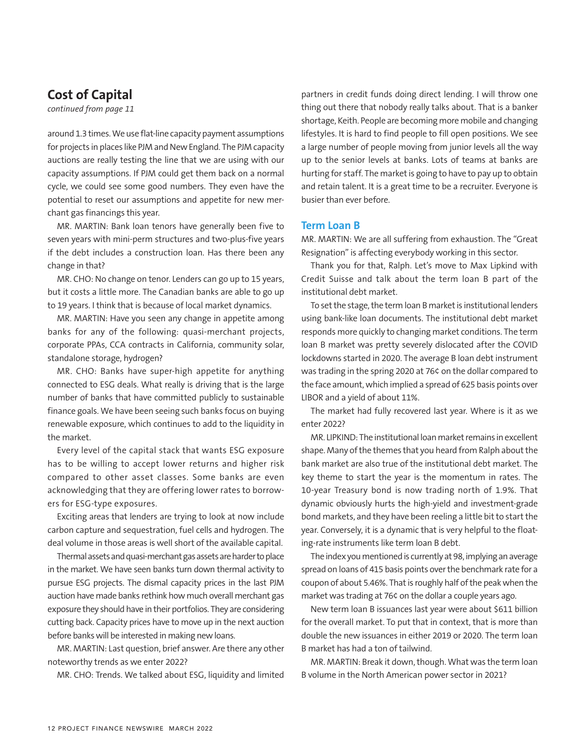# **Cost of Capital**

*continued from page 11*

around 1.3 times. We use flat-line capacity payment assumptions for projects in places like PJM and New England. The PJM capacity auctions are really testing the line that we are using with our capacity assumptions. If PJM could get them back on a normal cycle, we could see some good numbers. They even have the potential to reset our assumptions and appetite for new merchant gas financings this year.

MR. MARTIN: Bank loan tenors have generally been five to seven years with mini-perm structures and two-plus-five years if the debt includes a construction loan. Has there been any change in that?

MR. CHO: No change on tenor. Lenders can go up to 15 years, but it costs a little more. The Canadian banks are able to go up to 19 years. I think that is because of local market dynamics.

MR. MARTIN: Have you seen any change in appetite among banks for any of the following: quasi-merchant projects, corporate PPAs, CCA contracts in California, community solar, standalone storage, hydrogen?

MR. CHO: Banks have super-high appetite for anything connected to ESG deals. What really is driving that is the large number of banks that have committed publicly to sustainable finance goals. We have been seeing such banks focus on buying renewable exposure, which continues to add to the liquidity in the market.

Every level of the capital stack that wants ESG exposure has to be willing to accept lower returns and higher risk compared to other asset classes. Some banks are even acknowledging that they are offering lower rates to borrowers for ESG-type exposures.

Exciting areas that lenders are trying to look at now include carbon capture and sequestration, fuel cells and hydrogen. The deal volume in those areas is well short of the available capital.

Thermal assets and quasi-merchant gas assets are harder to place in the market. We have seen banks turn down thermal activity to pursue ESG projects. The dismal capacity prices in the last PJM auction have made banks rethink how much overall merchant gas exposure they should have in their portfolios. They are considering cutting back. Capacity prices have to move up in the next auction before banks will be interested in making new loans.

MR. MARTIN: Last question, brief answer. Are there any other noteworthy trends as we enter 2022?

MR. CHO: Trends. We talked about ESG, liquidity and limited

partners in credit funds doing direct lending. I will throw one thing out there that nobody really talks about. That is a banker shortage, Keith. People are becoming more mobile and changing lifestyles. It is hard to find people to fill open positions. We see a large number of people moving from junior levels all the way up to the senior levels at banks. Lots of teams at banks are hurting for staff. The market is going to have to pay up to obtain and retain talent. It is a great time to be a recruiter. Everyone is busier than ever before.

#### **Term Loan B**

MR. MARTIN: We are all suffering from exhaustion. The "Great Resignation" is affecting everybody working in this sector.

Thank you for that, Ralph. Let's move to Max Lipkind with Credit Suisse and talk about the term loan B part of the institutional debt market.

To set the stage, the term loan B market is institutional lenders using bank-like loan documents. The institutional debt market responds more quickly to changing market conditions. The term loan B market was pretty severely dislocated after the COVID lockdowns started in 2020. The average B loan debt instrument was trading in the spring 2020 at 76¢ on the dollar compared to the face amount, which implied a spread of 625 basis points over LIBOR and a yield of about 11%.

The market had fully recovered last year. Where is it as we enter 2022?

MR. LIPKIND: The institutional loan market remains in excellent shape. Many of the themes that you heard from Ralph about the bank market are also true of the institutional debt market. The key theme to start the year is the momentum in rates. The 10-year Treasury bond is now trading north of 1.9%. That dynamic obviously hurts the high-yield and investment-grade bond markets, and they have been reeling a little bit to start the year. Conversely, it is a dynamic that is very helpful to the floating-rate instruments like term loan B debt.

The index you mentioned is currently at 98, implying an average spread on loans of 415 basis points over the benchmark rate for a coupon of about 5.46%. That is roughly half of the peak when the market was trading at 76¢ on the dollar a couple years ago.

New term loan B issuances last year were about \$611 billion for the overall market. To put that in context, that is more than double the new issuances in either 2019 or 2020. The term loan B market has had a ton of tailwind.

MR. MARTIN: Break it down, though. What was the term loan B volume in the North American power sector in 2021?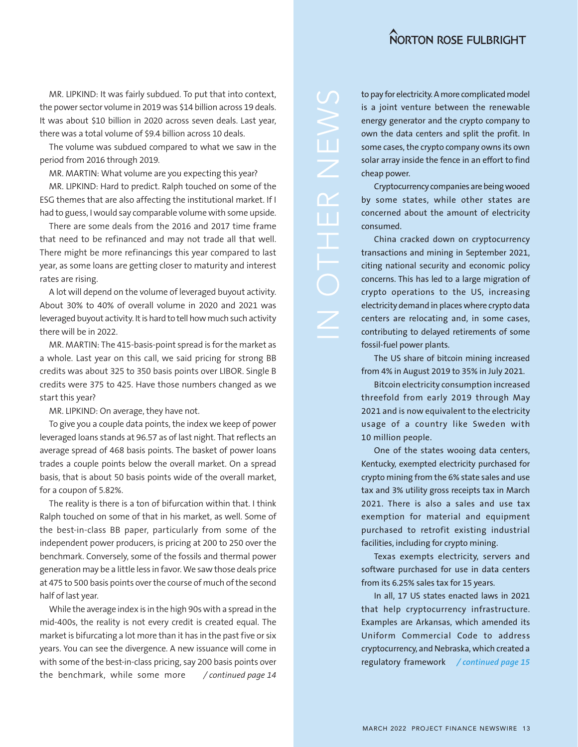MR. LIPKIND: It was fairly subdued. To put that into context, the power sector volume in 2019 was \$14 billion across 19 deals. It was about \$10 billion in 2020 across seven deals. Last year, there was a total volume of \$9.4 billion across 10 deals.

The volume was subdued compared to what we saw in the period from 2016 through 2019.

MR. MARTIN: What volume are you expecting this year?

MR. LIPKIND: Hard to predict. Ralph touched on some of the ESG themes that are also affecting the institutional market. If I had to guess, I would say comparable volume with some upside.

There are some deals from the 2016 and 2017 time frame that need to be refinanced and may not trade all that well. There might be more refinancings this year compared to last year, as some loans are getting closer to maturity and interest rates are rising.

A lot will depend on the volume of leveraged buyout activity. About 30% to 40% of overall volume in 2020 and 2021 was leveraged buyout activity. It is hard to tell how much such activity there will be in 2022.

MR. MARTIN: The 415-basis-point spread is for the market as a whole. Last year on this call, we said pricing for strong BB credits was about 325 to 350 basis points over LIBOR. Single B credits were 375 to 425. Have those numbers changed as we start this year?

MR. LIPKIND: On average, they have not.

To give you a couple data points, the index we keep of power leveraged loans stands at 96.57 as of last night. That reflects an average spread of 468 basis points. The basket of power loans trades a couple points below the overall market. On a spread basis, that is about 50 basis points wide of the overall market, for a coupon of 5.82%.

The reality is there is a ton of bifurcation within that. I think Ralph touched on some of that in his market, as well. Some of the best-in-class BB paper, particularly from some of the independent power producers, is pricing at 200 to 250 over the benchmark. Conversely, some of the fossils and thermal power generation may be a little less in favor. We saw those deals price at 475 to 500 basis points over the course of much of the second half of last year.

While the average index is in the high 90s with a spread in the mid-400s, the reality is not every credit is created equal. The market is bifurcating a lot more than it has in the past five or six years. You can see the divergence. A new issuance will come in with some of the best-in-class pricing, say 200 basis points over the benchmark, while some more */ continued page 14*

to pay for electricity. A more complicated model is a joint venture between the renewable energy generator and the crypto company to own the data centers and split the profit. In some cases, the crypto company owns its own solar array inside the fence in an effort to find cheap power.

Cryptocurrency companies are being wooed by some states, while other states are concerned about the amount of electricity consumed.

China cracked down on cryptocurrency transactions and mining in September 2021, citing national security and economic policy concerns. This has led to a large migration of crypto operations to the US, increasing electricity demand in places where crypto data centers are relocating and, in some cases, contributing to delayed retirements of some fossil-fuel power plants.

The US share of bitcoin mining increased from 4% in August 2019 to 35% in July 2021.

Bitcoin electricity consumption increased threefold from early 2019 through May 2021 and is now equivalent to the electricity usage of a country like Sweden with 10 million people.

One of the states wooing data centers, Kentucky, exempted electricity purchased for crypto mining from the 6% state sales and use tax and 3% utility gross receipts tax in March 2021. There is also a sales and use tax exemption for material and equipment purchased to retrofit existing industrial facilities, including for crypto mining.

Texas exempts electricity, servers and software purchased for use in data centers from its 6.25% sales tax for 15 years.

In all, 17 US states enacted laws in 2021 that help cryptocurrency infrastructure. Examples are Arkansas, which amended its Uniform Commercial Code to address cryptocurrency, and Nebraska, which created a regulatory framework */ continued page 15*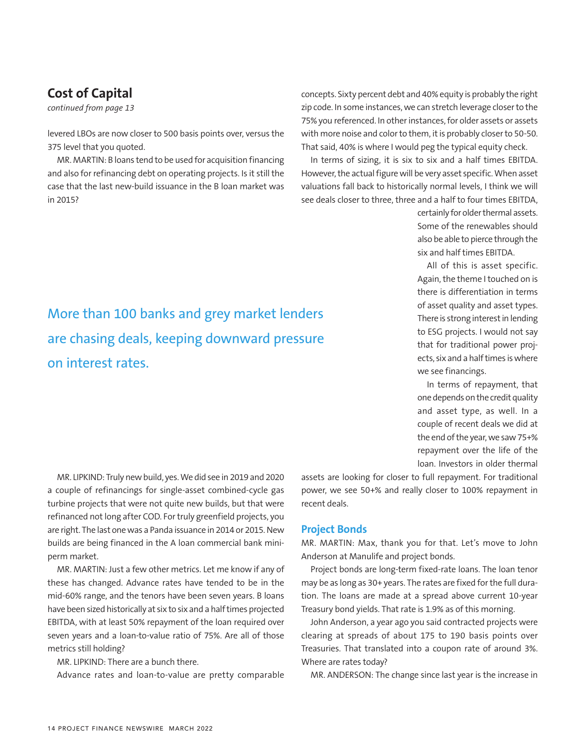# **Cost of Capital**

*continued from page 13*

levered LBOs are now closer to 500 basis points over, versus the 375 level that you quoted.

MR. MARTIN: B loans tend to be used for acquisition financing and also for refinancing debt on operating projects. Is it still the case that the last new-build issuance in the B loan market was in 2015?

More than 100 banks and grey market lenders are chasing deals, keeping downward pressure on interest rates.

concepts. Sixty percent debt and 40% equity is probably the right zip code. In some instances, we can stretch leverage closer to the 75% you referenced. In other instances, for older assets or assets with more noise and color to them, it is probably closer to 50-50. That said, 40% is where I would peg the typical equity check.

In terms of sizing, it is six to six and a half times EBITDA. However, the actual figure will be very asset specific. When asset valuations fall back to historically normal levels, I think we will see deals closer to three, three and a half to four times EBITDA,

> certainly for older thermal assets. Some of the renewables should also be able to pierce through the six and half times EBITDA.

> All of this is asset specific. Again, the theme I touched on is there is differentiation in terms of asset quality and asset types. There is strong interest in lending to ESG projects. I would not say that for traditional power projects, six and a half times is where we see financings.

> In terms of repayment, that one depends on the credit quality and asset type, as well. In a couple of recent deals we did at the end of the year, we saw 75+% repayment over the life of the loan. Investors in older thermal

MR. LIPKIND: Truly new build, yes. We did see in 2019 and 2020 a couple of refinancings for single-asset combined-cycle gas turbine projects that were not quite new builds, but that were refinanced not long after COD. For truly greenfield projects, you are right. The last one was a Panda issuance in 2014 or 2015. New builds are being financed in the A loan commercial bank miniperm market.

MR. MARTIN: Just a few other metrics. Let me know if any of these has changed. Advance rates have tended to be in the mid-60% range, and the tenors have been seven years. B loans have been sized historically at six to six and a half times projected EBITDA, with at least 50% repayment of the loan required over seven years and a loan-to-value ratio of 75%. Are all of those metrics still holding?

MR. LIPKIND: There are a bunch there.

Advance rates and loan-to-value are pretty comparable

assets are looking for closer to full repayment. For traditional power, we see 50+% and really closer to 100% repayment in recent deals.

#### **Project Bonds**

MR. MARTIN: Max, thank you for that. Let's move to John Anderson at Manulife and project bonds.

Project bonds are long-term fixed-rate loans. The loan tenor may be as long as 30+ years. The rates are fixed for the full duration. The loans are made at a spread above current 10-year Treasury bond yields. That rate is 1.9% as of this morning.

John Anderson, a year ago you said contracted projects were clearing at spreads of about 175 to 190 basis points over Treasuries. That translated into a coupon rate of around 3%. Where are rates today?

MR. ANDERSON: The change since last year is the increase in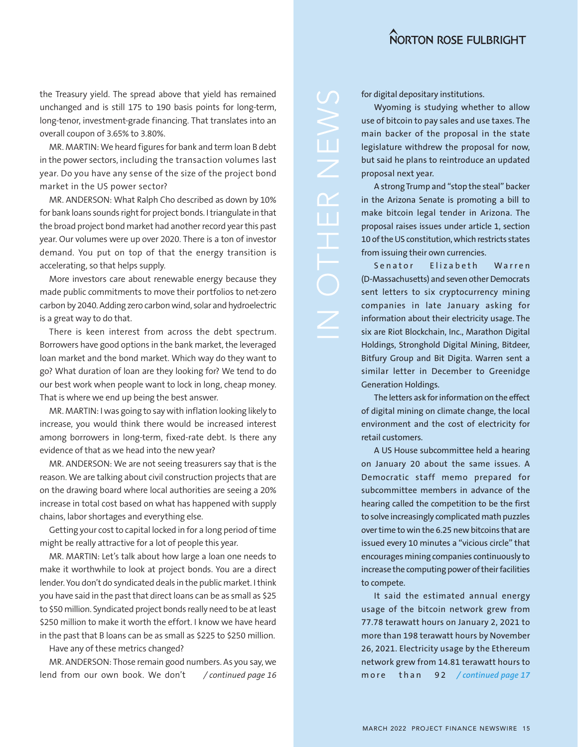the Treasury yield. The spread above that yield has remained unchanged and is still 175 to 190 basis points for long-term, long-tenor, investment-grade financing. That translates into an overall coupon of 3.65% to 3.80%.

MR. MARTIN: We heard figures for bank and term loan B debt in the power sectors, including the transaction volumes last year. Do you have any sense of the size of the project bond market in the US power sector?

MR. ANDERSON: What Ralph Cho described as down by 10% for bank loans sounds right for project bonds. I triangulate in that the broad project bond market had another record year this past year. Our volumes were up over 2020. There is a ton of investor demand. You put on top of that the energy transition is accelerating, so that helps supply.

More investors care about renewable energy because they made public commitments to move their portfolios to net-zero carbon by 2040. Adding zero carbon wind, solar and hydroelectric is a great way to do that.

There is keen interest from across the debt spectrum. Borrowers have good options in the bank market, the leveraged loan market and the bond market. Which way do they want to go? What duration of loan are they looking for? We tend to do our best work when people want to lock in long, cheap money. That is where we end up being the best answer.

MR. MARTIN: I was going to say with inflation looking likely to increase, you would think there would be increased interest among borrowers in long-term, fixed-rate debt. Is there any evidence of that as we head into the new year?

MR. ANDERSON: We are not seeing treasurers say that is the reason. We are talking about civil construction projects that are on the drawing board where local authorities are seeing a 20% increase in total cost based on what has happened with supply chains, labor shortages and everything else.

Getting your cost to capital locked in for a long period of time might be really attractive for a lot of people this year.

MR. MARTIN: Let's talk about how large a loan one needs to make it worthwhile to look at project bonds. You are a direct lender. You don't do syndicated deals in the public market. I think you have said in the past that direct loans can be as small as \$25 to \$50 million. Syndicated project bonds really need to be at least \$250 million to make it worth the effort. I know we have heard in the past that B loans can be as small as \$225 to \$250 million.

Have any of these metrics changed?

MR. ANDERSON: Those remain good numbers. As you say, we lend from our own book. We don't */ continued page 16* for digital depositary institutions.

Wyoming is studying whether to allow use of bitcoin to pay sales and use taxes. The main backer of the proposal in the state legislature withdrew the proposal for now, but said he plans to reintroduce an updated proposal next year.

A strong Trump and "stop the steal" backer in the Arizona Senate is promoting a bill to make bitcoin legal tender in Arizona. The proposal raises issues under article 1, section 10 of the US constitution, which restricts states from issuing their own currencies.

Senator Elizabeth Warren (D-Massachusetts) and seven other Democrats sent letters to six cryptocurrency mining companies in late January asking for information about their electricity usage. The six are Riot Blockchain, Inc., Marathon Digital Holdings, Stronghold Digital Mining, Bitdeer, Bitfury Group and Bit Digita. Warren sent a similar letter in December to Greenidge Generation Holdings.

The letters ask for information on the effect of digital mining on climate change, the local environment and the cost of electricity for retail customers.

A US House subcommittee held a hearing on January 20 about the same issues. A Democratic staff memo prepared for subcommittee members in advance of the hearing called the competition to be the first to solve increasingly complicated math puzzles over time to win the 6.25 new bitcoins that are issued every 10 minutes a "vicious circle" that encourages mining companies continuously to increase the computing power of their facilities to compete.

It said the estimated annual energy usage of the bitcoin network grew from 77.78 terawatt hours on January 2, 2021 to more than 198 terawatt hours by November 26, 2021. Electricity usage by the Ethereum network grew from 14.81 terawatt hours to m ore than 92 / continued page 17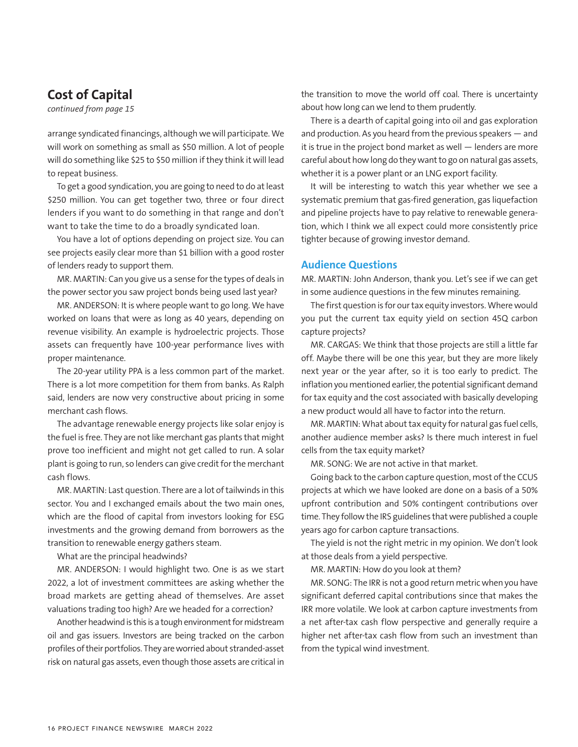# **Cost of Capital**

*continued from page 15*

arrange syndicated financings, although we will participate. We will work on something as small as \$50 million. A lot of people will do something like \$25 to \$50 million if they think it will lead to repeat business.

To get a good syndication, you are going to need to do at least \$250 million. You can get together two, three or four direct lenders if you want to do something in that range and don't want to take the time to do a broadly syndicated loan.

You have a lot of options depending on project size. You can see projects easily clear more than \$1 billion with a good roster of lenders ready to support them.

MR. MARTIN: Can you give us a sense for the types of deals in the power sector you saw project bonds being used last year?

MR. ANDERSON: It is where people want to go long. We have worked on loans that were as long as 40 years, depending on revenue visibility. An example is hydroelectric projects. Those assets can frequently have 100-year performance lives with proper maintenance.

The 20-year utility PPA is a less common part of the market. There is a lot more competition for them from banks. As Ralph said, lenders are now very constructive about pricing in some merchant cash flows.

The advantage renewable energy projects like solar enjoy is the fuel is free. They are not like merchant gas plants that might prove too inefficient and might not get called to run. A solar plant is going to run, so lenders can give credit for the merchant cash flows.

MR. MARTIN: Last question. There are a lot of tailwinds in this sector. You and I exchanged emails about the two main ones, which are the flood of capital from investors looking for ESG investments and the growing demand from borrowers as the transition to renewable energy gathers steam.

What are the principal headwinds?

MR. ANDERSON: I would highlight two. One is as we start 2022, a lot of investment committees are asking whether the broad markets are getting ahead of themselves. Are asset valuations trading too high? Are we headed for a correction?

Another headwind is this is a tough environment for midstream oil and gas issuers. Investors are being tracked on the carbon profiles of their portfolios. They are worried about stranded-asset risk on natural gas assets, even though those assets are critical in the transition to move the world off coal. There is uncertainty about how long can we lend to them prudently.

There is a dearth of capital going into oil and gas exploration and production. As you heard from the previous speakers — and it is true in the project bond market as well — lenders are more careful about how long do they want to go on natural gas assets, whether it is a power plant or an LNG export facility.

It will be interesting to watch this year whether we see a systematic premium that gas-fired generation, gas liquefaction and pipeline projects have to pay relative to renewable generation, which I think we all expect could more consistently price tighter because of growing investor demand.

#### **Audience Questions**

MR. MARTIN: John Anderson, thank you. Let's see if we can get in some audience questions in the few minutes remaining.

The first question is for our tax equity investors. Where would you put the current tax equity yield on section 45Q carbon capture projects?

MR. CARGAS: We think that those projects are still a little far off. Maybe there will be one this year, but they are more likely next year or the year after, so it is too early to predict. The inflation you mentioned earlier, the potential significant demand for tax equity and the cost associated with basically developing a new product would all have to factor into the return.

MR. MARTIN: What about tax equity for natural gas fuel cells, another audience member asks? Is there much interest in fuel cells from the tax equity market?

MR. SONG: We are not active in that market.

Going back to the carbon capture question, most of the CCUS projects at which we have looked are done on a basis of a 50% upfront contribution and 50% contingent contributions over time. They follow the IRS guidelines that were published a couple years ago for carbon capture transactions.

The yield is not the right metric in my opinion. We don't look at those deals from a yield perspective.

MR. MARTIN: How do you look at them?

MR. SONG: The IRR is not a good return metric when you have significant deferred capital contributions since that makes the IRR more volatile. We look at carbon capture investments from a net after-tax cash flow perspective and generally require a higher net after-tax cash flow from such an investment than from the typical wind investment.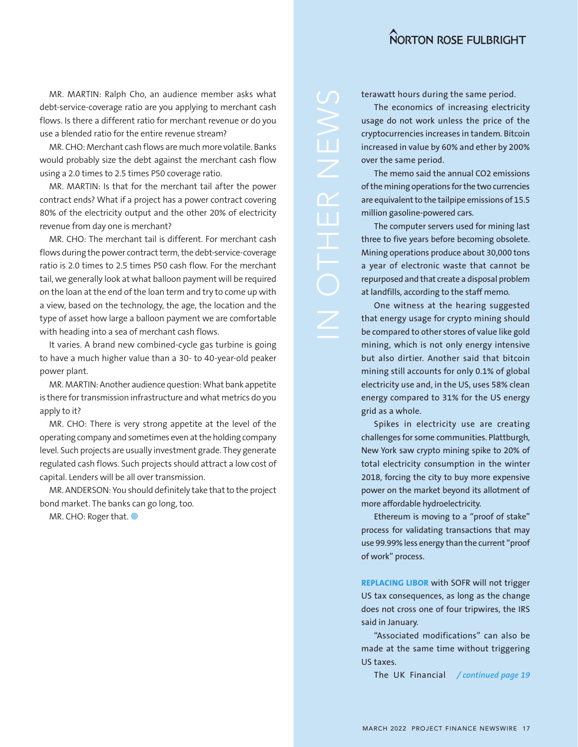MR. MARTIN: Ralph Cho, an audience member asks what debt-service-coverage ratio are you applying to merchant cash flows. Is there a different ratio for merchant revenue or do you use a blended ratio for the entire revenue stream?

MR. CHO: Merchant cash flows are much more volatile. Banks would probably size the debt against the merchant cash flow using a 2.0 times to 2.5 times P50 coverage ratio.

MR. MARTIN: Is that for the merchant tail after the power contract ends? What if a project has a power contract covering 80% of the electricity output and the other 20% of electricity revenue from day one is merchant?

MR. CHO: The merchant tail is different. For merchant cash flows during the power contract term, the debt-service-coverage ratio is 2.0 times to 2.5 times P50 cash flow. For the merchant tail, we generally look at what balloon payment will be required on the loan at the end of the loan term and try to come up with a view, based on the technology, the age, the location and the type of asset how large a balloon payment we are comfortable with heading into a sea of merchant cash flows.

It varies. A brand new combined-cycle gas turbine is going to have a much higher value than a 30- to 40-year-old peaker power plant.

MR. MARTIN: Another audience question: What bank appetite is there for transmission infrastructure and what metrics do you apply to it?

MR. CHO: There is very strong appetite at the level of the operating company and sometimes even at the holding company level. Such projects are usually investment grade. They generate regulated cash flows. Such projects should attract a low cost of capital. Lenders will be all over transmission.

MR. ANDERSON: You should definitely take that to the project bond market. The banks can go long, too.

MR. CHO: Roger that. @

terawatt hours during the same period.

The economics of increasing electricity usage do not work unless the price of the cryptocurrencies increases in tandem. Bitcoin increased in value by 60% and ether by 200% over the same period.

The memo said the annual CO2 emissions of the mining operations for the two currencies are equivalent to the tailpipe emissions of 15.5 million gasoline-powered cars.

N OTHER NEWS

The computer servers used for mining last three to five years before becoming obsolete. Mining operations produce about 30,000 tons a year of electronic waste that cannot be repurposed and that create a disposal problem at landfills, according to the staff memo.

One witness at the hearing suggested that energy usage for crypto mining should be compared to other stores of value like gold mining, which is not only energy intensive but also dirtier. Another said that bitcoin mining still accounts for only 0.1% of global electricity use and, in the US, uses 58% clean energy compared to 31% for the US energy grid as a whole.

Spikes in electricity use are creating challenges for some communities. Plattburgh, New York saw crypto mining spike to 20% of total electricity consumption in the winter 2018, forcing the city to buy more expensive power on the market beyond its allotment of more affordable hydroelectricity.

Ethereum is moving to a "proof of stake" process for validating transactions that may use 99.99% less energy than the current "proof of work" process.

**REPLACING LIBOR** with SOFR will not trigger US tax consequences, as long as the change does not cross one of four tripwires, the IRS said in January.

"Associated modifications" can also be made at the same time without triggering US taxes.

The UK Financial */ continued page 19*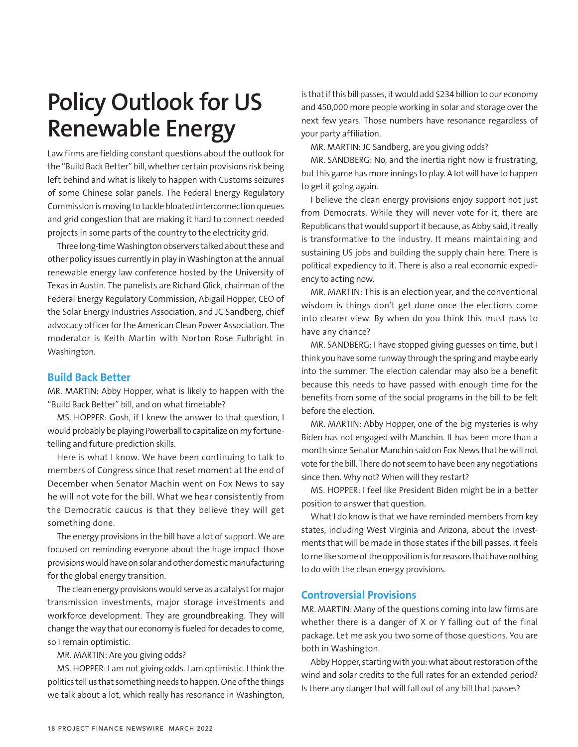# **Policy Outlook for US Renewable Energy**

Law firms are fielding constant questions about the outlook for the "Build Back Better" bill, whether certain provisions risk being left behind and what is likely to happen with Customs seizures of some Chinese solar panels. The Federal Energy Regulatory Commission is moving to tackle bloated interconnection queues and grid congestion that are making it hard to connect needed projects in some parts of the country to the electricity grid.

Three long-time Washington observers talked about these and other policy issues currently in play in Washington at the annual renewable energy law conference hosted by the University of Texas in Austin. The panelists are Richard Glick, chairman of the Federal Energy Regulatory Commission, Abigail Hopper, CEO of the Solar Energy Industries Association, and JC Sandberg, chief advocacy officer for the American Clean Power Association. The moderator is Keith Martin with Norton Rose Fulbright in Washington.

#### **Build Back Better**

MR. MARTIN: Abby Hopper, what is likely to happen with the "Build Back Better" bill, and on what timetable?

MS. HOPPER: Gosh, if I knew the answer to that question, I would probably be playing Powerball to capitalize on my fortunetelling and future-prediction skills.

Here is what I know. We have been continuing to talk to members of Congress since that reset moment at the end of December when Senator Machin went on Fox News to say he will not vote for the bill. What we hear consistently from the Democratic caucus is that they believe they will get something done.

The energy provisions in the bill have a lot of support. We are focused on reminding everyone about the huge impact those provisions would have on solar and other domestic manufacturing for the global energy transition.

The clean energy provisions would serve as a catalyst for major transmission investments, major storage investments and workforce development. They are groundbreaking. They will change the way that our economy is fueled for decades to come, so I remain optimistic.

MR. MARTIN: Are you giving odds?

MS. HOPPER: I am not giving odds. I am optimistic. I think the politics tell us that something needs to happen. One of the things we talk about a lot, which really has resonance in Washington, is that if this bill passes, it would add \$234 billion to our economy and 450,000 more people working in solar and storage over the next few years. Those numbers have resonance regardless of your party affiliation.

MR. MARTIN: JC Sandberg, are you giving odds?

MR. SANDBERG: No, and the inertia right now is frustrating, but this game has more innings to play. A lot will have to happen to get it going again.

I believe the clean energy provisions enjoy support not just from Democrats. While they will never vote for it, there are Republicans that would support it because, as Abby said, it really is transformative to the industry. It means maintaining and sustaining US jobs and building the supply chain here. There is political expediency to it. There is also a real economic expediency to acting now.

MR. MARTIN: This is an election year, and the conventional wisdom is things don't get done once the elections come into clearer view. By when do you think this must pass to have any chance?

MR. SANDBERG: I have stopped giving guesses on time, but I think you have some runway through the spring and maybe early into the summer. The election calendar may also be a benefit because this needs to have passed with enough time for the benefits from some of the social programs in the bill to be felt before the election.

MR. MARTIN: Abby Hopper, one of the big mysteries is why Biden has not engaged with Manchin. It has been more than a month since Senator Manchin said on Fox News that he will not vote for the bill. There do not seem to have been any negotiations since then. Why not? When will they restart?

MS. HOPPER: I feel like President Biden might be in a better position to answer that question.

What I do know is that we have reminded members from key states, including West Virginia and Arizona, about the investments that will be made in those states if the bill passes. It feels to me like some of the opposition is for reasons that have nothing to do with the clean energy provisions.

#### **Controversial Provisions**

MR. MARTIN: Many of the questions coming into law firms are whether there is a danger of X or Y falling out of the final package. Let me ask you two some of those questions. You are both in Washington.

Abby Hopper, starting with you: what about restoration of the wind and solar credits to the full rates for an extended period? Is there any danger that will fall out of any bill that passes?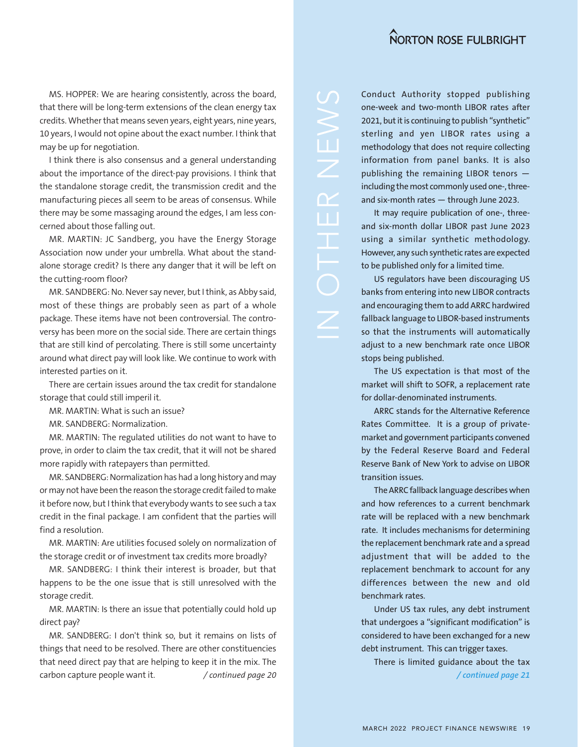MS. HOPPER: We are hearing consistently, across the board, that there will be long-term extensions of the clean energy tax credits. Whether that means seven years, eight years, nine years, 10 years, I would not opine about the exact number. I think that may be up for negotiation.

I think there is also consensus and a general understanding about the importance of the direct-pay provisions. I think that the standalone storage credit, the transmission credit and the manufacturing pieces all seem to be areas of consensus. While there may be some massaging around the edges, I am less concerned about those falling out.

MR. MARTIN: JC Sandberg, you have the Energy Storage Association now under your umbrella. What about the standalone storage credit? Is there any danger that it will be left on the cutting-room floor?

MR. SANDBERG: No. Never say never, but I think, as Abby said, most of these things are probably seen as part of a whole package. These items have not been controversial. The controversy has been more on the social side. There are certain things that are still kind of percolating. There is still some uncertainty around what direct pay will look like. We continue to work with interested parties on it.

There are certain issues around the tax credit for standalone storage that could still imperil it.

MR. MARTIN: What is such an issue?

MR. SANDBERG: Normalization.

MR. MARTIN: The regulated utilities do not want to have to prove, in order to claim the tax credit, that it will not be shared more rapidly with ratepayers than permitted.

MR. SANDBERG: Normalization has had a long history and may or may not have been the reason the storage credit failed to make it before now, but I think that everybody wants to see such a tax credit in the final package. I am confident that the parties will find a resolution.

MR. MARTIN: Are utilities focused solely on normalization of the storage credit or of investment tax credits more broadly?

MR. SANDBERG: I think their interest is broader, but that happens to be the one issue that is still unresolved with the storage credit.

MR. MARTIN: Is there an issue that potentially could hold up direct pay?

MR. SANDBERG: I don't think so, but it remains on lists of things that need to be resolved. There are other constituencies that need direct pay that are helping to keep it in the mix. The carbon capture people want it. */ continued page 20*

Conduct Authority stopped publishing one-week and two-month LIBOR rates after 2021, but it is continuing to publish "synthetic" sterling and yen LIBOR rates using a methodology that does not require collecting information from panel banks. It is also publishing the remaining LIBOR tenors including the most commonly used one-, threeand six-month rates — through June 2023.

It may require publication of one-, threeand six-month dollar LIBOR past June 2023 using a similar synthetic methodology. However, any such synthetic rates are expected to be published only for a limited time.

US regulators have been discouraging US banks from entering into new LIBOR contracts and encouraging them to add ARRC hardwired fallback language to LIBOR-based instruments so that the instruments will automatically adjust to a new benchmark rate once LIBOR stops being published.

The US expectation is that most of the market will shift to SOFR, a replacement rate for dollar-denominated instruments.

ARRC stands for the Alternative Reference Rates Committee. It is a group of privatemarket and government participants convened by the Federal Reserve Board and Federal Reserve Bank of New York to advise on LIBOR transition issues.

The ARRC fallback language describes when and how references to a current benchmark rate will be replaced with a new benchmark rate. It includes mechanisms for determining the replacement benchmark rate and a spread adjustment that will be added to the replacement benchmark to account for any differences between the new and old benchmark rates.

Under US tax rules, any debt instrument that undergoes a "significant modification" is considered to have been exchanged for a new debt instrument. This can trigger taxes.

There is limited guidance about the tax */ continued page 21*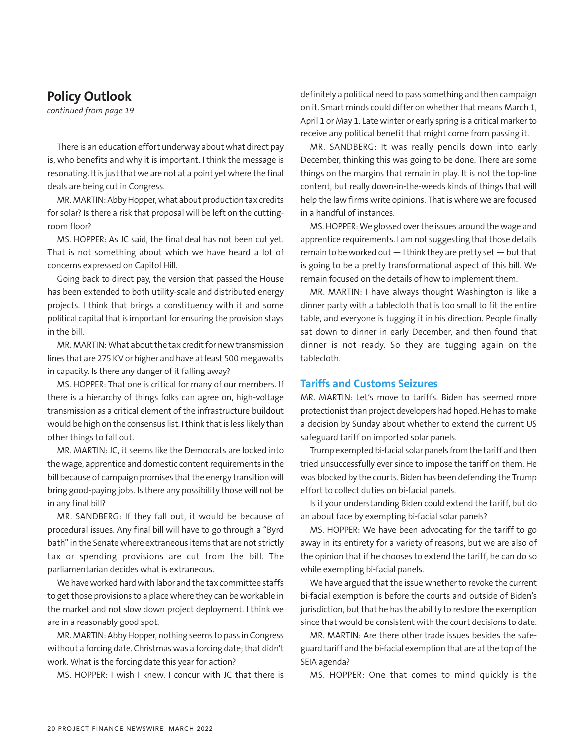# **Policy Outlook**

*continued from page 19*

There is an education effort underway about what direct pay is, who benefits and why it is important. I think the message is resonating. It is just that we are not at a point yet where the final deals are being cut in Congress.

MR. MARTIN: Abby Hopper, what about production tax credits for solar? Is there a risk that proposal will be left on the cuttingroom floor?

MS. HOPPER: As JC said, the final deal has not been cut yet. That is not something about which we have heard a lot of concerns expressed on Capitol Hill.

Going back to direct pay, the version that passed the House has been extended to both utility-scale and distributed energy projects. I think that brings a constituency with it and some political capital that is important for ensuring the provision stays in the bill.

MR. MARTIN: What about the tax credit for new transmission lines that are 275 KV or higher and have at least 500 megawatts in capacity. Is there any danger of it falling away?

MS. HOPPER: That one is critical for many of our members. If there is a hierarchy of things folks can agree on, high-voltage transmission as a critical element of the infrastructure buildout would be high on the consensus list. I think that is less likely than other things to fall out.

MR. MARTIN: JC, it seems like the Democrats are locked into the wage, apprentice and domestic content requirements in the bill because of campaign promises that the energy transition will bring good-paying jobs. Is there any possibility those will not be in any final bill?

MR. SANDBERG: If they fall out, it would be because of procedural issues. Any final bill will have to go through a "Byrd bath" in the Senate where extraneous items that are not strictly tax or spending provisions are cut from the bill. The parliamentarian decides what is extraneous.

We have worked hard with labor and the tax committee staffs to get those provisions to a place where they can be workable in the market and not slow down project deployment. I think we are in a reasonably good spot.

MR. MARTIN: Abby Hopper, nothing seems to pass in Congress without a forcing date. Christmas was a forcing date; that didn't work. What is the forcing date this year for action?

MS. HOPPER: I wish I knew. I concur with JC that there is

definitely a political need to pass something and then campaign on it. Smart minds could differ on whether that means March 1, April 1 or May 1. Late winter or early spring is a critical marker to receive any political benefit that might come from passing it.

MR. SANDBERG: It was really pencils down into early December, thinking this was going to be done. There are some things on the margins that remain in play. It is not the top-line content, but really down-in-the-weeds kinds of things that will help the law firms write opinions. That is where we are focused in a handful of instances.

MS. HOPPER: We glossed over the issues around the wage and apprentice requirements. I am not suggesting that those details remain to be worked out  $-1$  think they are pretty set  $-$  but that is going to be a pretty transformational aspect of this bill. We remain focused on the details of how to implement them.

MR. MARTIN: I have always thought Washington is like a dinner party with a tablecloth that is too small to fit the entire table, and everyone is tugging it in his direction. People finally sat down to dinner in early December, and then found that dinner is not ready. So they are tugging again on the tablecloth.

#### **Tariffs and Customs Seizures**

MR. MARTIN: Let's move to tariffs. Biden has seemed more protectionist than project developers had hoped. He has to make a decision by Sunday about whether to extend the current US safeguard tariff on imported solar panels.

Trump exempted bi-facial solar panels from the tariff and then tried unsuccessfully ever since to impose the tariff on them. He was blocked by the courts. Biden has been defending the Trump effort to collect duties on bi-facial panels.

Is it your understanding Biden could extend the tariff, but do an about face by exempting bi-facial solar panels?

MS. HOPPER: We have been advocating for the tariff to go away in its entirety for a variety of reasons, but we are also of the opinion that if he chooses to extend the tariff, he can do so while exempting bi-facial panels.

We have argued that the issue whether to revoke the current bi-facial exemption is before the courts and outside of Biden's jurisdiction, but that he has the ability to restore the exemption since that would be consistent with the court decisions to date.

MR. MARTIN: Are there other trade issues besides the safeguard tariff and the bi-facial exemption that are at the top of the SEIA agenda?

MS. HOPPER: One that comes to mind quickly is the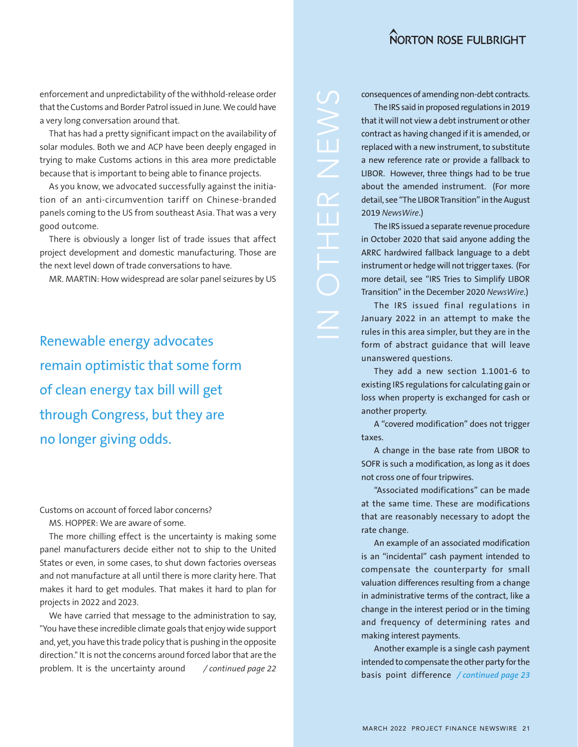enforcement and unpredictability of the withhold-release order that the Customs and Border Patrol issued in June. We could have a very long conversation around that.

That has had a pretty significant impact on the availability of solar modules. Both we and ACP have been deeply engaged in trying to make Customs actions in this area more predictable because that is important to being able to finance projects.

As you know, we advocated successfully against the initiation of an anti-circumvention tariff on Chinese-branded panels coming to the US from southeast Asia. That was a very good outcome.

There is obviously a longer list of trade issues that affect project development and domestic manufacturing. Those are the next level down of trade conversations to have.

MR. MARTIN: How widespread are solar panel seizures by US

Renewable energy advocates remain optimistic that some form of clean energy tax bill will get through Congress, but they are no longer giving odds.

Customs on account of forced labor concerns?

MS. HOPPER: We are aware of some.

The more chilling effect is the uncertainty is making some panel manufacturers decide either not to ship to the United States or even, in some cases, to shut down factories overseas and not manufacture at all until there is more clarity here. That makes it hard to get modules. That makes it hard to plan for projects in 2022 and 2023.

We have carried that message to the administration to say, "You have these incredible climate goals that enjoy wide support and, yet, you have this trade policy that is pushing in the opposite direction." It is not the concerns around forced labor that are the problem. It is the uncertainty around */ continued page 22* consequences of amending non-debt contracts.

The IRS said in proposed regulations in 2019 that it will not view a debt instrument or other contract as having changed if it is amended, or replaced with a new instrument, to substitute a new reference rate or provide a fallback to LIBOR. However, three things had to be true about the amended instrument. (For more detail, see "The LIBOR Transition" in the August 2019 *NewsWire*.)

The IRS issued a separate revenue procedure in October 2020 that said anyone adding the ARRC hardwired fallback language to a debt instrument or hedge will not trigger taxes. (For more detail, see "IRS Tries to Simplify LIBOR Transition" in the December 2020 *NewsWire*.)

The IRS issued final regulations in January 2022 in an attempt to make the rules in this area simpler, but they are in the form of abstract guidance that will leave unanswered questions.

They add a new section 1.1001-6 to existing IRS regulations for calculating gain or loss when property is exchanged for cash or another property.

A "covered modification" does not trigger taxes.

A change in the base rate from LIBOR to SOFR is such a modification, as long as it does not cross one of four tripwires.

"Associated modifications" can be made at the same time. These are modifications that are reasonably necessary to adopt the rate change.

An example of an associated modification is an "incidental" cash payment intended to compensate the counterparty for small valuation differences resulting from a change in administrative terms of the contract, like a change in the interest period or in the timing and frequency of determining rates and making interest payments.

Another example is a single cash payment intended to compensate the other party for the basis point difference */ continued page 23*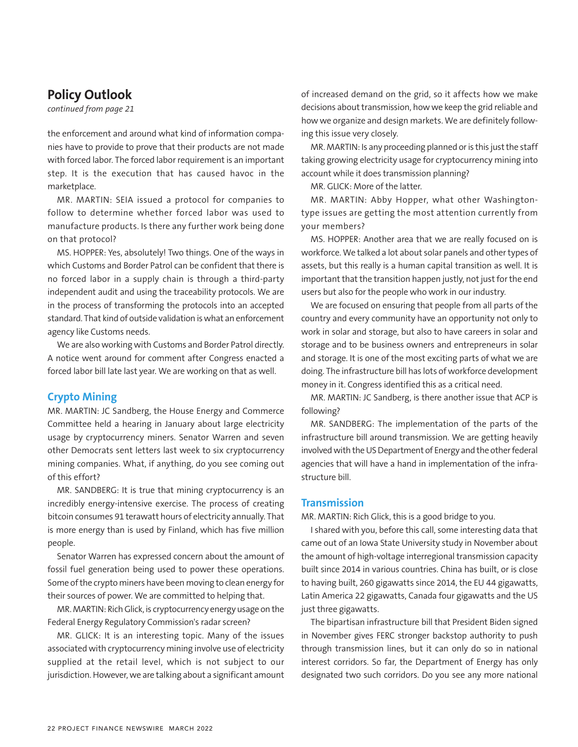# **Policy Outlook**

*continued from page 21*

the enforcement and around what kind of information companies have to provide to prove that their products are not made with forced labor. The forced labor requirement is an important step. It is the execution that has caused havoc in the marketplace.

MR. MARTIN: SEIA issued a protocol for companies to follow to determine whether forced labor was used to manufacture products. Is there any further work being done on that protocol?

MS. HOPPER: Yes, absolutely! Two things. One of the ways in which Customs and Border Patrol can be confident that there is no forced labor in a supply chain is through a third-party independent audit and using the traceability protocols. We are in the process of transforming the protocols into an accepted standard. That kind of outside validation is what an enforcement agency like Customs needs.

We are also working with Customs and Border Patrol directly. A notice went around for comment after Congress enacted a forced labor bill late last year. We are working on that as well.

#### **Crypto Mining**

MR. MARTIN: JC Sandberg, the House Energy and Commerce Committee held a hearing in January about large electricity usage by cryptocurrency miners. Senator Warren and seven other Democrats sent letters last week to six cryptocurrency mining companies. What, if anything, do you see coming out of this effort?

MR. SANDBERG: It is true that mining cryptocurrency is an incredibly energy-intensive exercise. The process of creating bitcoin consumes 91 terawatt hours of electricity annually. That is more energy than is used by Finland, which has five million people.

Senator Warren has expressed concern about the amount of fossil fuel generation being used to power these operations. Some of the crypto miners have been moving to clean energy for their sources of power. We are committed to helping that.

MR. MARTIN: Rich Glick, is cryptocurrency energy usage on the Federal Energy Regulatory Commission's radar screen?

MR. GLICK: It is an interesting topic. Many of the issues associated with cryptocurrency mining involve use of electricity supplied at the retail level, which is not subject to our jurisdiction. However, we are talking about a significant amount of increased demand on the grid, so it affects how we make decisions about transmission, how we keep the grid reliable and how we organize and design markets. We are definitely following this issue very closely.

MR. MARTIN: Is any proceeding planned or is this just the staff taking growing electricity usage for cryptocurrency mining into account while it does transmission planning?

MR. GLICK: More of the latter.

MR. MARTIN: Abby Hopper, what other Washingtontype issues are getting the most attention currently from your members?

MS. HOPPER: Another area that we are really focused on is workforce. We talked a lot about solar panels and other types of assets, but this really is a human capital transition as well. It is important that the transition happen justly, not just for the end users but also for the people who work in our industry.

We are focused on ensuring that people from all parts of the country and every community have an opportunity not only to work in solar and storage, but also to have careers in solar and storage and to be business owners and entrepreneurs in solar and storage. It is one of the most exciting parts of what we are doing. The infrastructure bill has lots of workforce development money in it. Congress identified this as a critical need.

MR. MARTIN: JC Sandberg, is there another issue that ACP is following?

MR. SANDBERG: The implementation of the parts of the infrastructure bill around transmission. We are getting heavily involved with the US Department of Energy and the other federal agencies that will have a hand in implementation of the infrastructure bill.

#### **Transmission**

MR. MARTIN: Rich Glick, this is a good bridge to you.

I shared with you, before this call, some interesting data that came out of an Iowa State University study in November about the amount of high-voltage interregional transmission capacity built since 2014 in various countries. China has built, or is close to having built, 260 gigawatts since 2014, the EU 44 gigawatts, Latin America 22 gigawatts, Canada four gigawatts and the US just three gigawatts.

The bipartisan infrastructure bill that President Biden signed in November gives FERC stronger backstop authority to push through transmission lines, but it can only do so in national interest corridors. So far, the Department of Energy has only designated two such corridors. Do you see any more national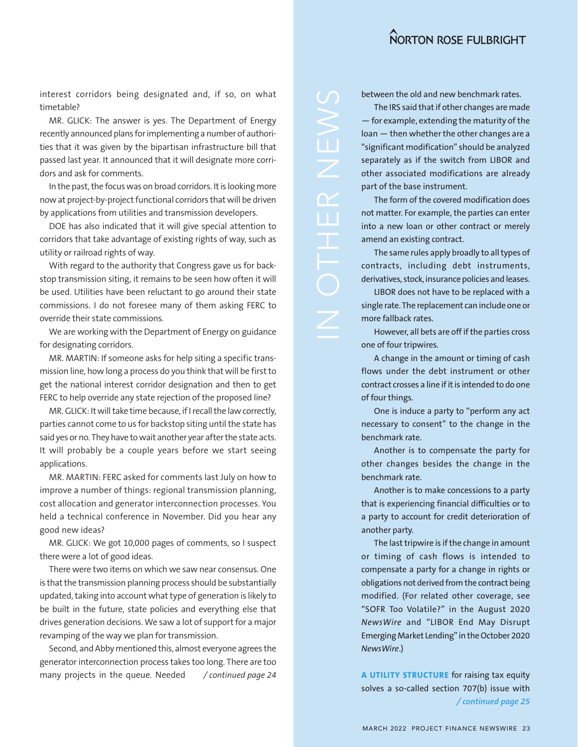interest corridors being designated and, if so, on what timetable?

MR. GLICK: The answer is yes. The Department of Energy recently announced plans for implementing a number of authorities that it was given by the bipartisan infrastructure bill that passed last year. It announced that it will designate more corridors and ask for comments.

In the past, the focus was on broad corridors. It is looking more now at project-by-project functional corridors that will be driven by applications from utilities and transmission developers.

DOE has also indicated that it will give special attention to corridors that take advantage of existing rights of way, such as utility or railroad rights of way.

With regard to the authority that Congress gave us for backstop transmission siting, it remains to be seen how often it will be used. Utilities have been reluctant to go around their state commissions. I do not foresee many of them asking FERC to override their state commissions.

We are working with the Department of Energy on guidance for designating corridors.

MR. MARTIN: If someone asks for help siting a specific transmission line, how long a process do you think that will be first to get the national interest corridor designation and then to get FERC to help override any state rejection of the proposed line?

MR. GLICK: It will take time because, if I recall the law correctly, parties cannot come to us for backstop siting until the state has said yes or no. They have to wait another year after the state acts. It will probably be a couple years before we start seeing applications.

MR. MARTIN: FERC asked for comments last July on how to improve a number of things: regional transmission planning, cost allocation and generator interconnection processes. You held a technical conference in November. Did you hear any good new ideas?

MR. GLICK: We got 10,000 pages of comments, so I suspect there were a lot of good ideas.

There were two items on which we saw near consensus. One is that the transmission planning process should be substantially updated, taking into account what type of generation is likely to be built in the future, state policies and everything else that drives generation decisions. We saw a lot of support for a major revamping of the way we plan for transmission.

Second, and Abby mentioned this, almost everyone agrees the generator interconnection process takes too long. There are too many projects in the queue. Needed */ continued page 24* between the old and new benchmark rates.

The IRS said that if other changes are made — for example, extending the maturity of the loan — then whether the other changes are a "significant modification" should be analyzed separately as if the switch from LIBOR and other associated modifications are already part of the base instrument.

The form of the covered modification does not matter. For example, the parties can enter into a new loan or other contract or merely amend an existing contract.

The same rules apply broadly to all types of contracts, including debt instruments, derivatives, stock, insurance policies and leases.

LIBOR does not have to be replaced with a single rate. The replacement can include one or more fallback rates.

However, all bets are off if the parties cross one of four tripwires.

A change in the amount or timing of cash flows under the debt instrument or other contract crosses a line if it is intended to do one of four things.

One is induce a party to "perform any act necessary to consent" to the change in the benchmark rate.

Another is to compensate the party for other changes besides the change in the benchmark rate.

Another is to make concessions to a party that is experiencing financial difficulties or to a party to account for credit deterioration of another party.

The last tripwire is if the change in amount or timing of cash flows is intended to compensate a party for a change in rights or obligations not derived from the contract being modified. (For related other coverage, see "SOFR Too Volatile?" in the August 2020 *NewsWire* and "LIBOR End May Disrupt Emerging Market Lending" in the October 2020 *NewsWire*.)

**A UTILITY STRUCTURE** for raising tax equity solves a so-called section 707(b) issue with */ continued page 25*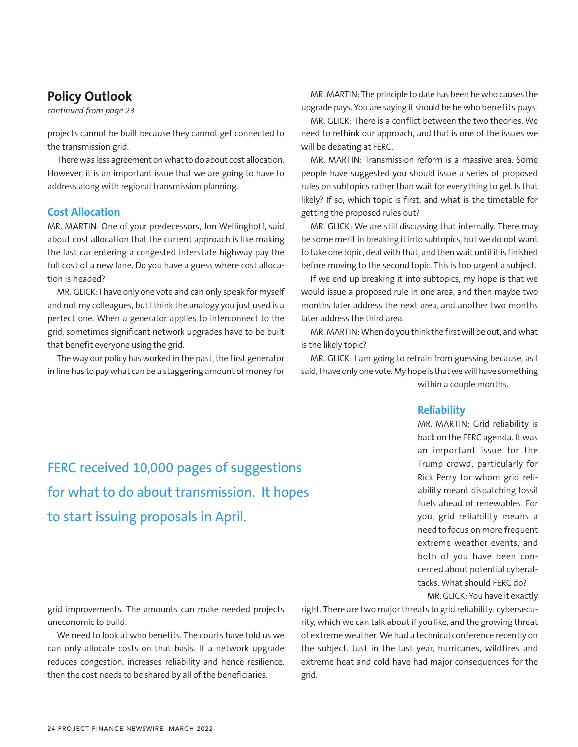# **Policy Outlook**

*continued from page 23*

projects cannot be built because they cannot get connected to the transmission grid.

There was less agreement on what to do about cost allocation. However, it is an important issue that we are going to have to address along with regional transmission planning.

#### **Cost Allocation**

MR. MARTIN: One of your predecessors, Jon Wellinghoff, said about cost allocation that the current approach is like making the last car entering a congested interstate highway pay the full cost of a new lane. Do you have a guess where cost allocation is headed?

MR. GLICK: I have only one vote and can only speak for myself and not my colleagues, but I think the analogy you just used is a perfect one. When a generator applies to interconnect to the grid, sometimes significant network upgrades have to be built that benefit everyone using the grid.

The way our policy has worked in the past, the first generator in line has to pay what can be a staggering amount of money for

MR. MARTIN: The principle to date has been he who causes the upgrade pays. You are saying it should be he who benefits pays.

MR. GLICK: There is a conflict between the two theories. We need to rethink our approach, and that is one of the issues we will be debating at FERC.

MR. MARTIN: Transmission reform is a massive area. Some people have suggested you should issue a series of proposed rules on subtopics rather than wait for everything to gel. Is that likely? If so, which topic is first, and what is the timetable for getting the proposed rules out?

MR. GLICK: We are still discussing that internally. There may be some merit in breaking it into subtopics, but we do not want to take one topic, deal with that, and then wait until it is finished before moving to the second topic. This is too urgent a subject.

If we end up breaking it into subtopics, my hope is that we would issue a proposed rule in one area, and then maybe two months later address the next area, and another two months later address the third area.

MR. MARTIN: When do you think the first will be out, and what is the likely topic?

MR. GLICK: I am going to refrain from guessing because, as I said, I have only one vote. My hope is that we will have something within a couple months.

#### **Reliability**

MR. MARTIN: Grid reliability is back on the FERC agenda. It was an important issue for the Trump crowd, particularly for Rick Perry for whom grid reliability meant dispatching fossil fuels ahead of renewables. For you, grid reliability means a need to focus on more frequent extreme weather events, and both of you have been concerned about potential cyberattacks. What should FERC do?

MR. GLICK: You have it exactly

grid improvements. The amounts can make needed projects uneconomic to build.

We need to look at who benefits. The courts have told us we can only allocate costs on that basis. If a network upgrade reduces congestion, increases reliability and hence resilience, then the cost needs to be shared by all of the beneficiaries.

right. There are two major threats to grid reliability: cybersecurity, which we can talk about if you like, and the growing threat of extreme weather. We had a technical conference recently on the subject. Just in the last year, hurricanes, wildfires and extreme heat and cold have had major consequences for the grid.

FERC received 10,000 pages of suggestions for what to do about transmission. It hopes to start issuing proposals in April.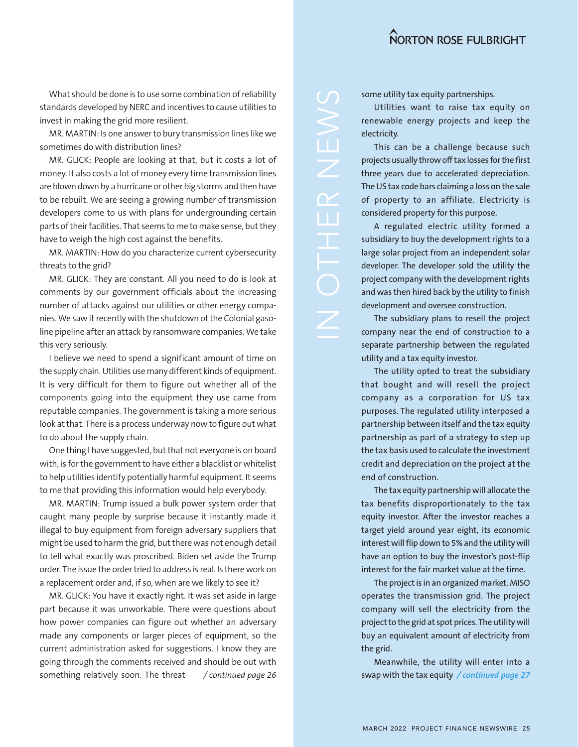What should be done is to use some combination of reliability standards developed by NERC and incentives to cause utilities to invest in making the grid more resilient.

MR. MARTIN: Is one answer to bury transmission lines like we sometimes do with distribution lines?

MR. GLICK: People are looking at that, but it costs a lot of money. It also costs a lot of money every time transmission lines are blown down by a hurricane or other big storms and then have to be rebuilt. We are seeing a growing number of transmission developers come to us with plans for undergrounding certain parts of their facilities. That seems to me to make sense, but they have to weigh the high cost against the benefits.

MR. MARTIN: How do you characterize current cybersecurity threats to the grid?

MR. GLICK: They are constant. All you need to do is look at comments by our government officials about the increasing number of attacks against our utilities or other energy companies. We saw it recently with the shutdown of the Colonial gasoline pipeline after an attack by ransomware companies. We take this very seriously.

I believe we need to spend a significant amount of time on the supply chain. Utilities use many different kinds of equipment. It is very difficult for them to figure out whether all of the components going into the equipment they use came from reputable companies. The government is taking a more serious look at that. There is a process underway now to figure out what to do about the supply chain.

One thing I have suggested, but that not everyone is on board with, is for the government to have either a blacklist or whitelist to help utilities identify potentially harmful equipment. It seems to me that providing this information would help everybody.

MR. MARTIN: Trump issued a bulk power system order that caught many people by surprise because it instantly made it illegal to buy equipment from foreign adversary suppliers that might be used to harm the grid, but there was not enough detail to tell what exactly was proscribed. Biden set aside the Trump order. The issue the order tried to address is real. Is there work on a replacement order and, if so, when are we likely to see it?

MR. GLICK: You have it exactly right. It was set aside in large part because it was unworkable. There were questions about how power companies can figure out whether an adversary made any components or larger pieces of equipment, so the current administration asked for suggestions. I know they are going through the comments received and should be out with something relatively soon. The threat

some utility tax equity partnerships.

Utilities want to raise tax equity on renewable energy projects and keep the electricity.

This can be a challenge because such projects usually throw off tax losses for the first three years due to accelerated depreciation. The US tax code bars claiming a loss on the sale of property to an affiliate. Electricity is considered property for this purpose.

A regulated electric utility formed a subsidiary to buy the development rights to a large solar project from an independent solar developer. The developer sold the utility the project company with the development rights and was then hired back by the utility to finish development and oversee construction.

The subsidiary plans to resell the project company near the end of construction to a separate partnership between the regulated utility and a tax equity investor.

The utility opted to treat the subsidiary that bought and will resell the project company as a corporation for US tax purposes. The regulated utility interposed a partnership between itself and the tax equity partnership as part of a strategy to step up the tax basis used to calculate the investment credit and depreciation on the project at the end of construction.

The tax equity partnership will allocate the tax benefits disproportionately to the tax equity investor. After the investor reaches a target yield around year eight, its economic interest will flip down to 5% and the utility will have an option to buy the investor's post-flip interest for the fair market value at the time.

The project is in an organized market. MISO operates the transmission grid. The project company will sell the electricity from the project to the grid at spot prices. The utility will buy an equivalent amount of electricity from the grid.

Meanwhile, the utility will enter into a */ continued page 26* swap with the tax equity */ continued page 27*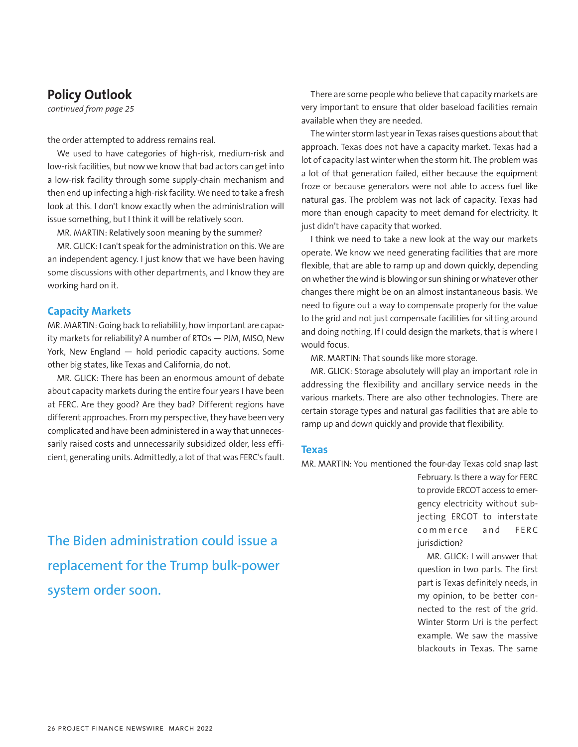# **Policy Outlook**

*continued from page 25*

the order attempted to address remains real.

We used to have categories of high-risk, medium-risk and low-risk facilities, but now we know that bad actors can get into a low-risk facility through some supply-chain mechanism and then end up infecting a high-risk facility. We need to take a fresh look at this. I don't know exactly when the administration will issue something, but I think it will be relatively soon.

MR. MARTIN: Relatively soon meaning by the summer?

MR. GLICK: I can't speak for the administration on this. We are an independent agency. I just know that we have been having some discussions with other departments, and I know they are working hard on it.

#### **Capacity Markets**

MR. MARTIN: Going back to reliability, how important are capacity markets for reliability? A number of RTOs — PJM, MISO, New York, New England — hold periodic capacity auctions. Some other big states, like Texas and California, do not.

MR. GLICK: There has been an enormous amount of debate about capacity markets during the entire four years I have been at FERC. Are they good? Are they bad? Different regions have different approaches. From my perspective, they have been very complicated and have been administered in a way that unnecessarily raised costs and unnecessarily subsidized older, less efficient, generating units. Admittedly, a lot of that was FERC's fault.

There are some people who believe that capacity markets are very important to ensure that older baseload facilities remain available when they are needed.

The winter storm last year in Texas raises questions about that approach. Texas does not have a capacity market. Texas had a lot of capacity last winter when the storm hit. The problem was a lot of that generation failed, either because the equipment froze or because generators were not able to access fuel like natural gas. The problem was not lack of capacity. Texas had more than enough capacity to meet demand for electricity. It just didn't have capacity that worked.

I think we need to take a new look at the way our markets operate. We know we need generating facilities that are more flexible, that are able to ramp up and down quickly, depending on whether the wind is blowing or sun shining or whatever other changes there might be on an almost instantaneous basis. We need to figure out a way to compensate properly for the value to the grid and not just compensate facilities for sitting around and doing nothing. If I could design the markets, that is where I would focus.

MR. MARTIN: That sounds like more storage.

MR. GLICK: Storage absolutely will play an important role in addressing the flexibility and ancillary service needs in the various markets. There are also other technologies. There are certain storage types and natural gas facilities that are able to ramp up and down quickly and provide that flexibility.

#### **Texas**

MR. MARTIN: You mentioned the four-day Texas cold snap last

to provide ERCOT access to emergency electricity without subjecting ERCOT to interstate commerce and FERC iurisdiction? MR. GLICK: I will answer that

question in two parts. The first part is Texas definitely needs, in my opinion, to be better connected to the rest of the grid. Winter Storm Uri is the perfect example. We saw the massive blackouts in Texas. The same

February. Is there a way for FERC

The Biden administration could issue a replacement for the Trump bulk-power system order soon.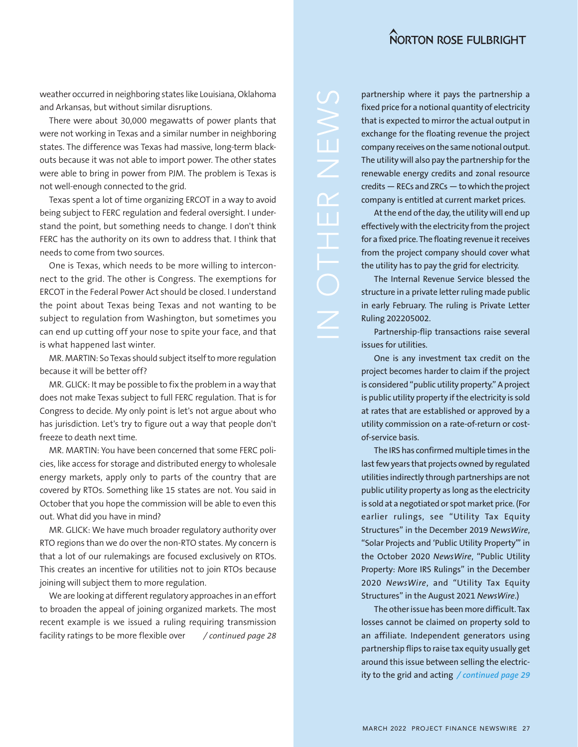weather occurred in neighboring states like Louisiana, Oklahoma and Arkansas, but without similar disruptions.

There were about 30,000 megawatts of power plants that were not working in Texas and a similar number in neighboring states. The difference was Texas had massive, long-term blackouts because it was not able to import power. The other states were able to bring in power from PJM. The problem is Texas is not well-enough connected to the grid.

Texas spent a lot of time organizing ERCOT in a way to avoid being subject to FERC regulation and federal oversight. I understand the point, but something needs to change. I don't think FERC has the authority on its own to address that. I think that needs to come from two sources.

One is Texas, which needs to be more willing to interconnect to the grid. The other is Congress. The exemptions for ERCOT in the Federal Power Act should be closed. I understand the point about Texas being Texas and not wanting to be subject to regulation from Washington, but sometimes you can end up cutting off your nose to spite your face, and that is what happened last winter.

MR. MARTIN: So Texas should subject itself to more regulation because it will be better off?

MR. GLICK: It may be possible to fix the problem in a way that does not make Texas subject to full FERC regulation. That is for Congress to decide. My only point is let's not argue about who has jurisdiction. Let's try to figure out a way that people don't freeze to death next time.

MR. MARTIN: You have been concerned that some FERC policies, like access for storage and distributed energy to wholesale energy markets, apply only to parts of the country that are covered by RTOs. Something like 15 states are not. You said in October that you hope the commission will be able to even this out. What did you have in mind?

MR. GLICK: We have much broader regulatory authority over RTO regions than we do over the non-RTO states. My concern is that a lot of our rulemakings are focused exclusively on RTOs. This creates an incentive for utilities not to join RTOs because joining will subject them to more regulation.

We are looking at different regulatory approaches in an effort to broaden the appeal of joining organized markets. The most recent example is we issued a ruling requiring transmission facility ratings to be more flexible over */ continued page 28*

partnership where it pays the partnership a fixed price for a notional quantity of electricity that is expected to mirror the actual output in exchange for the floating revenue the project company receives on the same notional output. The utility will also pay the partnership for the renewable energy credits and zonal resource credits — RECs and ZRCs — to which the project company is entitled at current market prices.

At the end of the day, the utility will end up effectively with the electricity from the project for a fixed price. The floating revenue it receives from the project company should cover what the utility has to pay the grid for electricity.

The Internal Revenue Service blessed the structure in a private letter ruling made public in early February. The ruling is Private Letter Ruling 202205002.

Partnership-flip transactions raise several issues for utilities.

One is any investment tax credit on the project becomes harder to claim if the project is considered "public utility property." A project is public utility property if the electricity is sold at rates that are established or approved by a utility commission on a rate-of-return or costof-service basis.

The IRS has confirmed multiple times in the last few years that projects owned by regulated utilities indirectly through partnerships are not public utility property as long as the electricity is sold at a negotiated or spot market price. (For earlier rulings, see "Utility Tax Equity Structures" in the December 2019 *NewsWire*, "Solar Projects and 'Public Utility Property'" in the October 2020 *NewsWire*, "Public Utility Property: More IRS Rulings" in the December 2020 *NewsWire*, and "Utility Tax Equity Structures" in the August 2021 *NewsWire*.)

The other issue has been more difficult. Tax losses cannot be claimed on property sold to an affiliate. Independent generators using partnership flips to raise tax equity usually get around this issue between selling the electricity to the grid and acting */ continued page 29*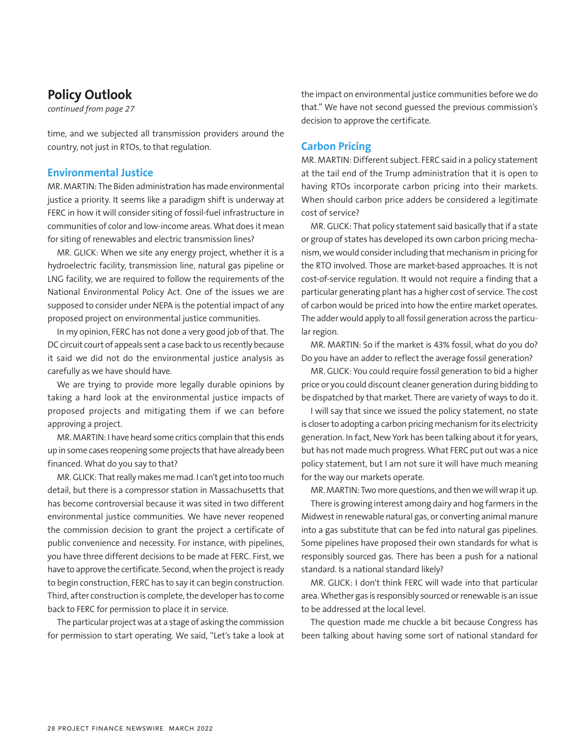# **Policy Outlook**

*continued from page 27*

time, and we subjected all transmission providers around the country, not just in RTOs, to that regulation.

#### **Environmental Justice**

MR. MARTIN: The Biden administration has made environmental justice a priority. It seems like a paradigm shift is underway at FERC in how it will consider siting of fossil-fuel infrastructure in communities of color and low-income areas. What does it mean for siting of renewables and electric transmission lines?

MR. GLICK: When we site any energy project, whether it is a hydroelectric facility, transmission line, natural gas pipeline or LNG facility, we are required to follow the requirements of the National Environmental Policy Act. One of the issues we are supposed to consider under NEPA is the potential impact of any proposed project on environmental justice communities.

In my opinion, FERC has not done a very good job of that. The DC circuit court of appeals sent a case back to us recently because it said we did not do the environmental justice analysis as carefully as we have should have.

We are trying to provide more legally durable opinions by taking a hard look at the environmental justice impacts of proposed projects and mitigating them if we can before approving a project.

MR. MARTIN: I have heard some critics complain that this ends up in some cases reopening some projects that have already been financed. What do you say to that?

MR. GLICK: That really makes me mad. I can't get into too much detail, but there is a compressor station in Massachusetts that has become controversial because it was sited in two different environmental justice communities. We have never reopened the commission decision to grant the project a certificate of public convenience and necessity. For instance, with pipelines, you have three different decisions to be made at FERC. First, we have to approve the certificate. Second, when the project is ready to begin construction, FERC has to say it can begin construction. Third, after construction is complete, the developer has to come back to FERC for permission to place it in service.

The particular project was at a stage of asking the commission for permission to start operating. We said, "Let's take a look at the impact on environmental justice communities before we do that." We have not second guessed the previous commission's decision to approve the certificate.

#### **Carbon Pricing**

MR. MARTIN: Different subject. FERC said in a policy statement at the tail end of the Trump administration that it is open to having RTOs incorporate carbon pricing into their markets. When should carbon price adders be considered a legitimate cost of service?

MR. GLICK: That policy statement said basically that if a state or group of states has developed its own carbon pricing mechanism, we would consider including that mechanism in pricing for the RTO involved. Those are market-based approaches. It is not cost-of-service regulation. It would not require a finding that a particular generating plant has a higher cost of service. The cost of carbon would be priced into how the entire market operates. The adder would apply to all fossil generation across the particular region.

MR. MARTIN: So if the market is 43% fossil, what do you do? Do you have an adder to reflect the average fossil generation?

MR. GLICK: You could require fossil generation to bid a higher price or you could discount cleaner generation during bidding to be dispatched by that market. There are variety of ways to do it.

I will say that since we issued the policy statement, no state is closer to adopting a carbon pricing mechanism for its electricity generation. In fact, New York has been talking about it for years, but has not made much progress. What FERC put out was a nice policy statement, but I am not sure it will have much meaning for the way our markets operate.

MR. MARTIN: Two more questions, and then we will wrap it up.

There is growing interest among dairy and hog farmers in the Midwest in renewable natural gas, or converting animal manure into a gas substitute that can be fed into natural gas pipelines. Some pipelines have proposed their own standards for what is responsibly sourced gas. There has been a push for a national standard. Is a national standard likely?

MR. GLICK: I don't think FERC will wade into that particular area. Whether gas is responsibly sourced or renewable is an issue to be addressed at the local level.

The question made me chuckle a bit because Congress has been talking about having some sort of national standard for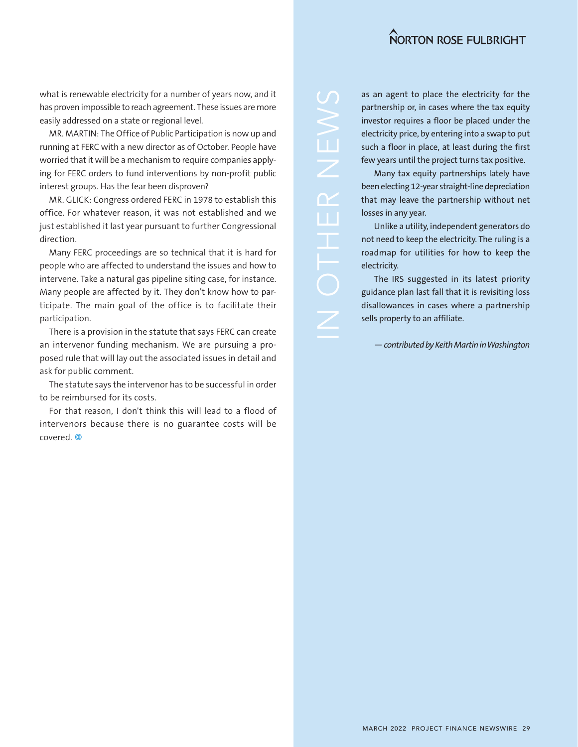what is renewable electricity for a number of years now, and it has proven impossible to reach agreement. These issues are more easily addressed on a state or regional level.

MR. MARTIN: The Office of Public Participation is now up and running at FERC with a new director as of October. People have worried that it will be a mechanism to require companies applying for FERC orders to fund interventions by non-profit public interest groups. Has the fear been disproven?

MR. GLICK: Congress ordered FERC in 1978 to establish this office. For whatever reason, it was not established and we just established it last year pursuant to further Congressional direction.

Many FERC proceedings are so technical that it is hard for people who are affected to understand the issues and how to intervene. Take a natural gas pipeline siting case, for instance. Many people are affected by it. They don't know how to participate. The main goal of the office is to facilitate their participation.

There is a provision in the statute that says FERC can create an intervenor funding mechanism. We are pursuing a proposed rule that will lay out the associated issues in detail and ask for public comment.

The statute says the intervenor has to be successful in order to be reimbursed for its costs.

For that reason, I don't think this will lead to a flood of intervenors because there is no guarantee costs will be covered.

as an agent to place the electricity for the partnership or, in cases where the tax equity investor requires a floor be placed under the electricity price, by entering into a swap to put such a floor in place, at least during the first few years until the project turns tax positive.

Many tax equity partnerships lately have been electing 12-year straight-line depreciation that may leave the partnership without net losses in any year.

Unlike a utility, independent generators do not need to keep the electricity. The ruling is a roadmap for utilities for how to keep the electricity.

The IRS suggested in its latest priority guidance plan last fall that it is revisiting loss disallowances in cases where a partnership sells property to an affiliate.

*— contributed by Keith Martin in Washington*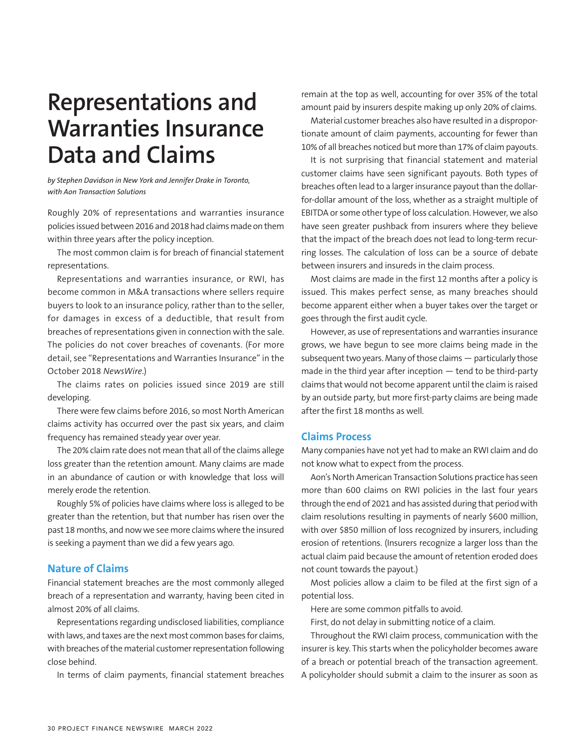# **Representations and Warranties Insurance Data and Claims**

*by Stephen Davidson in New York and Jennifer Drake in Toronto, with Aon Transaction Solutions* 

Roughly 20% of representations and warranties insurance policies issued between 2016 and 2018 had claims made on them within three years after the policy inception.

The most common claim is for breach of financial statement representations.

Representations and warranties insurance, or RWI, has become common in M&A transactions where sellers require buyers to look to an insurance policy, rather than to the seller, for damages in excess of a deductible, that result from breaches of representations given in connection with the sale. The policies do not cover breaches of covenants. (For more detail, see "Representations and Warranties Insurance" in the October 2018 *NewsWire*.)

The claims rates on policies issued since 2019 are still developing.

There were few claims before 2016, so most North American claims activity has occurred over the past six years, and claim frequency has remained steady year over year.

The 20% claim rate does not mean that all of the claims allege loss greater than the retention amount. Many claims are made in an abundance of caution or with knowledge that loss will merely erode the retention.

Roughly 5% of policies have claims where loss is alleged to be greater than the retention, but that number has risen over the past 18 months, and now we see more claims where the insured is seeking a payment than we did a few years ago.

#### **Nature of Claims**

Financial statement breaches are the most commonly alleged breach of a representation and warranty, having been cited in almost 20% of all claims.

Representations regarding undisclosed liabilities, compliance with laws, and taxes are the next most common bases for claims, with breaches of the material customer representation following close behind.

In terms of claim payments, financial statement breaches

remain at the top as well, accounting for over 35% of the total amount paid by insurers despite making up only 20% of claims.

Material customer breaches also have resulted in a disproportionate amount of claim payments, accounting for fewer than 10% of all breaches noticed but more than 17% of claim payouts.

It is not surprising that financial statement and material customer claims have seen significant payouts. Both types of breaches often lead to a larger insurance payout than the dollarfor-dollar amount of the loss, whether as a straight multiple of EBITDA or some other type of loss calculation. However, we also have seen greater pushback from insurers where they believe that the impact of the breach does not lead to long-term recurring losses. The calculation of loss can be a source of debate between insurers and insureds in the claim process.

Most claims are made in the first 12 months after a policy is issued. This makes perfect sense, as many breaches should become apparent either when a buyer takes over the target or goes through the first audit cycle.

However, as use of representations and warranties insurance grows, we have begun to see more claims being made in the subsequent two years. Many of those claims — particularly those made in the third year after inception — tend to be third-party claims that would not become apparent until the claim is raised by an outside party, but more first-party claims are being made after the first 18 months as well.

#### **Claims Process**

Many companies have not yet had to make an RWI claim and do not know what to expect from the process.

Aon's North American Transaction Solutions practice has seen more than 600 claims on RWI policies in the last four years through the end of 2021 and has assisted during that period with claim resolutions resulting in payments of nearly \$600 million, with over \$850 million of loss recognized by insurers, including erosion of retentions. (Insurers recognize a larger loss than the actual claim paid because the amount of retention eroded does not count towards the payout.)

Most policies allow a claim to be filed at the first sign of a potential loss.

Here are some common pitfalls to avoid.

First, do not delay in submitting notice of a claim.

Throughout the RWI claim process, communication with the insurer is key. This starts when the policyholder becomes aware of a breach or potential breach of the transaction agreement. A policyholder should submit a claim to the insurer as soon as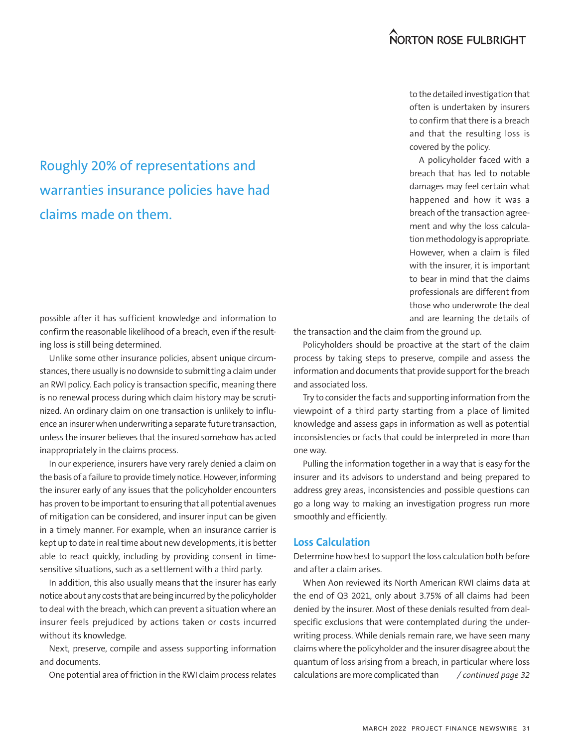# Roughly 20% of representations and warranties insurance policies have had claims made on them.

possible after it has sufficient knowledge and information to confirm the reasonable likelihood of a breach, even if the resulting loss is still being determined.

Unlike some other insurance policies, absent unique circumstances, there usually is no downside to submitting a claim under an RWI policy. Each policy is transaction specific, meaning there is no renewal process during which claim history may be scrutinized. An ordinary claim on one transaction is unlikely to influence an insurer when underwriting a separate future transaction, unless the insurer believes that the insured somehow has acted inappropriately in the claims process.

In our experience, insurers have very rarely denied a claim on the basis of a failure to provide timely notice. However, informing the insurer early of any issues that the policyholder encounters has proven to be important to ensuring that all potential avenues of mitigation can be considered, and insurer input can be given in a timely manner. For example, when an insurance carrier is kept up to date in real time about new developments, it is better able to react quickly, including by providing consent in timesensitive situations, such as a settlement with a third party.

In addition, this also usually means that the insurer has early notice about any costs that are being incurred by the policyholder to deal with the breach, which can prevent a situation where an insurer feels prejudiced by actions taken or costs incurred without its knowledge.

Next, preserve, compile and assess supporting information and documents.

to the detailed investigation that often is undertaken by insurers to confirm that there is a breach and that the resulting loss is covered by the policy.

A policyholder faced with a breach that has led to notable damages may feel certain what happened and how it was a breach of the transaction agreement and why the loss calculation methodology is appropriate. However, when a claim is filed with the insurer, it is important to bear in mind that the claims professionals are different from those who underwrote the deal and are learning the details of

the transaction and the claim from the ground up.

Policyholders should be proactive at the start of the claim process by taking steps to preserve, compile and assess the information and documents that provide support for the breach and associated loss.

Try to consider the facts and supporting information from the viewpoint of a third party starting from a place of limited knowledge and assess gaps in information as well as potential inconsistencies or facts that could be interpreted in more than one way.

Pulling the information together in a way that is easy for the insurer and its advisors to understand and being prepared to address grey areas, inconsistencies and possible questions can go a long way to making an investigation progress run more smoothly and efficiently.

#### **Loss Calculation**

Determine how best to support the loss calculation both before and after a claim arises.

When Aon reviewed its North American RWI claims data at the end of Q3 2021, only about 3.75% of all claims had been denied by the insurer. Most of these denials resulted from dealspecific exclusions that were contemplated during the underwriting process. While denials remain rare, we have seen many claims where the policyholder and the insurer disagree about the quantum of loss arising from a breach, in particular where loss calculations are more complicated than One potential area of friction in the RWI claim process relates */ continued page 32*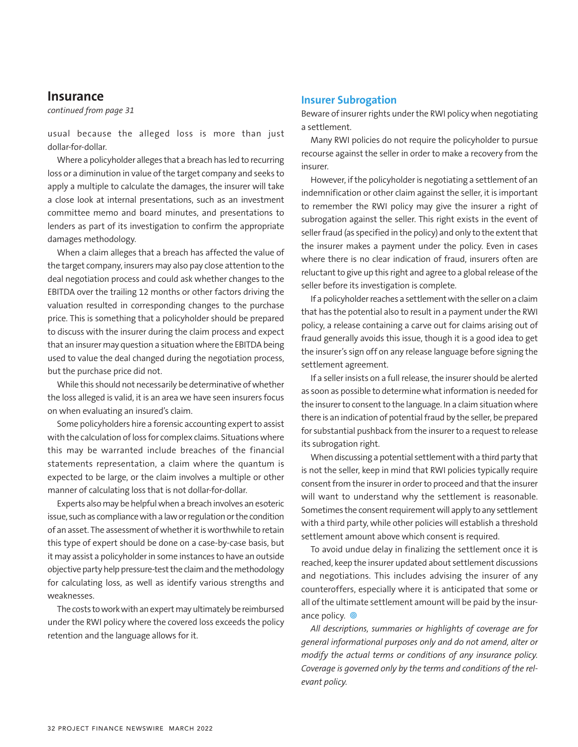#### **Insurance**

*continued from page 31*

usual because the alleged loss is more than just dollar-for-dollar.

Where a policyholder alleges that a breach has led to recurring loss or a diminution in value of the target company and seeks to apply a multiple to calculate the damages, the insurer will take a close look at internal presentations, such as an investment committee memo and board minutes, and presentations to lenders as part of its investigation to confirm the appropriate damages methodology.

When a claim alleges that a breach has affected the value of the target company, insurers may also pay close attention to the deal negotiation process and could ask whether changes to the EBITDA over the trailing 12 months or other factors driving the valuation resulted in corresponding changes to the purchase price. This is something that a policyholder should be prepared to discuss with the insurer during the claim process and expect that an insurer may question a situation where the EBITDA being used to value the deal changed during the negotiation process, but the purchase price did not.

While this should not necessarily be determinative of whether the loss alleged is valid, it is an area we have seen insurers focus on when evaluating an insured's claim.

Some policyholders hire a forensic accounting expert to assist with the calculation of loss for complex claims. Situations where this may be warranted include breaches of the financial statements representation, a claim where the quantum is expected to be large, or the claim involves a multiple or other manner of calculating loss that is not dollar-for-dollar.

Experts also may be helpful when a breach involves an esoteric issue, such as compliance with a law or regulation or the condition of an asset. The assessment of whether it is worthwhile to retain this type of expert should be done on a case-by-case basis, but it may assist a policyholder in some instances to have an outside objective party help pressure-test the claim and the methodology for calculating loss, as well as identify various strengths and weaknesses.

The costs to work with an expert may ultimately be reimbursed under the RWI policy where the covered loss exceeds the policy retention and the language allows for it.

#### **Insurer Subrogation**

Beware of insurer rights under the RWI policy when negotiating a settlement.

Many RWI policies do not require the policyholder to pursue recourse against the seller in order to make a recovery from the insurer.

However, if the policyholder is negotiating a settlement of an indemnification or other claim against the seller, it is important to remember the RWI policy may give the insurer a right of subrogation against the seller. This right exists in the event of seller fraud (as specified in the policy) and only to the extent that the insurer makes a payment under the policy. Even in cases where there is no clear indication of fraud, insurers often are reluctant to give up this right and agree to a global release of the seller before its investigation is complete.

If a policyholder reaches a settlement with the seller on a claim that has the potential also to result in a payment under the RWI policy, a release containing a carve out for claims arising out of fraud generally avoids this issue, though it is a good idea to get the insurer's sign off on any release language before signing the settlement agreement.

If a seller insists on a full release, the insurer should be alerted as soon as possible to determine what information is needed for the insurer to consent to the language. In a claim situation where there is an indication of potential fraud by the seller, be prepared for substantial pushback from the insurer to a request to release its subrogation right.

When discussing a potential settlement with a third party that is not the seller, keep in mind that RWI policies typically require consent from the insurer in order to proceed and that the insurer will want to understand why the settlement is reasonable. Sometimes the consent requirement will apply to any settlement with a third party, while other policies will establish a threshold settlement amount above which consent is required.

To avoid undue delay in finalizing the settlement once it is reached, keep the insurer updated about settlement discussions and negotiations. This includes advising the insurer of any counteroffers, especially where it is anticipated that some or all of the ultimate settlement amount will be paid by the insurance policy. <sup>o</sup>

*All descriptions, summaries or highlights of coverage are for general informational purposes only and do not amend, alter or modify the actual terms or conditions of any insurance policy. Coverage is governed only by the terms and conditions of the relevant policy.*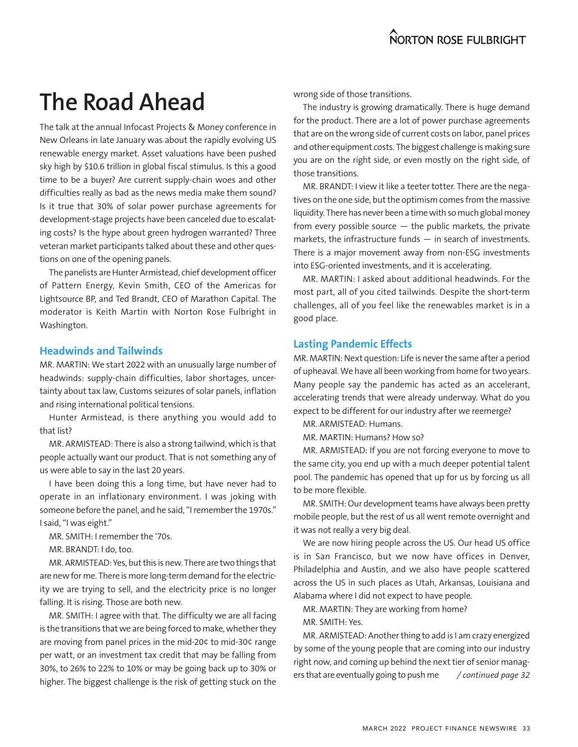# **The Road Ahead**

The talk at the annual Infocast Projects & Money conference in New Orleans in late January was about the rapidly evolving US renewable energy market. Asset valuations have been pushed sky high by \$10.6 trillion in global fiscal stimulus. Is this a good time to be a buyer? Are current supply-chain woes and other difficulties really as bad as the news media make them sound? Is it true that 30% of solar power purchase agreements for development-stage projects have been canceled due to escalating costs? Is the hype about green hydrogen warranted? Three veteran market participants talked about these and other questions on one of the opening panels.

The panelists are Hunter Armistead, chief development officer of Pattern Energy, Kevin Smith, CEO of the Americas for Lightsource BP, and Ted Brandt, CEO of Marathon Capital. The moderator is Keith Martin with Norton Rose Fulbright in Washington.

#### **Headwinds and Tailwinds**

MR. MARTIN: We start 2022 with an unusually large number of headwinds: supply-chain difficulties, labor shortages, uncertainty about tax law, Customs seizures of solar panels, inflation and rising international political tensions.

Hunter Armistead, is there anything you would add to that list?

MR. ARMISTEAD: There is also a strong tailwind, which is that people actually want our product. That is not something any of us were able to say in the last 20 years.

I have been doing this a long time, but have never had to operate in an inflationary environment. I was joking with someone before the panel, and he said, "I remember the 1970s." I said, "I was eight."

MR. SMITH: I remember the '70s.

MR. BRANDT: I do, too.

MR. ARMISTEAD: Yes, but this is new. There are two things that are new for me. There is more long-term demand for the electricity we are trying to sell, and the electricity price is no longer falling. It is rising. Those are both new.

MR. SMITH: I agree with that. The difficulty we are all facing is the transitions that we are being forced to make, whether they are moving from panel prices in the mid-20¢ to mid-30¢ range per watt, or an investment tax credit that may be falling from 30%, to 26% to 22% to 10% or may be going back up to 30% or higher. The biggest challenge is the risk of getting stuck on the

wrong side of those transitions.

The industry is growing dramatically. There is huge demand for the product. There are a lot of power purchase agreements that are on the wrong side of current costs on labor, panel prices and other equipment costs. The biggest challenge is making sure you are on the right side, or even mostly on the right side, of those transitions.

MR. BRANDT: I view it like a teeter totter. There are the negatives on the one side, but the optimism comes from the massive liquidity. There has never been a time with so much global money from every possible source  $-$  the public markets, the private markets, the infrastructure funds — in search of investments. There is a major movement away from non-ESG investments into ESG-oriented investments, and it is accelerating.

MR. MARTIN: I asked about additional headwinds. For the most part, all of you cited tailwinds. Despite the short-term challenges, all of you feel like the renewables market is in a good place.

#### **Lasting Pandemic Effects**

MR. MARTIN: Next question: Life is never the same after a period of upheaval. We have all been working from home for two years. Many people say the pandemic has acted as an accelerant, accelerating trends that were already underway. What do you expect to be different for our industry after we reemerge?

MR. ARMISTEAD: Humans.

MR. MARTIN: Humans? How so?

MR. ARMISTEAD: If you are not forcing everyone to move to the same city, you end up with a much deeper potential talent pool. The pandemic has opened that up for us by forcing us all to be more flexible.

MR. SMITH: Our development teams have always been pretty mobile people, but the rest of us all went remote overnight and it was not really a very big deal.

We are now hiring people across the US. Our head US office is in San Francisco, but we now have offices in Denver, Philadelphia and Austin, and we also have people scattered across the US in such places as Utah, Arkansas, Louisiana and Alabama where I did not expect to have people.

MR. MARTIN: They are working from home?

MR. SMITH: Yes.

MR. ARMISTEAD: Another thing to add is I am crazy energized by some of the young people that are coming into our industry right now, and coming up behind the next tier of senior managers that are eventually going to push me / continued page 32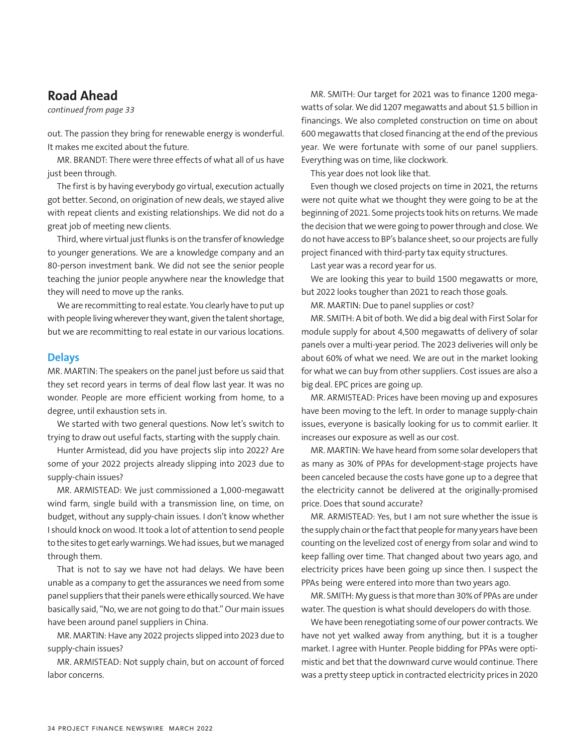### **Road Ahead**

*continued from page 33*

out. The passion they bring for renewable energy is wonderful. It makes me excited about the future.

MR. BRANDT: There were three effects of what all of us have just been through.

The first is by having everybody go virtual, execution actually got better. Second, on origination of new deals, we stayed alive with repeat clients and existing relationships. We did not do a great job of meeting new clients.

Third, where virtual just flunks is on the transfer of knowledge to younger generations. We are a knowledge company and an 80-person investment bank. We did not see the senior people teaching the junior people anywhere near the knowledge that they will need to move up the ranks.

We are recommitting to real estate. You clearly have to put up with people living wherever they want, given the talent shortage, but we are recommitting to real estate in our various locations.

#### **Delays**

MR. MARTIN: The speakers on the panel just before us said that they set record years in terms of deal flow last year. It was no wonder. People are more efficient working from home, to a degree, until exhaustion sets in.

We started with two general questions. Now let's switch to trying to draw out useful facts, starting with the supply chain.

Hunter Armistead, did you have projects slip into 2022? Are some of your 2022 projects already slipping into 2023 due to supply-chain issues?

MR. ARMISTEAD: We just commissioned a 1,000-megawatt wind farm, single build with a transmission line, on time, on budget, without any supply-chain issues. I don't know whether I should knock on wood. It took a lot of attention to send people to the sites to get early warnings. We had issues, but we managed through them.

That is not to say we have not had delays. We have been unable as a company to get the assurances we need from some panel suppliers that their panels were ethically sourced. We have basically said, "No, we are not going to do that." Our main issues have been around panel suppliers in China.

MR. MARTIN: Have any 2022 projects slipped into 2023 due to supply-chain issues?

MR. ARMISTEAD: Not supply chain, but on account of forced labor concerns.

MR. SMITH: Our target for 2021 was to finance 1200 megawatts of solar. We did 1207 megawatts and about \$1.5 billion in financings. We also completed construction on time on about 600 megawatts that closed financing at the end of the previous year. We were fortunate with some of our panel suppliers. Everything was on time, like clockwork.

This year does not look like that.

Even though we closed projects on time in 2021, the returns were not quite what we thought they were going to be at the beginning of 2021. Some projects took hits on returns. We made the decision that we were going to power through and close. We do not have access to BP's balance sheet, so our projects are fully project financed with third-party tax equity structures.

Last year was a record year for us.

We are looking this year to build 1500 megawatts or more, but 2022 looks tougher than 2021 to reach those goals.

MR. MARTIN: Due to panel supplies or cost?

MR. SMITH: A bit of both. We did a big deal with First Solar for module supply for about 4,500 megawatts of delivery of solar panels over a multi-year period. The 2023 deliveries will only be about 60% of what we need. We are out in the market looking for what we can buy from other suppliers. Cost issues are also a big deal. EPC prices are going up.

MR. ARMISTEAD: Prices have been moving up and exposures have been moving to the left. In order to manage supply-chain issues, everyone is basically looking for us to commit earlier. It increases our exposure as well as our cost.

MR. MARTIN: We have heard from some solar developers that as many as 30% of PPAs for development-stage projects have been canceled because the costs have gone up to a degree that the electricity cannot be delivered at the originally-promised price. Does that sound accurate?

MR. ARMISTEAD: Yes, but I am not sure whether the issue is the supply chain or the fact that people for many years have been counting on the levelized cost of energy from solar and wind to keep falling over time. That changed about two years ago, and electricity prices have been going up since then. I suspect the PPAs being were entered into more than two years ago.

MR. SMITH: My guess is that more than 30% of PPAs are under water. The question is what should developers do with those.

We have been renegotiating some of our power contracts. We have not yet walked away from anything, but it is a tougher market. I agree with Hunter. People bidding for PPAs were optimistic and bet that the downward curve would continue. There was a pretty steep uptick in contracted electricity prices in 2020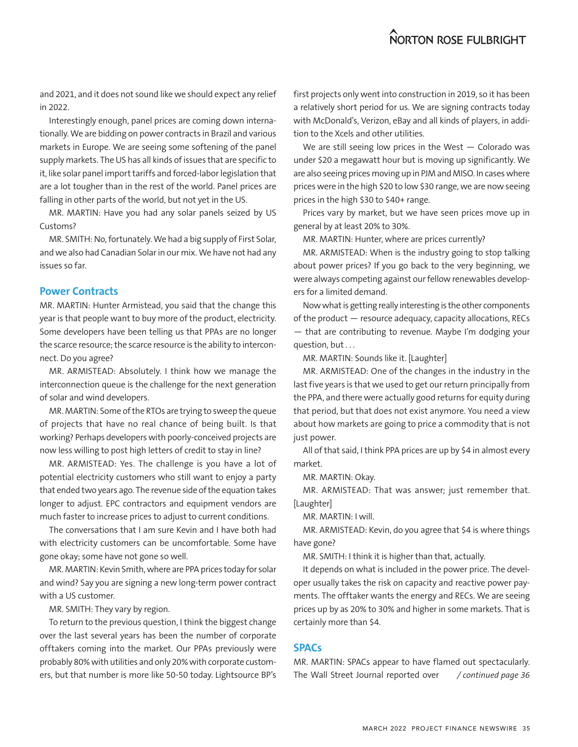and 2021, and it does not sound like we should expect any relief in 2022.

Interestingly enough, panel prices are coming down internationally. We are bidding on power contracts in Brazil and various markets in Europe. We are seeing some softening of the panel supply markets. The US has all kinds of issues that are specific to it, like solar panel import tariffs and forced-labor legislation that are a lot tougher than in the rest of the world. Panel prices are falling in other parts of the world, but not yet in the US.

MR. MARTIN: Have you had any solar panels seized by US Customs?

MR. SMITH: No, fortunately. We had a big supply of First Solar, and we also had Canadian Solar in our mix. We have not had any issues so far.

#### **Power Contracts**

MR. MARTIN: Hunter Armistead, you said that the change this year is that people want to buy more of the product, electricity. Some developers have been telling us that PPAs are no longer the scarce resource; the scarce resource is the ability to interconnect. Do you agree?

MR. ARMISTEAD: Absolutely. I think how we manage the interconnection queue is the challenge for the next generation of solar and wind developers.

MR. MARTIN: Some of the RTOs are trying to sweep the queue of projects that have no real chance of being built. Is that working? Perhaps developers with poorly-conceived projects are now less willing to post high letters of credit to stay in line?

MR. ARMISTEAD: Yes. The challenge is you have a lot of potential electricity customers who still want to enjoy a party that ended two years ago. The revenue side of the equation takes longer to adjust. EPC contractors and equipment vendors are much faster to increase prices to adjust to current conditions.

The conversations that I am sure Kevin and I have both had with electricity customers can be uncomfortable. Some have gone okay; some have not gone so well.

MR. MARTIN: Kevin Smith, where are PPA prices today for solar and wind? Say you are signing a new long-term power contract with a US customer.

MR. SMITH: They vary by region.

To return to the previous question, I think the biggest change over the last several years has been the number of corporate offtakers coming into the market. Our PPAs previously were probably 80% with utilities and only 20% with corporate customers, but that number is more like 50-50 today. Lightsource BP's */ continued page 36*

first projects only went into construction in 2019, so it has been a relatively short period for us. We are signing contracts today with McDonald's, Verizon, eBay and all kinds of players, in addition to the Xcels and other utilities.

We are still seeing low prices in the West  $-$  Colorado was under \$20 a megawatt hour but is moving up significantly. We are also seeing prices moving up in PJM and MISO. In cases where prices were in the high \$20 to low \$30 range, we are now seeing prices in the high \$30 to \$40+ range.

Prices vary by market, but we have seen prices move up in general by at least 20% to 30%.

MR. MARTIN: Hunter, where are prices currently?

MR. ARMISTEAD: When is the industry going to stop talking about power prices? If you go back to the very beginning, we were always competing against our fellow renewables developers for a limited demand.

Now what is getting really interesting is the other components of the product — resource adequacy, capacity allocations, RECs — that are contributing to revenue. Maybe I'm dodging your question, but . . .

MR. MARTIN: Sounds like it. [Laughter]

MR. ARMISTEAD: One of the changes in the industry in the last five years is that we used to get our return principally from the PPA, and there were actually good returns for equity during that period, but that does not exist anymore. You need a view about how markets are going to price a commodity that is not just power.

All of that said, I think PPA prices are up by \$4 in almost every market.

MR. MARTIN: Okay.

MR. ARMISTEAD: That was answer; just remember that. [Laughter]

MR. MARTIN: I will.

MR. ARMISTEAD: Kevin, do you agree that \$4 is where things have gone?

MR. SMITH: I think it is higher than that, actually.

It depends on what is included in the power price. The developer usually takes the risk on capacity and reactive power payments. The offtaker wants the energy and RECs. We are seeing prices up by as 20% to 30% and higher in some markets. That is certainly more than \$4.

#### **SPACs**

MR. MARTIN: SPACs appear to have flamed out spectacularly. The Wall Street Journal reported over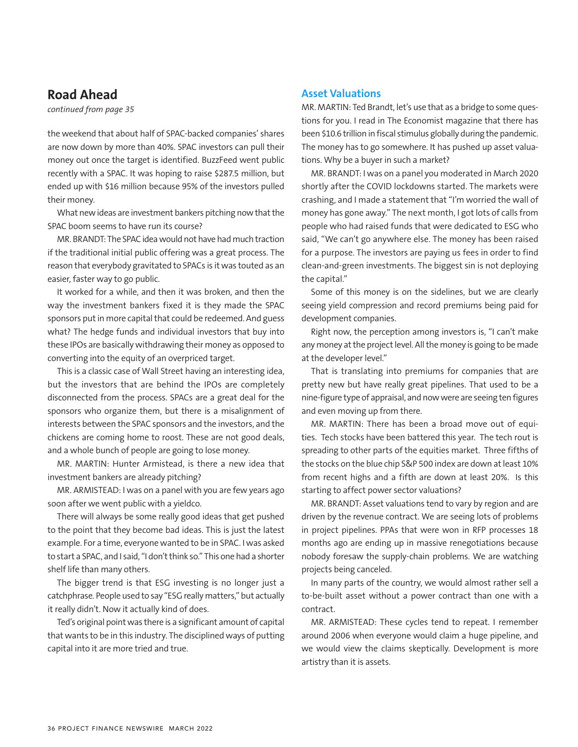# **Road Ahead**

*continued from page 35*

the weekend that about half of SPAC-backed companies' shares are now down by more than 40%. SPAC investors can pull their money out once the target is identified. BuzzFeed went public recently with a SPAC. It was hoping to raise \$287.5 million, but ended up with \$16 million because 95% of the investors pulled their money.

What new ideas are investment bankers pitching now that the SPAC boom seems to have run its course?

MR. BRANDT: The SPAC idea would not have had much traction if the traditional initial public offering was a great process. The reason that everybody gravitated to SPACs is it was touted as an easier, faster way to go public.

It worked for a while, and then it was broken, and then the way the investment bankers fixed it is they made the SPAC sponsors put in more capital that could be redeemed. And guess what? The hedge funds and individual investors that buy into these IPOs are basically withdrawing their money as opposed to converting into the equity of an overpriced target.

This is a classic case of Wall Street having an interesting idea, but the investors that are behind the IPOs are completely disconnected from the process. SPACs are a great deal for the sponsors who organize them, but there is a misalignment of interests between the SPAC sponsors and the investors, and the chickens are coming home to roost. These are not good deals, and a whole bunch of people are going to lose money.

MR. MARTIN: Hunter Armistead, is there a new idea that investment bankers are already pitching?

MR. ARMISTEAD: I was on a panel with you are few years ago soon after we went public with a yieldco.

There will always be some really good ideas that get pushed to the point that they become bad ideas. This is just the latest example. For a time, everyone wanted to be in SPAC. I was asked to start a SPAC, and I said, "I don't think so." This one had a shorter shelf life than many others.

The bigger trend is that ESG investing is no longer just a catchphrase. People used to say "ESG really matters," but actually it really didn't. Now it actually kind of does.

Ted's original point was there is a significant amount of capital that wants to be in this industry. The disciplined ways of putting capital into it are more tried and true.

#### **Asset Valuations**

MR. MARTIN: Ted Brandt, let's use that as a bridge to some questions for you. I read in The Economist magazine that there has been \$10.6 trillion in fiscal stimulus globally during the pandemic. The money has to go somewhere. It has pushed up asset valuations. Why be a buyer in such a market?

MR. BRANDT: I was on a panel you moderated in March 2020 shortly after the COVID lockdowns started. The markets were crashing, and I made a statement that "I'm worried the wall of money has gone away." The next month, I got lots of calls from people who had raised funds that were dedicated to ESG who said, "We can't go anywhere else. The money has been raised for a purpose. The investors are paying us fees in order to find clean-and-green investments. The biggest sin is not deploying the capital."

Some of this money is on the sidelines, but we are clearly seeing yield compression and record premiums being paid for development companies.

Right now, the perception among investors is, "I can't make any money at the project level. All the money is going to be made at the developer level."

That is translating into premiums for companies that are pretty new but have really great pipelines. That used to be a nine-figure type of appraisal, and now were are seeing ten figures and even moving up from there.

MR. MARTIN: There has been a broad move out of equities. Tech stocks have been battered this year. The tech rout is spreading to other parts of the equities market. Three fifths of the stocks on the blue chip S&P 500 index are down at least 10% from recent highs and a fifth are down at least 20%. Is this starting to affect power sector valuations?

MR. BRANDT: Asset valuations tend to vary by region and are driven by the revenue contract. We are seeing lots of problems in project pipelines. PPAs that were won in RFP processes 18 months ago are ending up in massive renegotiations because nobody foresaw the supply-chain problems. We are watching projects being canceled.

In many parts of the country, we would almost rather sell a to-be-built asset without a power contract than one with a contract.

MR. ARMISTEAD: These cycles tend to repeat. I remember around 2006 when everyone would claim a huge pipeline, and we would view the claims skeptically. Development is more artistry than it is assets.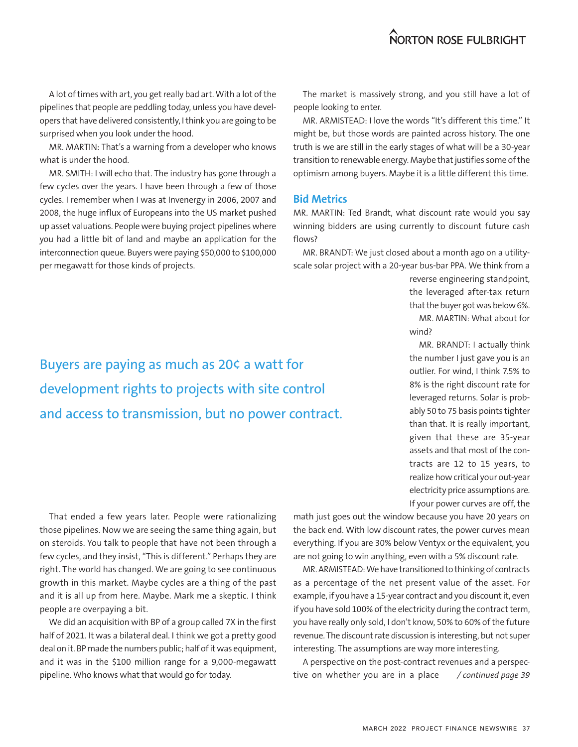A lot of times with art, you get really bad art. With a lot of the pipelines that people are peddling today, unless you have developers that have delivered consistently, I think you are going to be surprised when you look under the hood.

MR. MARTIN: That's a warning from a developer who knows what is under the hood.

MR. SMITH: I will echo that. The industry has gone through a few cycles over the years. I have been through a few of those cycles. I remember when I was at Invenergy in 2006, 2007 and 2008, the huge influx of Europeans into the US market pushed up asset valuations. People were buying project pipelines where you had a little bit of land and maybe an application for the interconnection queue. Buyers were paying \$50,000 to \$100,000 per megawatt for those kinds of projects.

Buyers are paying as much as 20¢ a watt for development rights to projects with site control and access to transmission, but no power contract.

The market is massively strong, and you still have a lot of people looking to enter.

MR. ARMISTEAD: I love the words "It's different this time." It might be, but those words are painted across history. The one truth is we are still in the early stages of what will be a 30-year transition to renewable energy. Maybe that justifies some of the optimism among buyers. Maybe it is a little different this time.

#### **Bid Metrics**

MR. MARTIN: Ted Brandt, what discount rate would you say winning bidders are using currently to discount future cash flows?

MR. BRANDT: We just closed about a month ago on a utilityscale solar project with a 20-year bus-bar PPA. We think from a

> reverse engineering standpoint, the leveraged after-tax return that the buyer got was below 6%. MR. MARTIN: What about for wind?

> MR. BRANDT: I actually think the number I just gave you is an outlier. For wind, I think 7.5% to 8% is the right discount rate for leveraged returns. Solar is probably 50 to 75 basis points tighter than that. It is really important, given that these are 35-year assets and that most of the contracts are 12 to 15 years, to realize how critical your out-year electricity price assumptions are. If your power curves are off, the

That ended a few years later. People were rationalizing those pipelines. Now we are seeing the same thing again, but on steroids. You talk to people that have not been through a few cycles, and they insist, "This is different." Perhaps they are right. The world has changed. We are going to see continuous growth in this market. Maybe cycles are a thing of the past and it is all up from here. Maybe. Mark me a skeptic. I think people are overpaying a bit.

We did an acquisition with BP of a group called 7X in the first half of 2021. It was a bilateral deal. I think we got a pretty good deal on it. BP made the numbers public; half of it was equipment, and it was in the \$100 million range for a 9,000-megawatt pipeline. Who knows what that would go for today. *limit by the continued was the shows what that would go for today.**alive on whether you are in a place /continued page 39* 

math just goes out the window because you have 20 years on the back end. With low discount rates, the power curves mean everything. If you are 30% below Ventyx or the equivalent, you are not going to win anything, even with a 5% discount rate.

MR. ARMISTEAD: We have transitioned to thinking of contracts as a percentage of the net present value of the asset. For example, if you have a 15-year contract and you discount it, even if you have sold 100% of the electricity during the contract term, you have really only sold, I don't know, 50% to 60% of the future revenue. The discount rate discussion is interesting, but not super interesting. The assumptions are way more interesting.

A perspective on the post-contract revenues and a perspective on whether you are in a place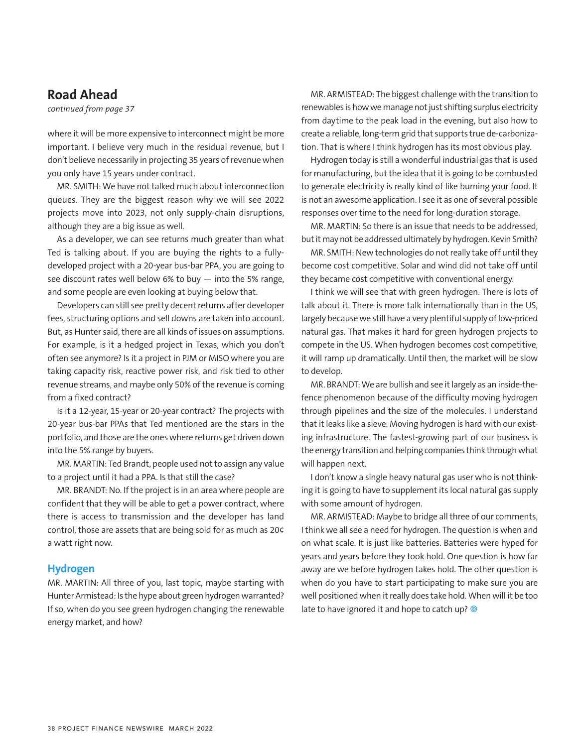### **Road Ahead**

*continued from page 37*

where it will be more expensive to interconnect might be more important. I believe very much in the residual revenue, but I don't believe necessarily in projecting 35 years of revenue when you only have 15 years under contract.

MR. SMITH: We have not talked much about interconnection queues. They are the biggest reason why we will see 2022 projects move into 2023, not only supply-chain disruptions, although they are a big issue as well.

As a developer, we can see returns much greater than what Ted is talking about. If you are buying the rights to a fullydeveloped project with a 20-year bus-bar PPA, you are going to see discount rates well below 6% to buy  $-$  into the 5% range, and some people are even looking at buying below that.

Developers can still see pretty decent returns after developer fees, structuring options and sell downs are taken into account. But, as Hunter said, there are all kinds of issues on assumptions. For example, is it a hedged project in Texas, which you don't often see anymore? Is it a project in PJM or MISO where you are taking capacity risk, reactive power risk, and risk tied to other revenue streams, and maybe only 50% of the revenue is coming from a fixed contract?

Is it a 12-year, 15-year or 20-year contract? The projects with 20-year bus-bar PPAs that Ted mentioned are the stars in the portfolio, and those are the ones where returns get driven down into the 5% range by buyers.

MR. MARTIN: Ted Brandt, people used not to assign any value to a project until it had a PPA. Is that still the case?

MR. BRANDT: No. If the project is in an area where people are confident that they will be able to get a power contract, where there is access to transmission and the developer has land control, those are assets that are being sold for as much as 20¢ a watt right now.

#### **Hydrogen**

MR. MARTIN: All three of you, last topic, maybe starting with Hunter Armistead: Is the hype about green hydrogen warranted? If so, when do you see green hydrogen changing the renewable energy market, and how?

MR. ARMISTEAD: The biggest challenge with the transition to renewables is how we manage not just shifting surplus electricity from daytime to the peak load in the evening, but also how to create a reliable, long-term grid that supports true de-carbonization. That is where I think hydrogen has its most obvious play.

Hydrogen today is still a wonderful industrial gas that is used for manufacturing, but the idea that it is going to be combusted to generate electricity is really kind of like burning your food. It is not an awesome application. I see it as one of several possible responses over time to the need for long-duration storage.

MR. MARTIN: So there is an issue that needs to be addressed, but it may not be addressed ultimately by hydrogen. Kevin Smith?

MR. SMITH: New technologies do not really take off until they become cost competitive. Solar and wind did not take off until they became cost competitive with conventional energy.

I think we will see that with green hydrogen. There is lots of talk about it. There is more talk internationally than in the US, largely because we still have a very plentiful supply of low-priced natural gas. That makes it hard for green hydrogen projects to compete in the US. When hydrogen becomes cost competitive, it will ramp up dramatically. Until then, the market will be slow to develop.

MR. BRANDT: We are bullish and see it largely as an inside-thefence phenomenon because of the difficulty moving hydrogen through pipelines and the size of the molecules. I understand that it leaks like a sieve. Moving hydrogen is hard with our existing infrastructure. The fastest-growing part of our business is the energy transition and helping companies think through what will happen next.

I don't know a single heavy natural gas user who is not thinking it is going to have to supplement its local natural gas supply with some amount of hydrogen.

MR. ARMISTEAD: Maybe to bridge all three of our comments, I think we all see a need for hydrogen. The question is when and on what scale. It is just like batteries. Batteries were hyped for years and years before they took hold. One question is how far away are we before hydrogen takes hold. The other question is when do you have to start participating to make sure you are well positioned when it really does take hold. When will it be too late to have ignored it and hope to catch up? <sup>@</sup>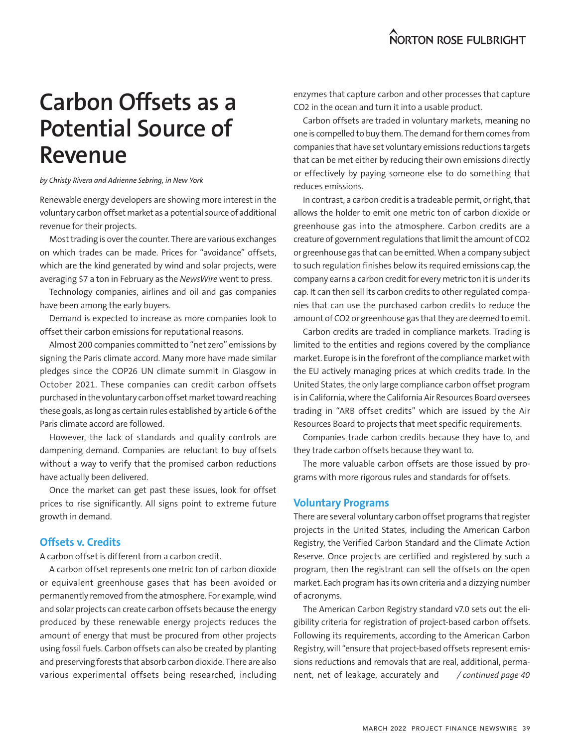# **Carbon Offsets as a Potential Source of Revenue**

*by Christy Rivera and Adrienne Sebring, in New York*

Renewable energy developers are showing more interest in the voluntary carbon offset market as a potential source of additional revenue for their projects.

Most trading is over the counter. There are various exchanges on which trades can be made. Prices for "avoidance" offsets, which are the kind generated by wind and solar projects, were averaging \$7 a ton in February as the *NewsWire* went to press.

Technology companies, airlines and oil and gas companies have been among the early buyers.

Demand is expected to increase as more companies look to offset their carbon emissions for reputational reasons.

Almost 200 companies committed to "net zero" emissions by signing the Paris climate accord. Many more have made similar pledges since the COP26 UN climate summit in Glasgow in October 2021. These companies can credit carbon offsets purchased in the voluntary carbon offset market toward reaching these goals, as long as certain rules established by article 6 of the Paris climate accord are followed.

However, the lack of standards and quality controls are dampening demand. Companies are reluctant to buy offsets without a way to verify that the promised carbon reductions have actually been delivered.

Once the market can get past these issues, look for offset prices to rise significantly. All signs point to extreme future growth in demand.

#### **Offsets v. Credits**

A carbon offset is different from a carbon credit.

A carbon offset represents one metric ton of carbon dioxide or equivalent greenhouse gases that has been avoided or permanently removed from the atmosphere. For example, wind and solar projects can create carbon offsets because the energy produced by these renewable energy projects reduces the amount of energy that must be procured from other projects using fossil fuels. Carbon offsets can also be created by planting and preserving forests that absorb carbon dioxide. There are also various experimental offsets being researched, including enzymes that capture carbon and other processes that capture CO2 in the ocean and turn it into a usable product.

Carbon offsets are traded in voluntary markets, meaning no one is compelled to buy them. The demand for them comes from companies that have set voluntary emissions reductions targets that can be met either by reducing their own emissions directly or effectively by paying someone else to do something that reduces emissions.

In contrast, a carbon credit is a tradeable permit, or right, that allows the holder to emit one metric ton of carbon dioxide or greenhouse gas into the atmosphere. Carbon credits are a creature of government regulations that limit the amount of CO2 or greenhouse gas that can be emitted. When a company subject to such regulation finishes below its required emissions cap, the company earns a carbon credit for every metric ton it is under its cap. It can then sell its carbon credits to other regulated companies that can use the purchased carbon credits to reduce the amount of CO2 or greenhouse gas that they are deemed to emit.

Carbon credits are traded in compliance markets. Trading is limited to the entities and regions covered by the compliance market. Europe is in the forefront of the compliance market with the EU actively managing prices at which credits trade. In the United States, the only large compliance carbon offset program is in California, where the California Air Resources Board oversees trading in "ARB offset credits" which are issued by the Air Resources Board to projects that meet specific requirements.

Companies trade carbon credits because they have to, and they trade carbon offsets because they want to.

The more valuable carbon offsets are those issued by programs with more rigorous rules and standards for offsets.

#### **Voluntary Programs**

There are several voluntary carbon offset programs that register projects in the United States, including the American Carbon Registry, the Verified Carbon Standard and the Climate Action Reserve. Once projects are certified and registered by such a program, then the registrant can sell the offsets on the open market. Each program has its own criteria and a dizzying number of acronyms.

The American Carbon Registry standard v7.0 sets out the eligibility criteria for registration of project-based carbon offsets. Following its requirements, according to the American Carbon Registry, will "ensure that project-based offsets represent emissions reductions and removals that are real, additional, permanent, net of leakage, accurately and */ continued page 40*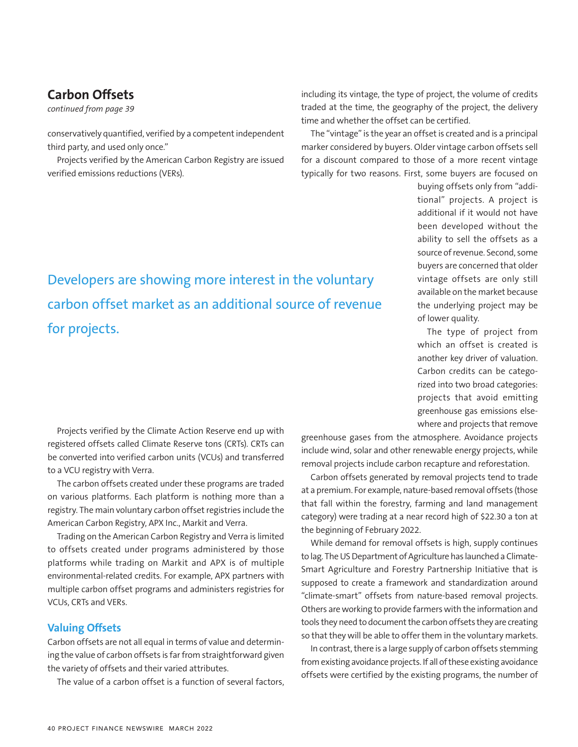# **Carbon Offsets**

*continued from page 39*

conservatively quantified, verified by a competent independent third party, and used only once."

Projects verified by the American Carbon Registry are issued verified emissions reductions (VERs).

including its vintage, the type of project, the volume of credits traded at the time, the geography of the project, the delivery time and whether the offset can be certified.

The "vintage" is the year an offset is created and is a principal marker considered by buyers. Older vintage carbon offsets sell for a discount compared to those of a more recent vintage typically for two reasons. First, some buyers are focused on

> buying offsets only from "additional" projects. A project is additional if it would not have been developed without the ability to sell the offsets as a source of revenue. Second, some buyers are concerned that older vintage offsets are only still available on the market because the underlying project may be of lower quality.

> The type of project from which an offset is created is another key driver of valuation. Carbon credits can be categorized into two broad categories: projects that avoid emitting greenhouse gas emissions elsewhere and projects that remove

Projects verified by the Climate Action Reserve end up with registered offsets called Climate Reserve tons (CRTs). CRTs can be converted into verified carbon units (VCUs) and transferred to a VCU registry with Verra.

The carbon offsets created under these programs are traded on various platforms. Each platform is nothing more than a registry. The main voluntary carbon offset registries include the American Carbon Registry, APX Inc., Markit and Verra.

Trading on the American Carbon Registry and Verra is limited to offsets created under programs administered by those platforms while trading on Markit and APX is of multiple environmental-related credits. For example, APX partners with multiple carbon offset programs and administers registries for VCUs, CRTs and VERs.

#### **Valuing Offsets**

Carbon offsets are not all equal in terms of value and determining the value of carbon offsets is far from straightforward given the variety of offsets and their varied attributes.

The value of a carbon offset is a function of several factors,

greenhouse gases from the atmosphere. Avoidance projects include wind, solar and other renewable energy projects, while removal projects include carbon recapture and reforestation.

Carbon offsets generated by removal projects tend to trade at a premium. For example, nature-based removal offsets (those that fall within the forestry, farming and land management category) were trading at a near record high of \$22.30 a ton at the beginning of February 2022.

While demand for removal offsets is high, supply continues to lag. The US Department of Agriculture has launched a Climate-Smart Agriculture and Forestry Partnership Initiative that is supposed to create a framework and standardization around "climate-smart" offsets from nature-based removal projects. Others are working to provide farmers with the information and tools they need to document the carbon offsets they are creating so that they will be able to offer them in the voluntary markets.

In contrast, there is a large supply of carbon offsets stemming from existing avoidance projects. If all of these existing avoidance offsets were certified by the existing programs, the number of

# Developers are showing more interest in the voluntary carbon offset market as an additional source of revenue for projects.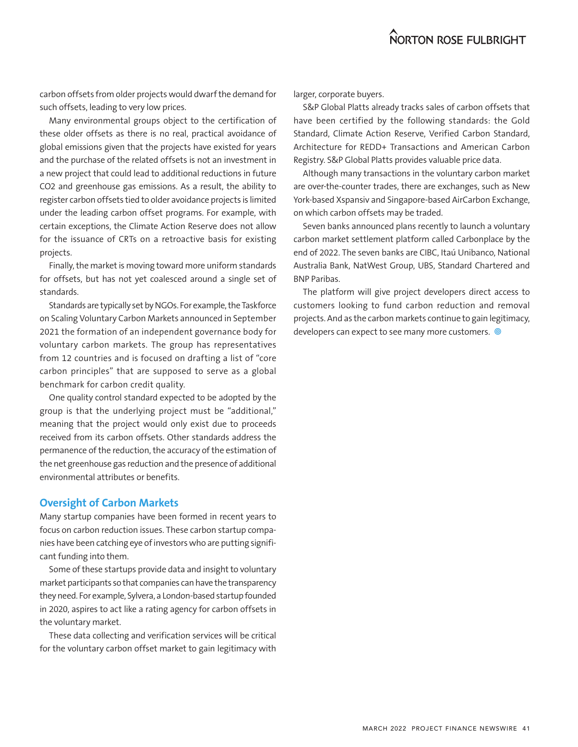carbon offsets from older projects would dwarf the demand for such offsets, leading to very low prices.

Many environmental groups object to the certification of these older offsets as there is no real, practical avoidance of global emissions given that the projects have existed for years and the purchase of the related offsets is not an investment in a new project that could lead to additional reductions in future CO2 and greenhouse gas emissions. As a result, the ability to register carbon offsets tied to older avoidance projects is limited under the leading carbon offset programs. For example, with certain exceptions, the Climate Action Reserve does not allow for the issuance of CRTs on a retroactive basis for existing projects.

Finally, the market is moving toward more uniform standards for offsets, but has not yet coalesced around a single set of standards.

Standards are typically set by NGOs. For example, the Taskforce on Scaling Voluntary Carbon Markets announced in September 2021 the formation of an independent governance body for voluntary carbon markets. The group has representatives from 12 countries and is focused on drafting a list of "core carbon principles" that are supposed to serve as a global benchmark for carbon credit quality.

One quality control standard expected to be adopted by the group is that the underlying project must be "additional," meaning that the project would only exist due to proceeds received from its carbon offsets. Other standards address the permanence of the reduction, the accuracy of the estimation of the net greenhouse gas reduction and the presence of additional environmental attributes or benefits.

#### **Oversight of Carbon Markets**

Many startup companies have been formed in recent years to focus on carbon reduction issues. These carbon startup companies have been catching eye of investors who are putting significant funding into them.

Some of these startups provide data and insight to voluntary market participants so that companies can have the transparency they need. For example, Sylvera, a London-based startup founded in 2020, aspires to act like a rating agency for carbon offsets in the voluntary market.

These data collecting and verification services will be critical for the voluntary carbon offset market to gain legitimacy with

larger, corporate buyers.

S&P Global Platts already tracks sales of carbon offsets that have been certified by the following standards: the Gold Standard, Climate Action Reserve, Verified Carbon Standard, Architecture for REDD+ Transactions and American Carbon Registry. S&P Global Platts provides valuable price data.

Although many transactions in the voluntary carbon market are over-the-counter trades, there are exchanges, such as New York-based Xspansiv and Singapore-based AirCarbon Exchange, on which carbon offsets may be traded.

Seven banks announced plans recently to launch a voluntary carbon market settlement platform called Carbonplace by the end of 2022. The seven banks are CIBC, Itaú Unibanco, National Australia Bank, NatWest Group, UBS, Standard Chartered and BNP Paribas.

The platform will give project developers direct access to customers looking to fund carbon reduction and removal projects. And as the carbon markets continue to gain legitimacy, developers can expect to see many more customers.  $\circledcirc$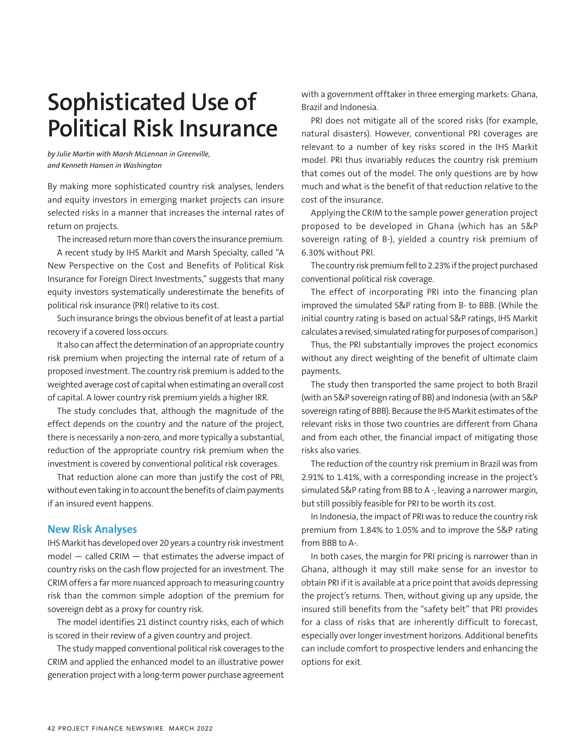# **Sophisticated Use of Political Risk Insurance**

*by Julie Martin with Marsh McLennan in Greenville, and Kenneth Hansen in Washington*

By making more sophisticated country risk analyses, lenders and equity investors in emerging market projects can insure selected risks in a manner that increases the internal rates of return on projects.

The increased return more than covers the insurance premium.

A recent study by IHS Markit and Marsh Specialty, called "A New Perspective on the Cost and Benefits of Political Risk Insurance for Foreign Direct Investments," suggests that many equity investors systematically underestimate the benefits of political risk insurance (PRI) relative to its cost.

Such insurance brings the obvious benefit of at least a partial recovery if a covered loss occurs.

It also can affect the determination of an appropriate country risk premium when projecting the internal rate of return of a proposed investment. The country risk premium is added to the weighted average cost of capital when estimating an overall cost of capital. A lower country risk premium yields a higher IRR.

The study concludes that, although the magnitude of the effect depends on the country and the nature of the project, there is necessarily a non-zero, and more typically a substantial, reduction of the appropriate country risk premium when the investment is covered by conventional political risk coverages.

That reduction alone can more than justify the cost of PRI, without even taking in to account the benefits of claim payments if an insured event happens.

#### **New Risk Analyses**

IHS Markit has developed over 20 years a country risk investment model — called CRIM — that estimates the adverse impact of country risks on the cash flow projected for an investment. The CRIM offers a far more nuanced approach to measuring country risk than the common simple adoption of the premium for sovereign debt as a proxy for country risk.

The model identifies 21 distinct country risks, each of which is scored in their review of a given country and project.

The study mapped conventional political risk coverages to the CRIM and applied the enhanced model to an illustrative power generation project with a long-term power purchase agreement with a government offtaker in three emerging markets: Ghana, Brazil and Indonesia.

PRI does not mitigate all of the scored risks (for example, natural disasters). However, conventional PRI coverages are relevant to a number of key risks scored in the IHS Markit model. PRI thus invariably reduces the country risk premium that comes out of the model. The only questions are by how much and what is the benefit of that reduction relative to the cost of the insurance.

Applying the CRIM to the sample power generation project proposed to be developed in Ghana (which has an S&P sovereign rating of B-), yielded a country risk premium of 6.30% without PRI.

The country risk premium fell to 2.23% if the project purchased conventional political risk coverage.

The effect of incorporating PRI into the financing plan improved the simulated S&P rating from B- to BBB. (While the initial country rating is based on actual S&P ratings, IHS Markit calculates a revised, simulated rating for purposes of comparison.)

Thus, the PRI substantially improves the project economics without any direct weighting of the benefit of ultimate claim payments.

The study then transported the same project to both Brazil (with an S&P sovereign rating of BB) and Indonesia (with an S&P sovereign rating of BBB). Because the IHS Markit estimates of the relevant risks in those two countries are different from Ghana and from each other, the financial impact of mitigating those risks also varies.

The reduction of the country risk premium in Brazil was from 2.91% to 1.41%, with a corresponding increase in the project's simulated S&P rating from BB to A -, leaving a narrower margin, but still possibly feasible for PRI to be worth its cost.

In Indonesia, the impact of PRI was to reduce the country risk premium from 1.84% to 1.05% and to improve the S&P rating from BBB to A-.

In both cases, the margin for PRI pricing is narrower than in Ghana, although it may still make sense for an investor to obtain PRI if it is available at a price point that avoids depressing the project's returns. Then, without giving up any upside, the insured still benefits from the "safety belt" that PRI provides for a class of risks that are inherently difficult to forecast, especially over longer investment horizons. Additional benefits can include comfort to prospective lenders and enhancing the options for exit.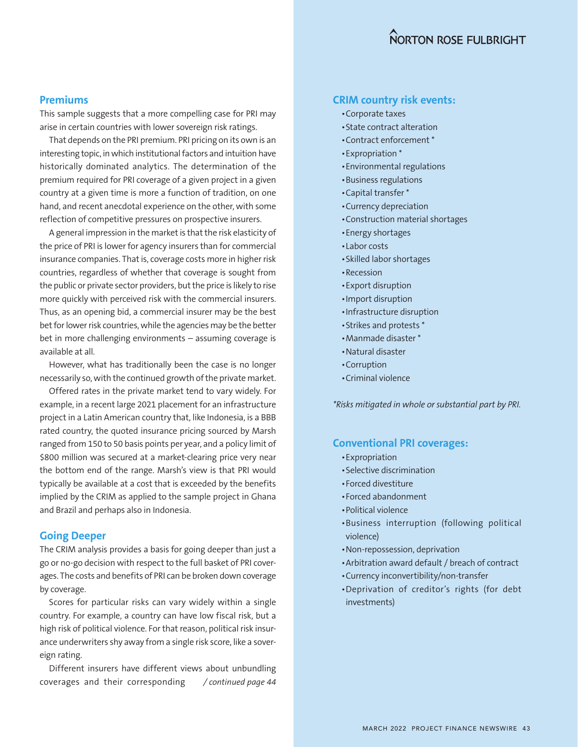#### **Premiums**

This sample suggests that a more compelling case for PRI may arise in certain countries with lower sovereign risk ratings.

That depends on the PRI premium. PRI pricing on its own is an interesting topic, in which institutional factors and intuition have historically dominated analytics. The determination of the premium required for PRI coverage of a given project in a given country at a given time is more a function of tradition, on one hand, and recent anecdotal experience on the other, with some reflection of competitive pressures on prospective insurers.

A general impression in the market is that the risk elasticity of the price of PRI is lower for agency insurers than for commercial insurance companies. That is, coverage costs more in higher risk countries, regardless of whether that coverage is sought from the public or private sector providers, but the price is likely to rise more quickly with perceived risk with the commercial insurers. Thus, as an opening bid, a commercial insurer may be the best bet for lower risk countries, while the agencies may be the better bet in more challenging environments – assuming coverage is available at all.

However, what has traditionally been the case is no longer necessarily so, with the continued growth of the private market.

Offered rates in the private market tend to vary widely. For example, in a recent large 2021 placement for an infrastructure project in a Latin American country that, like Indonesia, is a BBB rated country, the quoted insurance pricing sourced by Marsh ranged from 150 to 50 basis points per year, and a policy limit of \$800 million was secured at a market-clearing price very near the bottom end of the range. Marsh's view is that PRI would typically be available at a cost that is exceeded by the benefits implied by the CRIM as applied to the sample project in Ghana and Brazil and perhaps also in Indonesia.

#### **Going Deeper**

The CRIM analysis provides a basis for going deeper than just a go or no-go decision with respect to the full basket of PRI coverages. The costs and benefits of PRI can be broken down coverage by coverage.

Scores for particular risks can vary widely within a single country. For example, a country can have low fiscal risk, but a high risk of political violence. For that reason, political risk insurance underwriters shy away from a single risk score, like a sovereign rating.

Different insurers have different views about unbundling coverages and their corresponding */ continued page 44*

#### **CRIM country risk events:**

- •Corporate taxes
- •State contract alteration
- •Contract enforcement \*
- •Expropriation \*
- •Environmental regulations
- •Business regulations
- •Capital transfer \*
- •Currency depreciation
- •Construction material shortages
- •Energy shortages
- •Labor costs
- •Skilled labor shortages
- •Recession
- •Export disruption
- •Import disruption
- •Infrastructure disruption
- •Strikes and protests \*
- •Manmade disaster \*
- •Natural disaster
- •Corruption
- •Criminal violence

*\*Risks mitigated in whole or substantial part by PRI.*

#### **Conventional PRI coverages:**

- •Expropriation
- •Selective discrimination
- •Forced divestiture
- •Forced abandonment
- •Political violence
- •Business interruption (following political violence)
- •Non-repossession, deprivation
- •Arbitration award default / breach of contract
- •Currency inconvertibility/non-transfer
- •Deprivation of creditor's rights (for debt investments)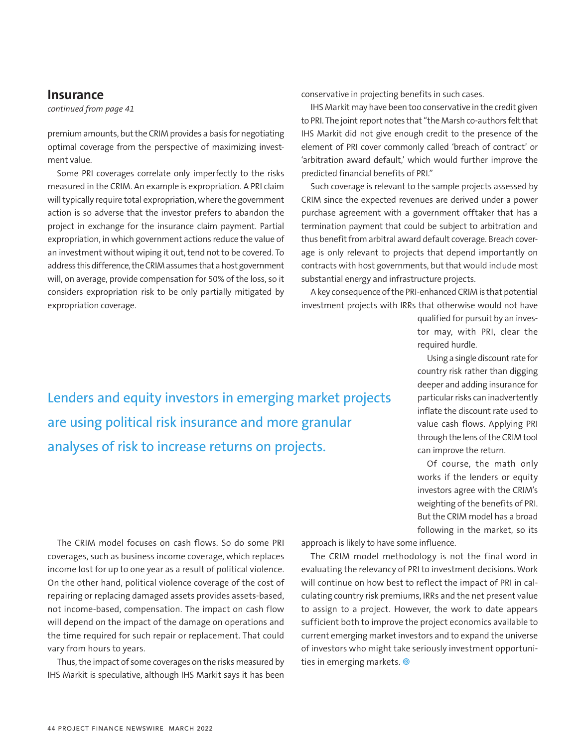#### **Insurance**

*continued from page 41*

premium amounts, but the CRIM provides a basis for negotiating optimal coverage from the perspective of maximizing investment value.

Some PRI coverages correlate only imperfectly to the risks measured in the CRIM. An example is expropriation. A PRI claim will typically require total expropriation, where the government action is so adverse that the investor prefers to abandon the project in exchange for the insurance claim payment. Partial expropriation, in which government actions reduce the value of an investment without wiping it out, tend not to be covered. To address this difference, the CRIM assumes that a host government will, on average, provide compensation for 50% of the loss, so it considers expropriation risk to be only partially mitigated by expropriation coverage.

conservative in projecting benefits in such cases.

IHS Markit may have been too conservative in the credit given to PRI. The joint report notes that "the Marsh co-authors felt that IHS Markit did not give enough credit to the presence of the element of PRI cover commonly called 'breach of contract' or 'arbitration award default,' which would further improve the predicted financial benefits of PRI."

Such coverage is relevant to the sample projects assessed by CRIM since the expected revenues are derived under a power purchase agreement with a government offtaker that has a termination payment that could be subject to arbitration and thus benefit from arbitral award default coverage. Breach coverage is only relevant to projects that depend importantly on contracts with host governments, but that would include most substantial energy and infrastructure projects.

A key consequence of the PRI-enhanced CRIM is that potential investment projects with IRRs that otherwise would not have

> qualified for pursuit by an investor may, with PRI, clear the required hurdle.

> Using a single discount rate for country risk rather than digging deeper and adding insurance for particular risks can inadvertently inflate the discount rate used to value cash flows. Applying PRI through the lens of the CRIM tool can improve the return.

> Of course, the math only works if the lenders or equity investors agree with the CRIM's weighting of the benefits of PRI. But the CRIM model has a broad following in the market, so its

Lenders and equity investors in emerging market projects are using political risk insurance and more granular analyses of risk to increase returns on projects.

The CRIM model focuses on cash flows. So do some PRI coverages, such as business income coverage, which replaces income lost for up to one year as a result of political violence. On the other hand, political violence coverage of the cost of repairing or replacing damaged assets provides assets-based, not income-based, compensation. The impact on cash flow will depend on the impact of the damage on operations and the time required for such repair or replacement. That could vary from hours to years.

Thus, the impact of some coverages on the risks measured by IHS Markit is speculative, although IHS Markit says it has been approach is likely to have some influence.

The CRIM model methodology is not the final word in evaluating the relevancy of PRI to investment decisions. Work will continue on how best to reflect the impact of PRI in calculating country risk premiums, IRRs and the net present value to assign to a project. However, the work to date appears sufficient both to improve the project economics available to current emerging market investors and to expand the universe of investors who might take seriously investment opportunities in emerging markets.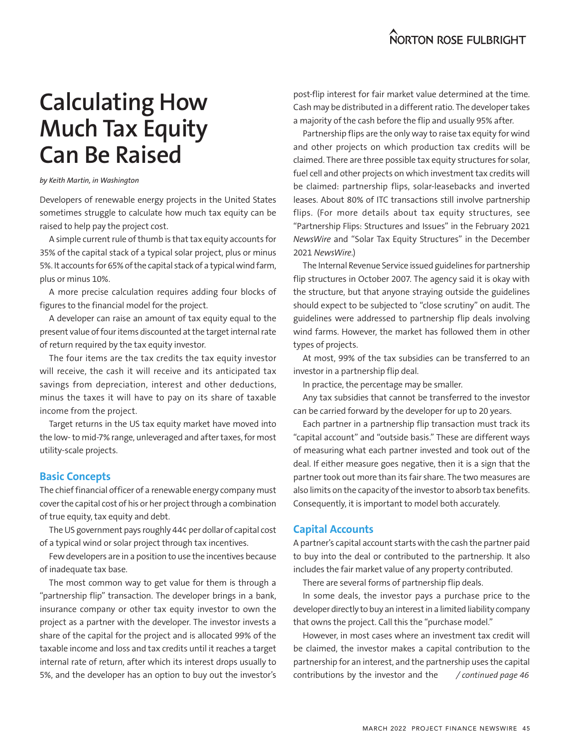# **Calculating How Much Tax Equity Can Be Raised**

#### *by Keith Martin, in Washington*

Developers of renewable energy projects in the United States sometimes struggle to calculate how much tax equity can be raised to help pay the project cost.

A simple current rule of thumb is that tax equity accounts for 35% of the capital stack of a typical solar project, plus or minus 5%. It accounts for 65% of the capital stack of a typical wind farm, plus or minus 10%.

A more precise calculation requires adding four blocks of figures to the financial model for the project.

A developer can raise an amount of tax equity equal to the present value of four items discounted at the target internal rate of return required by the tax equity investor.

The four items are the tax credits the tax equity investor will receive, the cash it will receive and its anticipated tax savings from depreciation, interest and other deductions, minus the taxes it will have to pay on its share of taxable income from the project.

Target returns in the US tax equity market have moved into the low- to mid-7% range, unleveraged and after taxes, for most utility-scale projects.

#### **Basic Concepts**

The chief financial officer of a renewable energy company must cover the capital cost of his or her project through a combination of true equity, tax equity and debt.

The US government pays roughly 44¢ per dollar of capital cost of a typical wind or solar project through tax incentives.

Few developers are in a position to use the incentives because of inadequate tax base.

The most common way to get value for them is through a "partnership flip" transaction. The developer brings in a bank, insurance company or other tax equity investor to own the project as a partner with the developer. The investor invests a share of the capital for the project and is allocated 99% of the taxable income and loss and tax credits until it reaches a target internal rate of return, after which its interest drops usually to 5%, and the developer has an option to buy out the investor's

post-flip interest for fair market value determined at the time. Cash may be distributed in a different ratio. The developer takes a majority of the cash before the flip and usually 95% after.

Partnership flips are the only way to raise tax equity for wind and other projects on which production tax credits will be claimed. There are three possible tax equity structures for solar, fuel cell and other projects on which investment tax credits will be claimed: partnership flips, solar-leasebacks and inverted leases. About 80% of ITC transactions still involve partnership flips. (For more details about tax equity structures, see "Partnership Flips: Structures and Issues" in the February 2021 *NewsWire* and "Solar Tax Equity Structures" in the December 2021 *NewsWire*.)

The Internal Revenue Service issued guidelines for partnership flip structures in October 2007. The agency said it is okay with the structure, but that anyone straying outside the guidelines should expect to be subjected to "close scrutiny" on audit. The guidelines were addressed to partnership flip deals involving wind farms. However, the market has followed them in other types of projects.

At most, 99% of the tax subsidies can be transferred to an investor in a partnership flip deal.

In practice, the percentage may be smaller.

Any tax subsidies that cannot be transferred to the investor can be carried forward by the developer for up to 20 years.

Each partner in a partnership flip transaction must track its "capital account" and "outside basis." These are different ways of measuring what each partner invested and took out of the deal. If either measure goes negative, then it is a sign that the partner took out more than its fair share. The two measures are also limits on the capacity of the investor to absorb tax benefits. Consequently, it is important to model both accurately.

#### **Capital Accounts**

A partner's capital account starts with the cash the partner paid to buy into the deal or contributed to the partnership. It also includes the fair market value of any property contributed.

There are several forms of partnership flip deals.

In some deals, the investor pays a purchase price to the developer directly to buy an interest in a limited liability company that owns the project. Call this the "purchase model."

However, in most cases where an investment tax credit will be claimed, the investor makes a capital contribution to the partnership for an interest, and the partnership uses the capital contributions by the investor and the */ continued page 46*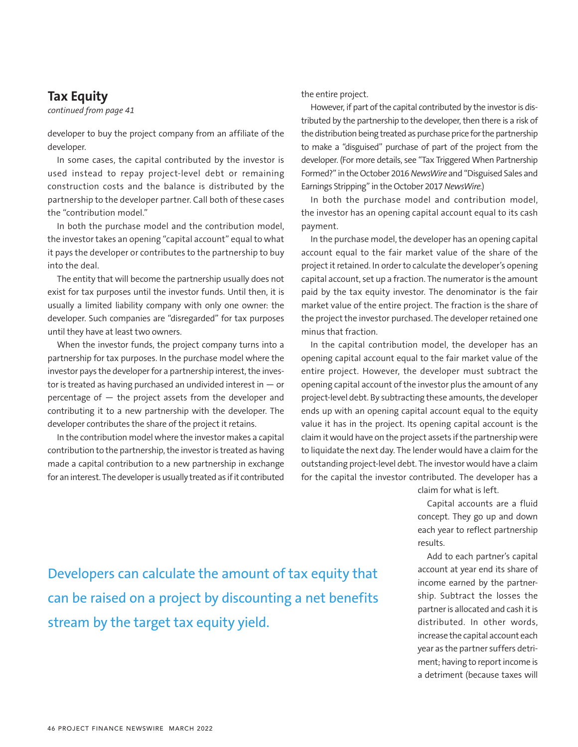### **Tax Equity**

*continued from page 41*

developer to buy the project company from an affiliate of the developer.

In some cases, the capital contributed by the investor is used instead to repay project-level debt or remaining construction costs and the balance is distributed by the partnership to the developer partner. Call both of these cases the "contribution model."

In both the purchase model and the contribution model, the investor takes an opening "capital account" equal to what it pays the developer or contributes to the partnership to buy into the deal.

The entity that will become the partnership usually does not exist for tax purposes until the investor funds. Until then, it is usually a limited liability company with only one owner: the developer. Such companies are "disregarded" for tax purposes until they have at least two owners.

When the investor funds, the project company turns into a partnership for tax purposes. In the purchase model where the investor pays the developer for a partnership interest, the investor is treated as having purchased an undivided interest in  $-$  or percentage of — the project assets from the developer and contributing it to a new partnership with the developer. The developer contributes the share of the project it retains.

In the contribution model where the investor makes a capital contribution to the partnership, the investor is treated as having made a capital contribution to a new partnership in exchange for an interest. The developer is usually treated as if it contributed the entire project.

However, if part of the capital contributed by the investor is distributed by the partnership to the developer, then there is a risk of the distribution being treated as purchase price for the partnership to make a "disguised" purchase of part of the project from the developer. (For more details, see "Tax Triggered When Partnership Formed?" in the October 2016 *NewsWire* and "Disguised Sales and Earnings Stripping" in the October 2017 *NewsWire.*)

In both the purchase model and contribution model, the investor has an opening capital account equal to its cash payment.

In the purchase model, the developer has an opening capital account equal to the fair market value of the share of the project it retained. In order to calculate the developer's opening capital account, set up a fraction. The numerator is the amount paid by the tax equity investor. The denominator is the fair market value of the entire project. The fraction is the share of the project the investor purchased. The developer retained one minus that fraction.

In the capital contribution model, the developer has an opening capital account equal to the fair market value of the entire project. However, the developer must subtract the opening capital account of the investor plus the amount of any project-level debt. By subtracting these amounts, the developer ends up with an opening capital account equal to the equity value it has in the project. Its opening capital account is the claim it would have on the project assets if the partnership were to liquidate the next day. The lender would have a claim for the outstanding project-level debt. The investor would have a claim for the capital the investor contributed. The developer has a

claim for what is left.

Capital accounts are a fluid concept. They go up and down each year to reflect partnership results.

Add to each partner's capital account at year end its share of income earned by the partnership. Subtract the losses the partner is allocated and cash it is distributed. In other words, increase the capital account each year as the partner suffers detriment; having to report income is a detriment (because taxes will

Developers can calculate the amount of tax equity that can be raised on a project by discounting a net benefits stream by the target tax equity yield.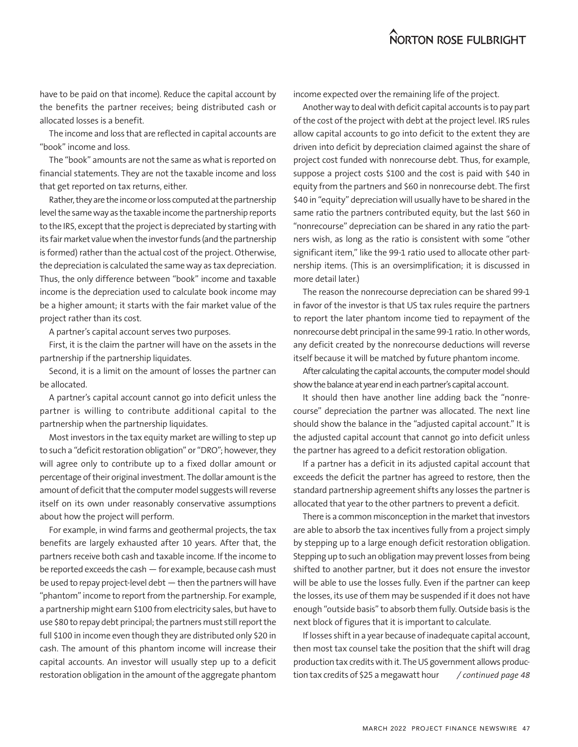have to be paid on that income). Reduce the capital account by the benefits the partner receives; being distributed cash or allocated losses is a benefit.

The income and loss that are reflected in capital accounts are "book" income and loss.

The "book" amounts are not the same as what is reported on financial statements. They are not the taxable income and loss that get reported on tax returns, either.

Rather, they are the income or loss computed at the partnership level the same way as the taxable income the partnership reports to the IRS, except that the project is depreciated by starting with its fair market value when the investor funds (and the partnership is formed) rather than the actual cost of the project. Otherwise, the depreciation is calculated the same way as tax depreciation. Thus, the only difference between "book" income and taxable income is the depreciation used to calculate book income may be a higher amount; it starts with the fair market value of the project rather than its cost.

A partner's capital account serves two purposes.

First, it is the claim the partner will have on the assets in the partnership if the partnership liquidates.

Second, it is a limit on the amount of losses the partner can be allocated.

A partner's capital account cannot go into deficit unless the partner is willing to contribute additional capital to the partnership when the partnership liquidates.

Most investors in the tax equity market are willing to step up to such a "deficit restoration obligation" or "DRO"; however, they will agree only to contribute up to a fixed dollar amount or percentage of their original investment. The dollar amount is the amount of deficit that the computer model suggests will reverse itself on its own under reasonably conservative assumptions about how the project will perform.

For example, in wind farms and geothermal projects, the tax benefits are largely exhausted after 10 years. After that, the partners receive both cash and taxable income. If the income to be reported exceeds the cash — for example, because cash must be used to repay project-level debt — then the partners will have "phantom" income to report from the partnership. For example, a partnership might earn \$100 from electricity sales, but have to use \$80 to repay debt principal; the partners must still report the full \$100 in income even though they are distributed only \$20 in cash. The amount of this phantom income will increase their capital accounts. An investor will usually step up to a deficit restoration obligation in the amount of the aggregate phantom income expected over the remaining life of the project.

Another way to deal with deficit capital accounts is to pay part of the cost of the project with debt at the project level. IRS rules allow capital accounts to go into deficit to the extent they are driven into deficit by depreciation claimed against the share of project cost funded with nonrecourse debt. Thus, for example, suppose a project costs \$100 and the cost is paid with \$40 in equity from the partners and \$60 in nonrecourse debt. The first \$40 in "equity" depreciation will usually have to be shared in the same ratio the partners contributed equity, but the last \$60 in "nonrecourse" depreciation can be shared in any ratio the partners wish, as long as the ratio is consistent with some "other significant item," like the 99-1 ratio used to allocate other partnership items. (This is an oversimplification; it is discussed in more detail later.)

The reason the nonrecourse depreciation can be shared 99-1 in favor of the investor is that US tax rules require the partners to report the later phantom income tied to repayment of the nonrecourse debt principal in the same 99-1 ratio. In other words, any deficit created by the nonrecourse deductions will reverse itself because it will be matched by future phantom income.

After calculating the capital accounts, the computer model should show the balance at year end in each partner's capital account.

It should then have another line adding back the "nonrecourse" depreciation the partner was allocated. The next line should show the balance in the "adjusted capital account." It is the adjusted capital account that cannot go into deficit unless the partner has agreed to a deficit restoration obligation.

If a partner has a deficit in its adjusted capital account that exceeds the deficit the partner has agreed to restore, then the standard partnership agreement shifts any losses the partner is allocated that year to the other partners to prevent a deficit.

There is a common misconception in the market that investors are able to absorb the tax incentives fully from a project simply by stepping up to a large enough deficit restoration obligation. Stepping up to such an obligation may prevent losses from being shifted to another partner, but it does not ensure the investor will be able to use the losses fully. Even if the partner can keep the losses, its use of them may be suspended if it does not have enough "outside basis" to absorb them fully. Outside basis is the next block of figures that it is important to calculate.

If losses shift in a year because of inadequate capital account, then most tax counsel take the position that the shift will drag production tax credits with it. The US government allows production tax credits of \$25 a megawatt hour */ continued page 48*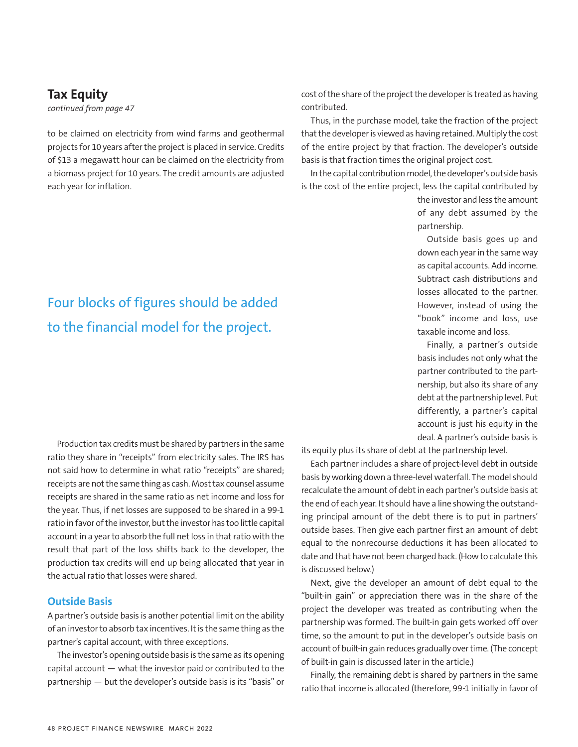### **Tax Equity**

*continued from page 47*

to be claimed on electricity from wind farms and geothermal projects for 10 years after the project is placed in service. Credits of \$13 a megawatt hour can be claimed on the electricity from a biomass project for 10 years. The credit amounts are adjusted each year for inflation.

# Four blocks of figures should be added to the financial model for the project.

Production tax credits must be shared by partners in the same ratio they share in "receipts" from electricity sales. The IRS has not said how to determine in what ratio "receipts" are shared; receipts are not the same thing as cash. Most tax counsel assume receipts are shared in the same ratio as net income and loss for the year. Thus, if net losses are supposed to be shared in a 99-1 ratio in favor of the investor, but the investor has too little capital account in a year to absorb the full net loss in that ratio with the result that part of the loss shifts back to the developer, the production tax credits will end up being allocated that year in the actual ratio that losses were shared.

#### **Outside Basis**

A partner's outside basis is another potential limit on the ability of an investor to absorb tax incentives. It is the same thing as the partner's capital account, with three exceptions.

The investor's opening outside basis is the same as its opening capital account — what the investor paid or contributed to the partnership — but the developer's outside basis is its "basis" or cost of the share of the project the developer is treated as having contributed.

Thus, in the purchase model, take the fraction of the project that the developer is viewed as having retained. Multiply the cost of the entire project by that fraction. The developer's outside basis is that fraction times the original project cost.

In the capital contribution model, the developer's outside basis is the cost of the entire project, less the capital contributed by

> the investor and less the amount of any debt assumed by the partnership.

> Outside basis goes up and down each year in the same way as capital accounts. Add income. Subtract cash distributions and losses allocated to the partner. However, instead of using the "book" income and loss, use taxable income and loss.

> Finally, a partner's outside basis includes not only what the partner contributed to the partnership, but also its share of any debt at the partnership level. Put differently, a partner's capital account is just his equity in the deal. A partner's outside basis is

its equity plus its share of debt at the partnership level.

Each partner includes a share of project-level debt in outside basis by working down a three-level waterfall. The model should recalculate the amount of debt in each partner's outside basis at the end of each year. It should have a line showing the outstanding principal amount of the debt there is to put in partners' outside bases. Then give each partner first an amount of debt equal to the nonrecourse deductions it has been allocated to date and that have not been charged back. (How to calculate this is discussed below.)

Next, give the developer an amount of debt equal to the "built-in gain" or appreciation there was in the share of the project the developer was treated as contributing when the partnership was formed. The built-in gain gets worked off over time, so the amount to put in the developer's outside basis on account of built-in gain reduces gradually over time. (The concept of built-in gain is discussed later in the article.)

Finally, the remaining debt is shared by partners in the same ratio that income is allocated (therefore, 99-1 initially in favor of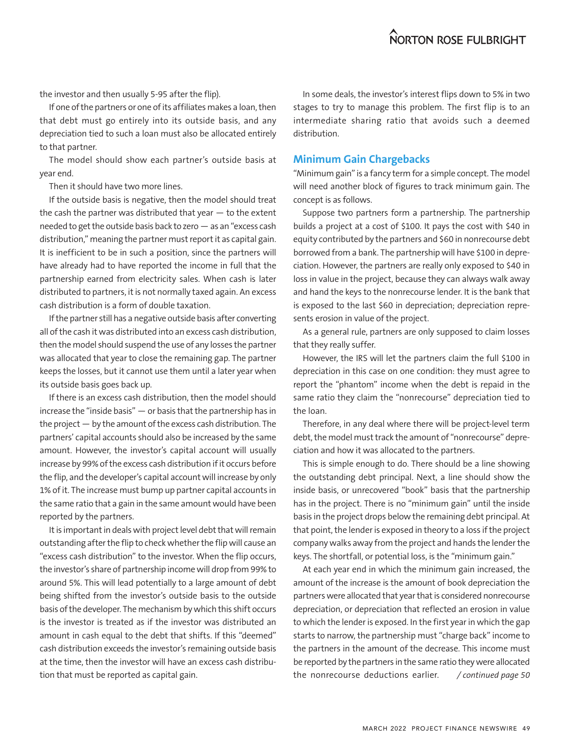the investor and then usually 5-95 after the flip).

If one of the partners or one of its affiliates makes a loan, then that debt must go entirely into its outside basis, and any depreciation tied to such a loan must also be allocated entirely to that partner.

The model should show each partner's outside basis at year end.

Then it should have two more lines.

If the outside basis is negative, then the model should treat the cash the partner was distributed that year  $-$  to the extent needed to get the outside basis back to zero — as an "excess cash distribution," meaning the partner must report it as capital gain. It is inefficient to be in such a position, since the partners will have already had to have reported the income in full that the partnership earned from electricity sales. When cash is later distributed to partners, it is not normally taxed again. An excess cash distribution is a form of double taxation.

If the partner still has a negative outside basis after converting all of the cash it was distributed into an excess cash distribution, then the model should suspend the use of any losses the partner was allocated that year to close the remaining gap. The partner keeps the losses, but it cannot use them until a later year when its outside basis goes back up.

If there is an excess cash distribution, then the model should increase the "inside basis" — or basis that the partnership has in the project — by the amount of the excess cash distribution. The partners' capital accounts should also be increased by the same amount. However, the investor's capital account will usually increase by 99% of the excess cash distribution if it occurs before the flip, and the developer's capital account will increase by only 1% of it. The increase must bump up partner capital accounts in the same ratio that a gain in the same amount would have been reported by the partners.

It is important in deals with project level debt that will remain outstanding after the flip to check whether the flip will cause an "excess cash distribution" to the investor. When the flip occurs, the investor's share of partnership income will drop from 99% to around 5%. This will lead potentially to a large amount of debt being shifted from the investor's outside basis to the outside basis of the developer. The mechanism by which this shift occurs is the investor is treated as if the investor was distributed an amount in cash equal to the debt that shifts. If this "deemed" cash distribution exceeds the investor's remaining outside basis at the time, then the investor will have an excess cash distribution that must be reported as capital gain.

In some deals, the investor's interest flips down to 5% in two stages to try to manage this problem. The first flip is to an intermediate sharing ratio that avoids such a deemed distribution.

#### **Minimum Gain Chargebacks**

"Minimum gain" is a fancy term for a simple concept. The model will need another block of figures to track minimum gain. The concept is as follows.

Suppose two partners form a partnership. The partnership builds a project at a cost of \$100. It pays the cost with \$40 in equity contributed by the partners and \$60 in nonrecourse debt borrowed from a bank. The partnership will have \$100 in depreciation. However, the partners are really only exposed to \$40 in loss in value in the project, because they can always walk away and hand the keys to the nonrecourse lender. It is the bank that is exposed to the last \$60 in depreciation; depreciation represents erosion in value of the project.

As a general rule, partners are only supposed to claim losses that they really suffer.

However, the IRS will let the partners claim the full \$100 in depreciation in this case on one condition: they must agree to report the "phantom" income when the debt is repaid in the same ratio they claim the "nonrecourse" depreciation tied to the loan.

Therefore, in any deal where there will be project-level term debt, the model must track the amount of "nonrecourse" depreciation and how it was allocated to the partners.

This is simple enough to do. There should be a line showing the outstanding debt principal. Next, a line should show the inside basis, or unrecovered "book" basis that the partnership has in the project. There is no "minimum gain" until the inside basis in the project drops below the remaining debt principal. At that point, the lender is exposed in theory to a loss if the project company walks away from the project and hands the lender the keys. The shortfall, or potential loss, is the "minimum gain."

At each year end in which the minimum gain increased, the amount of the increase is the amount of book depreciation the partners were allocated that year that is considered nonrecourse depreciation, or depreciation that reflected an erosion in value to which the lender is exposed. In the first year in which the gap starts to narrow, the partnership must "charge back" income to the partners in the amount of the decrease. This income must be reported by the partners in the same ratio they were allocated the nonrecourse deductions earlier. */ continued page 50*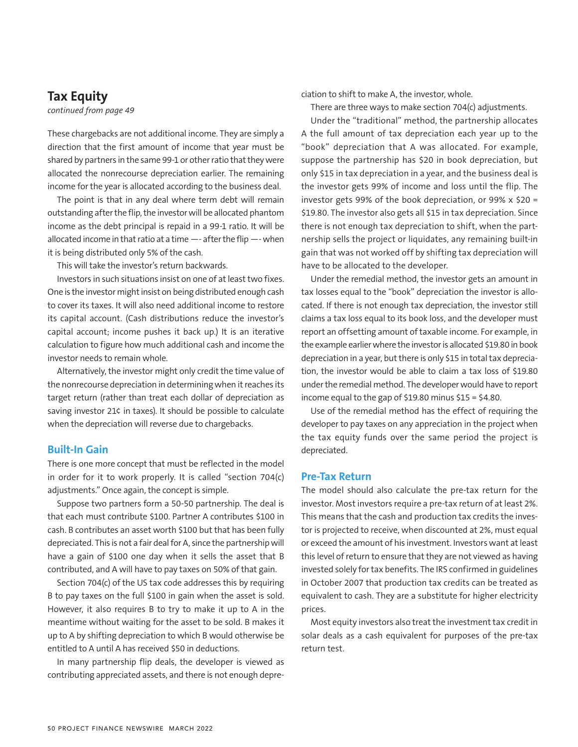### **Tax Equity**

*continued from page 49*

These chargebacks are not additional income. They are simply a direction that the first amount of income that year must be shared by partners in the same 99-1 or other ratio that they were allocated the nonrecourse depreciation earlier. The remaining income for the year is allocated according to the business deal.

The point is that in any deal where term debt will remain outstanding after the flip, the investor will be allocated phantom income as the debt principal is repaid in a 99-1 ratio. It will be allocated income in that ratio at a time —- after the flip —- when it is being distributed only 5% of the cash.

This will take the investor's return backwards.

Investors in such situations insist on one of at least two fixes. One is the investor might insist on being distributed enough cash to cover its taxes. It will also need additional income to restore its capital account. (Cash distributions reduce the investor's capital account; income pushes it back up.) It is an iterative calculation to figure how much additional cash and income the investor needs to remain whole.

Alternatively, the investor might only credit the time value of the nonrecourse depreciation in determining when it reaches its target return (rather than treat each dollar of depreciation as saving investor 21¢ in taxes). It should be possible to calculate when the depreciation will reverse due to chargebacks.

#### **Built-In Gain**

There is one more concept that must be reflected in the model in order for it to work properly. It is called "section 704(c) adjustments." Once again, the concept is simple.

Suppose two partners form a 50-50 partnership. The deal is that each must contribute \$100. Partner A contributes \$100 in cash. B contributes an asset worth \$100 but that has been fully depreciated. This is not a fair deal for A, since the partnership will have a gain of \$100 one day when it sells the asset that B contributed, and A will have to pay taxes on 50% of that gain.

Section 704(c) of the US tax code addresses this by requiring B to pay taxes on the full \$100 in gain when the asset is sold. However, it also requires B to try to make it up to A in the meantime without waiting for the asset to be sold. B makes it up to A by shifting depreciation to which B would otherwise be entitled to A until A has received \$50 in deductions.

In many partnership flip deals, the developer is viewed as contributing appreciated assets, and there is not enough depreciation to shift to make A, the investor, whole.

There are three ways to make section 704(c) adjustments.

Under the "traditional" method, the partnership allocates A the full amount of tax depreciation each year up to the "book" depreciation that A was allocated. For example, suppose the partnership has \$20 in book depreciation, but only \$15 in tax depreciation in a year, and the business deal is the investor gets 99% of income and loss until the flip. The investor gets 99% of the book depreciation, or 99% x \$20 = \$19.80. The investor also gets all \$15 in tax depreciation. Since there is not enough tax depreciation to shift, when the partnership sells the project or liquidates, any remaining built-in gain that was not worked off by shifting tax depreciation will have to be allocated to the developer.

Under the remedial method, the investor gets an amount in tax losses equal to the "book" depreciation the investor is allocated. If there is not enough tax depreciation, the investor still claims a tax loss equal to its book loss, and the developer must report an offsetting amount of taxable income. For example, in the example earlier where the investor is allocated \$19.80 in book depreciation in a year, but there is only \$15 in total tax depreciation, the investor would be able to claim a tax loss of \$19.80 under the remedial method. The developer would have to report income equal to the gap of \$19.80 minus  $$15 = $4.80$ .

Use of the remedial method has the effect of requiring the developer to pay taxes on any appreciation in the project when the tax equity funds over the same period the project is depreciated.

#### **Pre-Tax Return**

The model should also calculate the pre-tax return for the investor. Most investors require a pre-tax return of at least 2%. This means that the cash and production tax credits the investor is projected to receive, when discounted at 2%, must equal or exceed the amount of his investment. Investors want at least this level of return to ensure that they are not viewed as having invested solely for tax benefits. The IRS confirmed in guidelines in October 2007 that production tax credits can be treated as equivalent to cash. They are a substitute for higher electricity prices.

Most equity investors also treat the investment tax credit in solar deals as a cash equivalent for purposes of the pre-tax return test.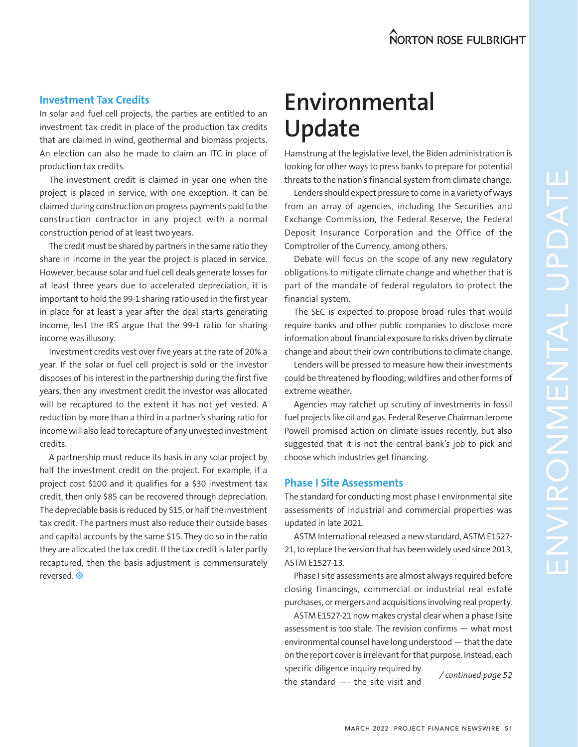#### **Investment Tax Credits**

In solar and fuel cell projects, the parties are entitled to an investment tax credit in place of the production tax credits that are claimed in wind, geothermal and biomass projects. An election can also be made to claim an ITC in place of production tax credits.

The investment credit is claimed in year one when the project is placed in service, with one exception. It can be claimed during construction on progress payments paid to the construction contractor in any project with a normal construction period of at least two years.

The credit must be shared by partners in the same ratio they share in income in the year the project is placed in service. However, because solar and fuel cell deals generate losses for at least three years due to accelerated depreciation, it is important to hold the 99-1 sharing ratio used in the first year in place for at least a year after the deal starts generating income, lest the IRS argue that the 99-1 ratio for sharing income was illusory.

Investment credits vest over five years at the rate of 20% a year. If the solar or fuel cell project is sold or the investor disposes of his interest in the partnership during the first five years, then any investment credit the investor was allocated will be recaptured to the extent it has not yet vested. A reduction by more than a third in a partner's sharing ratio for income will also lead to recapture of any unvested investment credits.

A partnership must reduce its basis in any solar project by half the investment credit on the project. For example, if a project cost \$100 and it qualifies for a \$30 investment tax credit, then only \$85 can be recovered through depreciation. The depreciable basis is reduced by \$15, or half the investment tax credit. The partners must also reduce their outside bases and capital accounts by the same \$15. They do so in the ratio they are allocated the tax credit. If the tax credit is later partly recaptured, then the basis adjustment is commensurately reversed.

# **Environmental Update**

Hamstrung at the legislative level, the Biden administration is looking for other ways to press banks to prepare for potential threats to the nation's financial system from climate change.

Lenders should expect pressure to come in a variety of ways from an array of agencies, including the Securities and Exchange Commission, the Federal Reserve, the Federal Deposit Insurance Corporation and the Office of the Comptroller of the Currency, among others.

Debate will focus on the scope of any new regulatory obligations to mitigate climate change and whether that is part of the mandate of federal regulators to protect the financial system.

The SEC is expected to propose broad rules that would require banks and other public companies to disclose more information about financial exposure to risks driven by climate change and about their own contributions to climate change.

Lenders will be pressed to measure how their investments could be threatened by flooding, wildfires and other forms of extreme weather.

Agencies may ratchet up scrutiny of investments in fossil fuel projects like oil and gas. Federal Reserve Chairman Jerome Powell promised action on climate issues recently, but also suggested that it is not the central bank's job to pick and choose which industries get financing.

#### **Phase I Site Assessments**

The standard for conducting most phase I environmental site assessments of industrial and commercial properties was updated in late 2021.

ASTM International released a new standard, ASTM E1527- 21, to replace the version that has been widely used since 2013, ASTM E1527-13.

Phase I site assessments are almost always required before closing financings, commercial or industrial real estate purchases, or mergers and acquisitions involving real property.

ASTM E1527-21 now makes crystal clear when a phase I site assessment is too stale. The revision confirms — what most environmental counsel have long understood — that the date on the report cover is irrelevant for that purpose. Instead, each specific diligence inquiry required by the standard —- the site visit and */ continued page 52*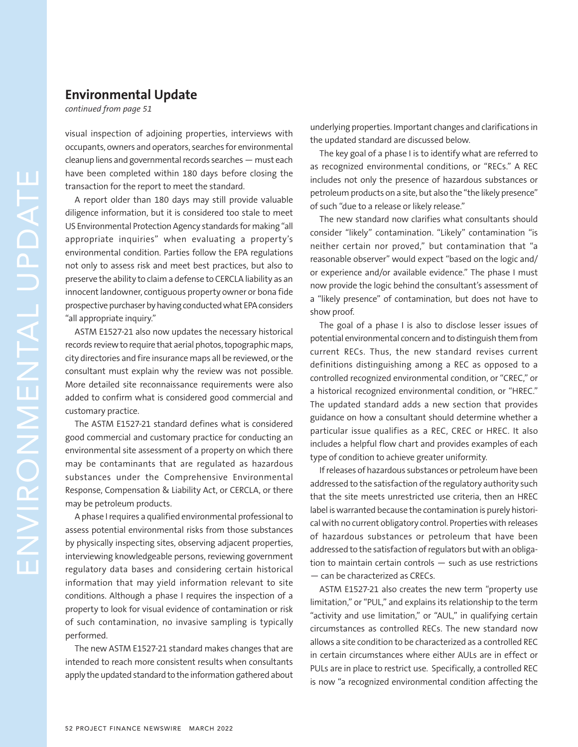#### **Environmental Update**

*continued from page 51*

visual inspection of adjoining properties, interviews with occupants, owners and operators, searches for environmental cleanup liens and governmental records searches — must each have been completed within 180 days before closing the transaction for the report to meet the standard.

A report older than 180 days may still provide valuable diligence information, but it is considered too stale to meet US Environmental Protection Agency standards for making "all appropriate inquiries" when evaluating a property's environmental condition. Parties follow the EPA regulations not only to assess risk and meet best practices, but also to preserve the ability to claim a defense to CERCLA liability as an innocent landowner, contiguous property owner or bona fide prospective purchaser by having conducted what EPA considers "all appropriate inquiry."

ASTM E1527-21 also now updates the necessary historical records review to require that aerial photos, topographic maps, city directories and fire insurance maps all be reviewed, or the consultant must explain why the review was not possible. More detailed site reconnaissance requirements were also added to confirm what is considered good commercial and customary practice.

The ASTM E1527-21 standard defines what is considered good commercial and customary practice for conducting an environmental site assessment of a property on which there may be contaminants that are regulated as hazardous substances under the Comprehensive Environmental Response, Compensation & Liability Act, or CERCLA, or there may be petroleum products.

A phase I requires a qualified environmental professional to assess potential environmental risks from those substances by physically inspecting sites, observing adjacent properties, interviewing knowledgeable persons, reviewing government regulatory data bases and considering certain historical information that may yield information relevant to site conditions. Although a phase I requires the inspection of a property to look for visual evidence of contamination or risk of such contamination, no invasive sampling is typically performed.

The new ASTM E1527-21 standard makes changes that are intended to reach more consistent results when consultants apply the updated standard to the information gathered about underlying properties. Important changes and clarifications in the updated standard are discussed below.

The key goal of a phase I is to identify what are referred to as recognized environmental conditions, or "RECs." A REC includes not only the presence of hazardous substances or petroleum products on a site, but also the "the likely presence" of such "due to a release or likely release."

The new standard now clarifies what consultants should consider "likely" contamination. "Likely" contamination "is neither certain nor proved," but contamination that "a reasonable observer" would expect "based on the logic and/ or experience and/or available evidence." The phase I must now provide the logic behind the consultant's assessment of a "likely presence" of contamination, but does not have to show proof.

The goal of a phase I is also to disclose lesser issues of potential environmental concern and to distinguish them from current RECs. Thus, the new standard revises current definitions distinguishing among a REC as opposed to a controlled recognized environmental condition, or "CREC," or a historical recognized environmental condition, or "HREC." The updated standard adds a new section that provides guidance on how a consultant should determine whether a particular issue qualifies as a REC, CREC or HREC. It also includes a helpful flow chart and provides examples of each type of condition to achieve greater uniformity.

If releases of hazardous substances or petroleum have been addressed to the satisfaction of the regulatory authority such that the site meets unrestricted use criteria, then an HREC label is warranted because the contamination is purely historical with no current obligatory control. Properties with releases of hazardous substances or petroleum that have been addressed to the satisfaction of regulators but with an obligation to maintain certain controls — such as use restrictions — can be characterized as CRECs.

ASTM E1527-21 also creates the new term "property use limitation," or "PUL," and explains its relationship to the term "activity and use limitation," or "AUL," in qualifying certain circumstances as controlled RECs. The new standard now allows a site condition to be characterized as a controlled REC in certain circumstances where either AULs are in effect or PULs are in place to restrict use. Specifically, a controlled REC is now "a recognized environmental condition affecting the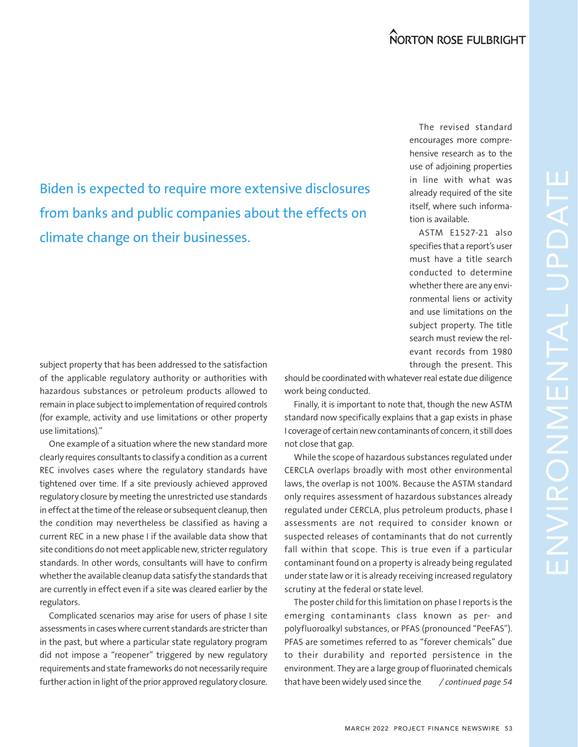Biden is expected to require more extensive disclosures from banks and public companies about the effects on climate change on their businesses.

The revised standard encourages more comprehensive research as to the use of adjoining properties in line with what was already required of the site itself, where such information is available.

ASTM E1527-21 also specifies that a report's user must have a title search conducted to determine whether there are any environmental liens or activity and use limitations on the subject property. The title search must review the relevant records from 1980 through the present. This

subject property that has been addressed to the satisfaction of the applicable regulatory authority or authorities with hazardous substances or petroleum products allowed to remain in place subject to implementation of required controls (for example, activity and use limitations or other property use limitations)."

One example of a situation where the new standard more clearly requires consultants to classify a condition as a current REC involves cases where the regulatory standards have tightened over time. If a site previously achieved approved regulatory closure by meeting the unrestricted use standards in effect at the time of the release or subsequent cleanup, then the condition may nevertheless be classified as having a current REC in a new phase I if the available data show that site conditions do not meet applicable new, stricter regulatory standards. In other words, consultants will have to confirm whether the available cleanup data satisfy the standards that are currently in effect even if a site was cleared earlier by the regulators.

Complicated scenarios may arise for users of phase I site assessments in cases where current standards are stricter than in the past, but where a particular state regulatory program did not impose a "reopener" triggered by new regulatory requirements and state frameworks do not necessarily require further action in light of the prior approved regulatory closure.

should be coordinated with whatever real estate due diligence work being conducted.

Finally, it is important to note that, though the new ASTM standard now specifically explains that a gap exists in phase I coverage of certain new contaminants of concern, it still does not close that gap.

While the scope of hazardous substances regulated under CERCLA overlaps broadly with most other environmental laws, the overlap is not 100%. Because the ASTM standard only requires assessment of hazardous substances already regulated under CERCLA, plus petroleum products, phase I assessments are not required to consider known or suspected releases of contaminants that do not currently fall within that scope. This is true even if a particular contaminant found on a property is already being regulated under state law or it is already receiving increased regulatory scrutiny at the federal or state level.

The poster child for this limitation on phase I reports is the emerging contaminants class known as per- and polyfluoroalkyl substances, or PFAS (pronounced "PeeFAS"). PFAS are sometimes referred to as "forever chemicals" due to their durability and reported persistence in the environment. They are a large group of fluorinated chemicals that have been widely used since the */ continued page 54*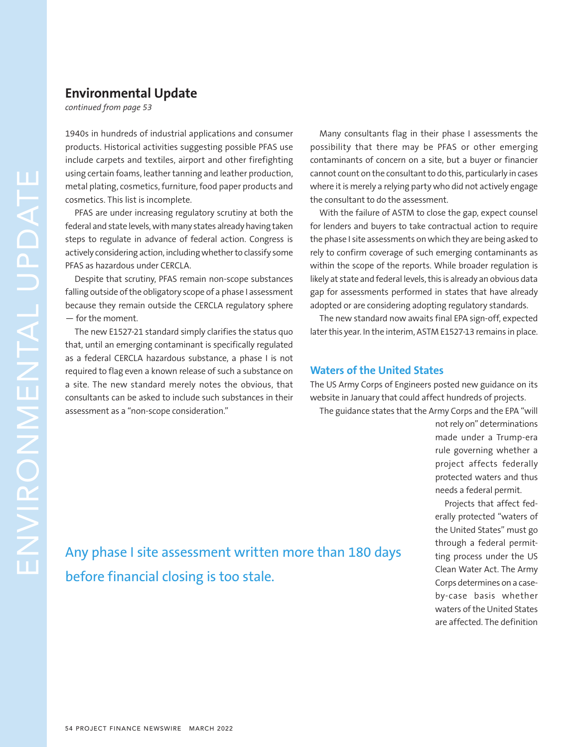#### **Environmental Update**

*continued from page 53*

1940s in hundreds of industrial applications and consumer products. Historical activities suggesting possible PFAS use include carpets and textiles, airport and other firefighting using certain foams, leather tanning and leather production, metal plating, cosmetics, furniture, food paper products and cosmetics. This list is incomplete.

PFAS are under increasing regulatory scrutiny at both the federal and state levels, with many states already having taken steps to regulate in advance of federal action. Congress is actively considering action, including whether to classify some PFAS as hazardous under CERCLA.

Despite that scrutiny, PFAS remain non-scope substances falling outside of the obligatory scope of a phase I assessment because they remain outside the CERCLA regulatory sphere — for the moment.

The new E1527-21 standard simply clarifies the status quo that, until an emerging contaminant is specifically regulated as a federal CERCLA hazardous substance, a phase I is not required to flag even a known release of such a substance on a site. The new standard merely notes the obvious, that consultants can be asked to include such substances in their assessment as a "non-scope consideration."

Many consultants flag in their phase I assessments the possibility that there may be PFAS or other emerging contaminants of concern on a site, but a buyer or financier cannot count on the consultant to do this, particularly in cases where it is merely a relying party who did not actively engage the consultant to do the assessment.

With the failure of ASTM to close the gap, expect counsel for lenders and buyers to take contractual action to require the phase I site assessments on which they are being asked to rely to confirm coverage of such emerging contaminants as within the scope of the reports. While broader regulation is likely at state and federal levels, this is already an obvious data gap for assessments performed in states that have already adopted or are considering adopting regulatory standards.

The new standard now awaits final EPA sign-off, expected later this year. In the interim, ASTM E1527-13 remains in place.

#### **Waters of the United States**

The US Army Corps of Engineers posted new guidance on its website in January that could affect hundreds of projects.

The guidance states that the Army Corps and the EPA "will

not rely on" determinations made under a Trump-era rule governing whether a project affects federally protected waters and thus needs a federal permit.

Projects that affect federally protected "waters of the United States" must go through a federal permitting process under the US Clean Water Act. The Army Corps determines on a caseby-case basis whether waters of the United States are affected. The definition

Any phase I site assessment written more than 180 days before financial closing is too stale.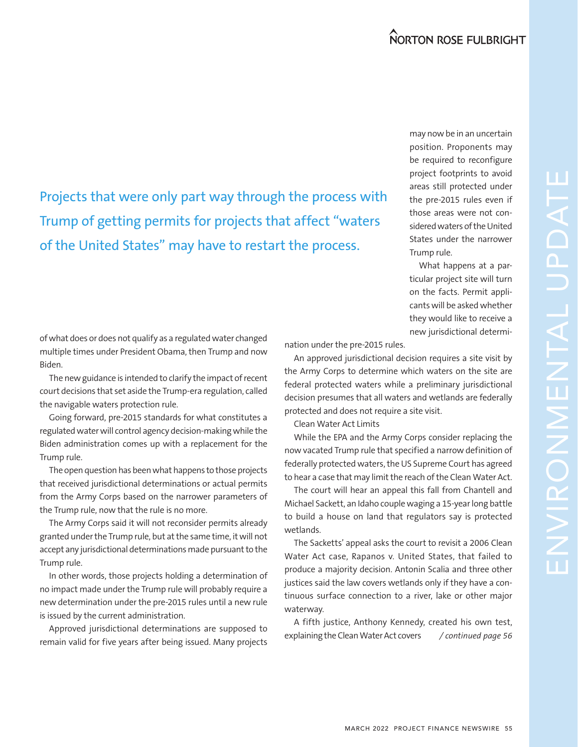Projects that were only part way through the process with Trump of getting permits for projects that affect "waters of the United States" may have to restart the process.

may now be in an uncertain position. Proponents may be required to reconfigure project footprints to avoid areas still protected under the pre-2015 rules even if those areas were not considered waters of the United States under the narrower Trump rule.

What happens at a particular project site will turn on the facts. Permit applicants will be asked whether they would like to receive a new jurisdictional determi-

of what does or does not qualify as a regulated water changed multiple times under President Obama, then Trump and now Biden.

The new guidance is intended to clarify the impact of recent court decisions that set aside the Trump-era regulation, called the navigable waters protection rule.

Going forward, pre-2015 standards for what constitutes a regulated water will control agency decision-making while the Biden administration comes up with a replacement for the Trump rule.

The open question has been what happens to those projects that received jurisdictional determinations or actual permits from the Army Corps based on the narrower parameters of the Trump rule, now that the rule is no more.

The Army Corps said it will not reconsider permits already granted under the Trump rule, but at the same time, it will not accept any jurisdictional determinations made pursuant to the Trump rule.

In other words, those projects holding a determination of no impact made under the Trump rule will probably require a new determination under the pre-2015 rules until a new rule is issued by the current administration.

Approved jurisdictional determinations are supposed to remain valid for five years after being issued. Many projects */ continued page 56*

nation under the pre-2015 rules.

An approved jurisdictional decision requires a site visit by the Army Corps to determine which waters on the site are federal protected waters while a preliminary jurisdictional decision presumes that all waters and wetlands are federally protected and does not require a site visit.

Clean Water Act Limits

While the EPA and the Army Corps consider replacing the now vacated Trump rule that specified a narrow definition of federally protected waters, the US Supreme Court has agreed to hear a case that may limit the reach of the Clean Water Act.

The court will hear an appeal this fall from Chantell and Michael Sackett, an Idaho couple waging a 15-year long battle to build a house on land that regulators say is protected wetlands.

The Sacketts' appeal asks the court to revisit a 2006 Clean Water Act case, Rapanos v. United States, that failed to produce a majority decision. Antonin Scalia and three other justices said the law covers wetlands only if they have a continuous surface connection to a river, lake or other major waterway.

A fifth justice, Anthony Kennedy, created his own test, explaining the Clean Water Act covers